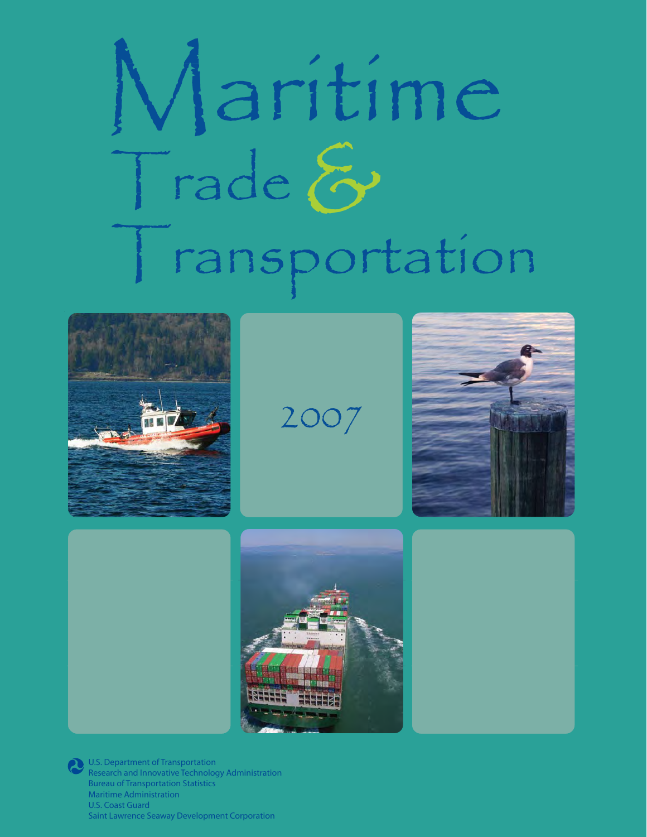# Maritime<br>Trade &<br>Transportation



2007





U.S. Department of Transportation Research and Innovative Technology Administration Bureau of Transportation Statistics Maritime Administration U.S. Coast Guard Saint Lawrence Seaway Development Corporation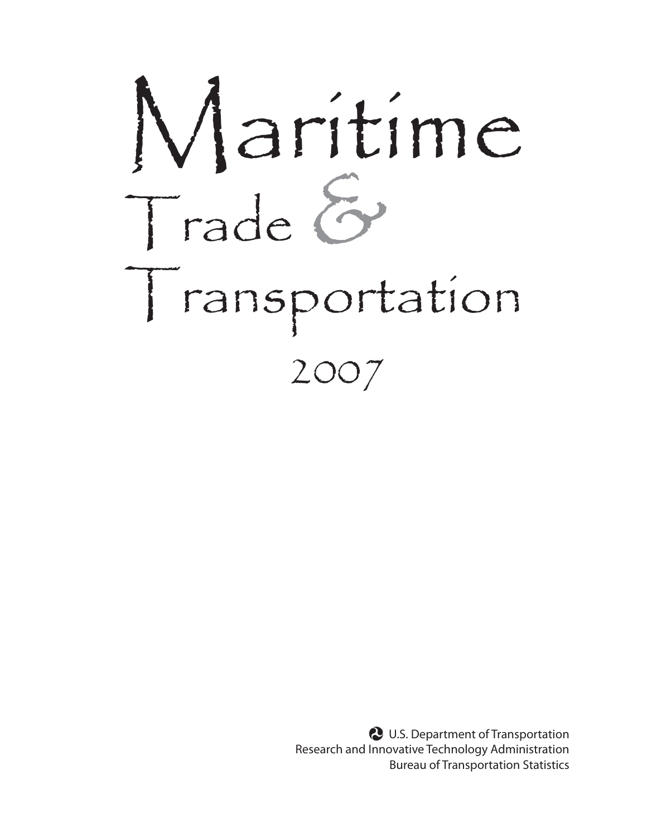# Maritime Trade & Transportation 2007

U.S. Department of Transportation Research and Innovative Technology Administration Bureau of Transportation Statistics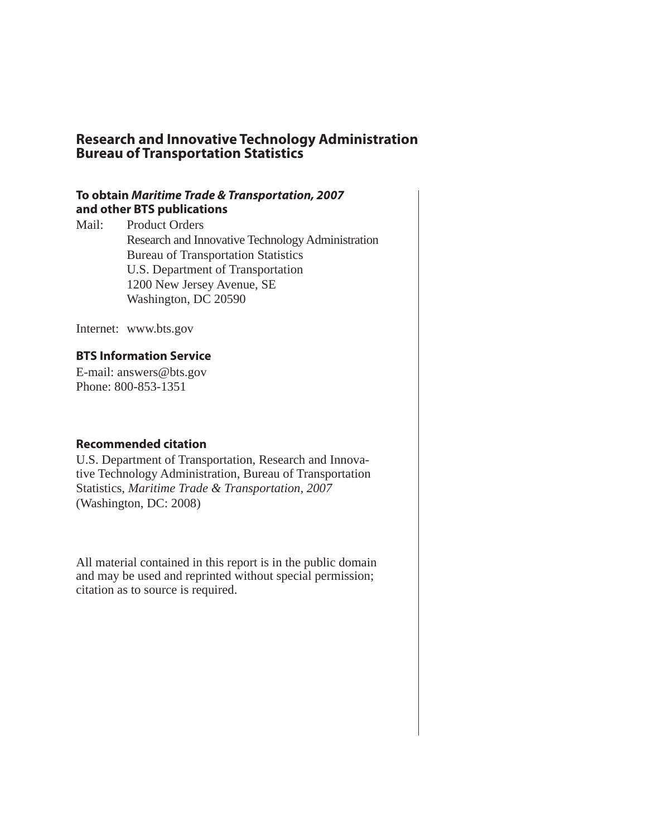# **Research and Innovative Technology Administration Bureau of Transportation Statistics**

# **To obtain** *Maritime Trade & Transportation, 2007*  **and other BTS publications**

Mail: Product Orders Research and Innovative Technology Administration Bureau of Transportation Statistics U.S. Department of Transportation 1200 New Jersey Avenue, SE Washington, DC 20590

Internet: www.bts.gov

# **BTS Information Service**

E-mail: answers@bts.gov Phone: 800-853-1351

# **Recommended citation**

U.S. Department of Transportation, Research and Innovative Technology Administration, Bureau of Transportation Statistics, *Maritime Trade & Transportation, 2007* (Washington, DC: 2008)

All material contained in this report is in the public domain and may be used and reprinted without special permission; citation as to source is required.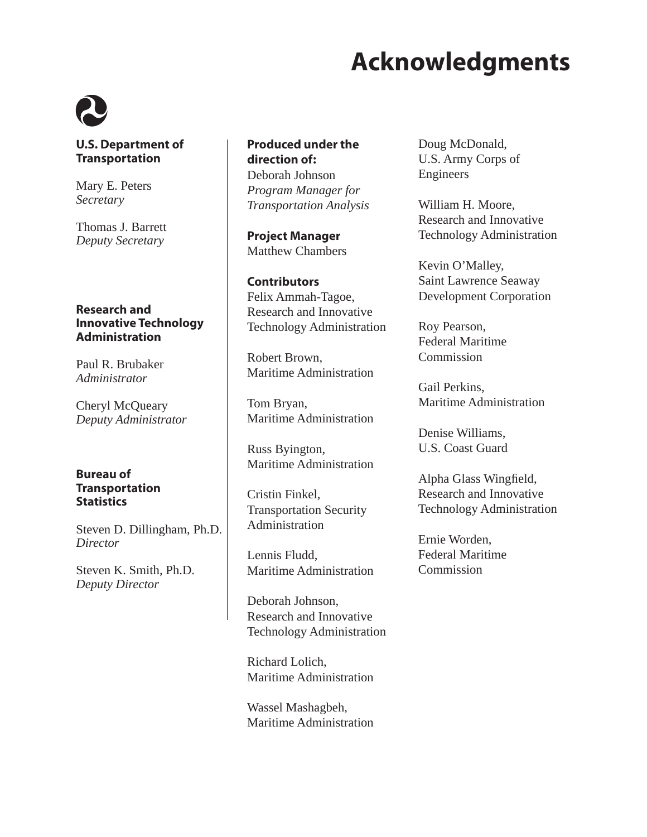# **Acknowledgments**



# **U.S. Department of Transportation**

Mary E. Peters *Secretary*

Thomas J. Barrett *Deputy Secretary*

# **Research and Innovative Technology Administration**

Paul R. Brubaker *Administrator*

Cheryl McQueary *Deputy Administrator*

# **Bureau of Transportation Statistics**

Steven D. Dillingham, Ph.D. *Director*

Steven K. Smith, Ph.D. *Deputy Director*

**Produced under the direction of:** Deborah Johnson *Program Manager for Transportation Analysis*

**Project Manager** Matthew Chambers

**Contributors** Felix Ammah-Tagoe, Research and Innovative Technology Administration

Robert Brown, Maritime Administration

Tom Bryan, Maritime Administration

Russ Byington, Maritime Administration

Cristin Finkel, Transportation Security Administration

Lennis Fludd, Maritime Administration

Deborah Johnson, Research and Innovative Technology Administration

Richard Lolich, Maritime Administration

Wassel Mashagbeh, Maritime Administration Doug McDonald, U.S. Army Corps of Engineers

William H. Moore, Research and Innovative Technology Administration

Kevin O'Malley, Saint Lawrence Seaway Development Corporation

Roy Pearson, Federal Maritime Commission

Gail Perkins, Maritime Administration

Denise Williams, U.S. Coast Guard

Alpha Glass Wingfield, Research and Innovative Technology Administration

Ernie Worden, Federal Maritime Commission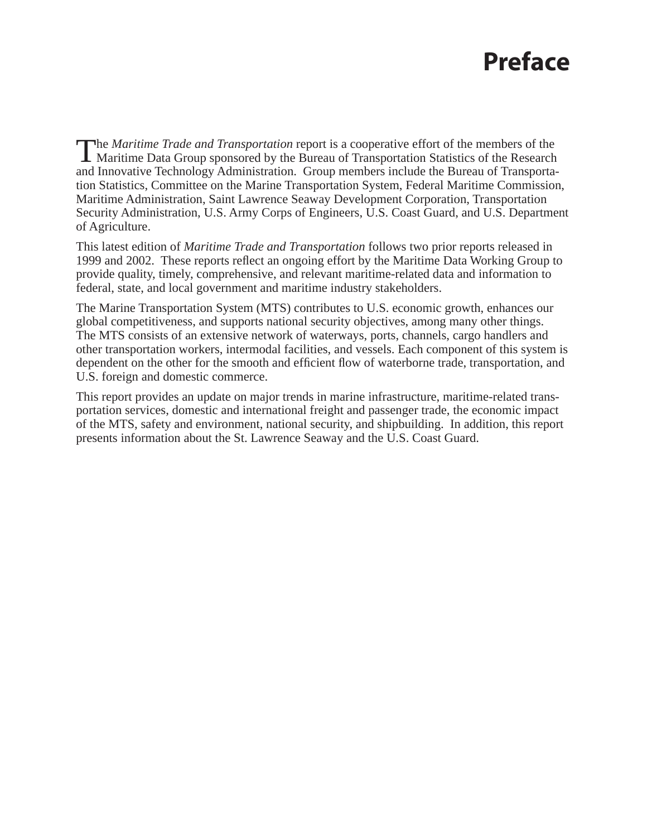# **Preface**

The *Maritime Trade and Transportation* report is a cooperative effort of the members of the Maritime Data Group sponsored by the Bureau of Transportation Statistics of the Research and Innovative Technology Administration. Group members include the Bureau of Transportation Statistics, Committee on the Marine Transportation System, Federal Maritime Commission, Maritime Administration, Saint Lawrence Seaway Development Corporation, Transportation Security Administration, U.S. Army Corps of Engineers, U.S. Coast Guard, and U.S. Department of Agriculture.

This latest edition of *Maritime Trade and Transportation* follows two prior reports released in 1999 and 2002. These reports reflect an ongoing effort by the Maritime Data Working Group to provide quality, timely, comprehensive, and relevant maritime-related data and information to federal, state, and local government and maritime industry stakeholders.

The Marine Transportation System (MTS) contributes to U.S. economic growth, enhances our global competitiveness, and supports national security objectives, among many other things. The MTS consists of an extensive network of waterways, ports, channels, cargo handlers and other transportation workers, intermodal facilities, and vessels. Each component of this system is dependent on the other for the smooth and efficient flow of waterborne trade, transportation, and U.S. foreign and domestic commerce.

This report provides an update on major trends in marine infrastructure, maritime-related transportation services, domestic and international freight and passenger trade, the economic impact of the MTS, safety and environment, national security, and shipbuilding. In addition, this report presents information about the St. Lawrence Seaway and the U.S. Coast Guard.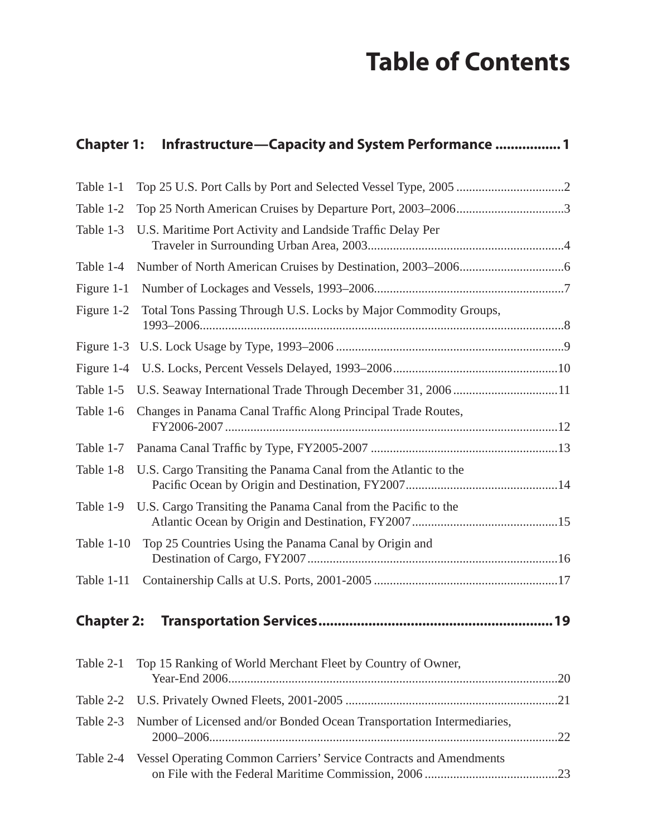# **Table of Contents**

| <b>Chapter 1:</b> | Infrastructure-Capacity and System Performance  1                     |  |
|-------------------|-----------------------------------------------------------------------|--|
| Table 1-1         |                                                                       |  |
| Table 1-2         | Top 25 North American Cruises by Departure Port, 2003-20063           |  |
| Table 1-3         | U.S. Maritime Port Activity and Landside Traffic Delay Per            |  |
| Table 1-4         |                                                                       |  |
| Figure 1-1        |                                                                       |  |
| Figure 1-2        | Total Tons Passing Through U.S. Locks by Major Commodity Groups,      |  |
| Figure 1-3        |                                                                       |  |
| Figure 1-4        |                                                                       |  |
| Table 1-5         | U.S. Seaway International Trade Through December 31, 2006 11          |  |
| Table 1-6         | Changes in Panama Canal Traffic Along Principal Trade Routes,         |  |
| Table 1-7         |                                                                       |  |
| Table 1-8         | U.S. Cargo Transiting the Panama Canal from the Atlantic to the       |  |
| Table 1-9         | U.S. Cargo Transiting the Panama Canal from the Pacific to the        |  |
| Table 1-10        | Top 25 Countries Using the Panama Canal by Origin and                 |  |
| Table 1-11        |                                                                       |  |
| <b>Chapter 2:</b> |                                                                       |  |
| Table 2-1         | Top 15 Ranking of World Merchant Fleet by Country of Owner,           |  |
| Table 2-2         |                                                                       |  |
| Table 2-3         | Number of Licensed and/or Bonded Ocean Transportation Intermediaries, |  |
| Table 2-4         | Vessel Operating Common Carriers' Service Contracts and Amendments    |  |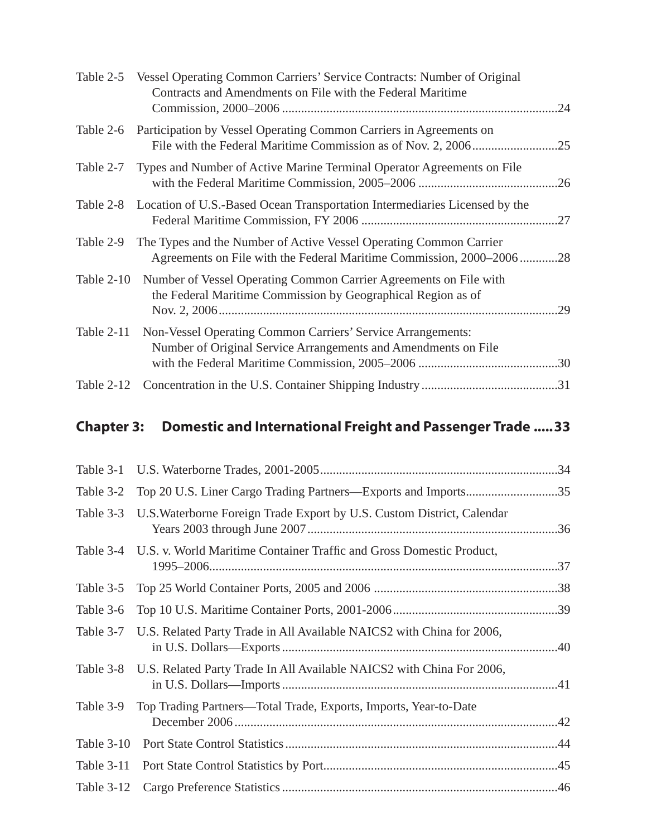|              | Table 2-5 Vessel Operating Common Carriers' Service Contracts: Number of Original<br>Contracts and Amendments on File with the Federal Maritime |  |
|--------------|-------------------------------------------------------------------------------------------------------------------------------------------------|--|
| Table 2-6    | Participation by Vessel Operating Common Carriers in Agreements on                                                                              |  |
|              | Table 2-7 Types and Number of Active Marine Terminal Operator Agreements on File                                                                |  |
|              | Table 2-8 Location of U.S.-Based Ocean Transportation Intermediaries Licensed by the                                                            |  |
| Table 2-9    | The Types and the Number of Active Vessel Operating Common Carrier<br>Agreements on File with the Federal Maritime Commission, 2000–200628      |  |
| Table $2-10$ | Number of Vessel Operating Common Carrier Agreements on File with<br>the Federal Maritime Commission by Geographical Region as of               |  |
| Table $2-11$ | Non-Vessel Operating Common Carriers' Service Arrangements:<br>Number of Original Service Arrangements and Amendments on File                   |  |
| Table 2-12   |                                                                                                                                                 |  |

# **Chapter 3: Domestic and International Freight and Passenger Trade .....33**

| Table 3-1         |                                                                        |  |
|-------------------|------------------------------------------------------------------------|--|
| Table 3-2         | Top 20 U.S. Liner Cargo Trading Partners—Exports and Imports35         |  |
| Table 3-3         | U.S. Waterborne Foreign Trade Export by U.S. Custom District, Calendar |  |
| Table 3-4         | U.S. v. World Maritime Container Traffic and Gross Domestic Product,   |  |
| Table 3-5         |                                                                        |  |
| Table 3-6         |                                                                        |  |
| Table 3-7         | U.S. Related Party Trade in All Available NAICS2 with China for 2006,  |  |
| Table 3-8         | U.S. Related Party Trade In All Available NAICS2 with China For 2006,  |  |
| Table 3-9         | Top Trading Partners—Total Trade, Exports, Imports, Year-to-Date       |  |
| <b>Table 3-10</b> |                                                                        |  |
| <b>Table 3-11</b> |                                                                        |  |
| Table 3-12        |                                                                        |  |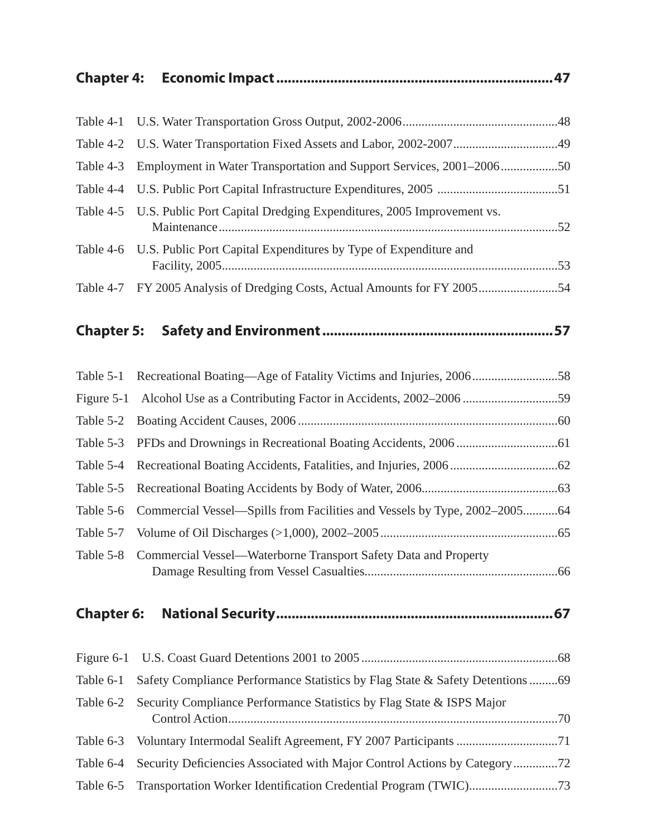| <b>Chapter 4:</b> |                                                                               |  |
|-------------------|-------------------------------------------------------------------------------|--|
| Table 4-1         |                                                                               |  |
| Table 4-2         |                                                                               |  |
| Table 4-3         | Employment in Water Transportation and Support Services, 2001-200650          |  |
| Table 4-4         |                                                                               |  |
| Table 4-5         | U.S. Public Port Capital Dredging Expenditures, 2005 Improvement vs.          |  |
|                   | Table 4-6 U.S. Public Port Capital Expenditures by Type of Expenditure and    |  |
|                   | Table 4-7 FY 2005 Analysis of Dredging Costs, Actual Amounts for FY 200554    |  |
| <b>Chapter 5:</b> |                                                                               |  |
| Table 5-1         |                                                                               |  |
| Figure 5-1        | Alcohol Use as a Contributing Factor in Accidents, 2002-2006 59               |  |
| Table 5-2         |                                                                               |  |
| Table 5-3         |                                                                               |  |
| Table 5-4         |                                                                               |  |
| Table 5-5         |                                                                               |  |
| Table 5-6         | Commercial Vessel—Spills from Facilities and Vessels by Type, 2002-200564     |  |
| Table 5-7         |                                                                               |  |
| Table 5-8         | Commercial Vessel—Waterborne Transport Safety Data and Property               |  |
| <b>Chapter 6:</b> |                                                                               |  |
| Figure 6-1        |                                                                               |  |
| Table 6-1         | Safety Compliance Performance Statistics by Flag State & Safety Detentions 69 |  |
| Table 6-2         | Security Compliance Performance Statistics by Flag State & ISPS Major         |  |
| Table 6-3         |                                                                               |  |
| Table 6-4         | Security Deficiencies Associated with Major Control Actions by Category72     |  |
| Table 6-5         | Transportation Worker Identification Credential Program (TWIC)73              |  |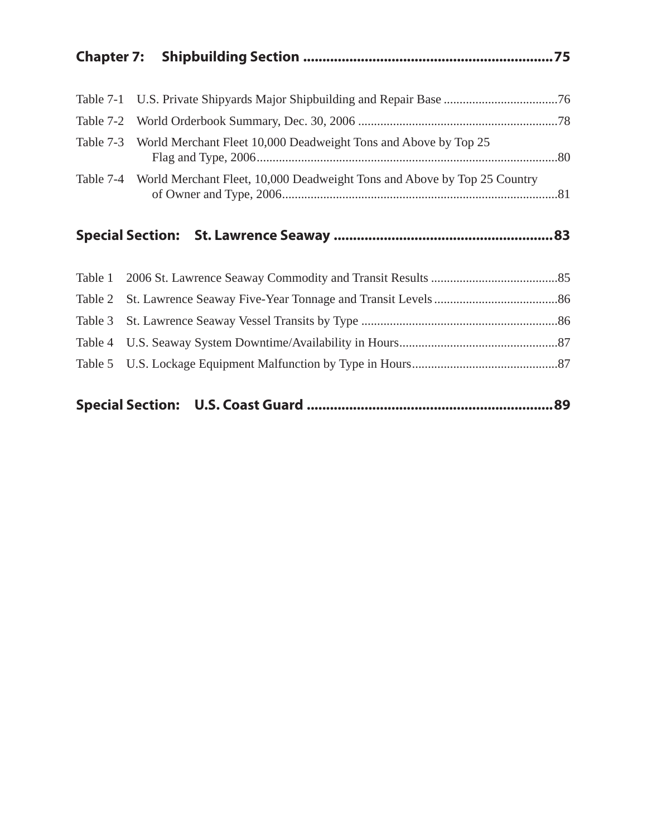| Table 7-3 World Merchant Fleet 10,000 Deadweight Tons and Above by Top 25          |  |
|------------------------------------------------------------------------------------|--|
| Table 7-4 World Merchant Fleet, 10,000 Deadweight Tons and Above by Top 25 Country |  |
|                                                                                    |  |

# **Special Section: St. Lawrence Seaway .........................................................83**

|--|--|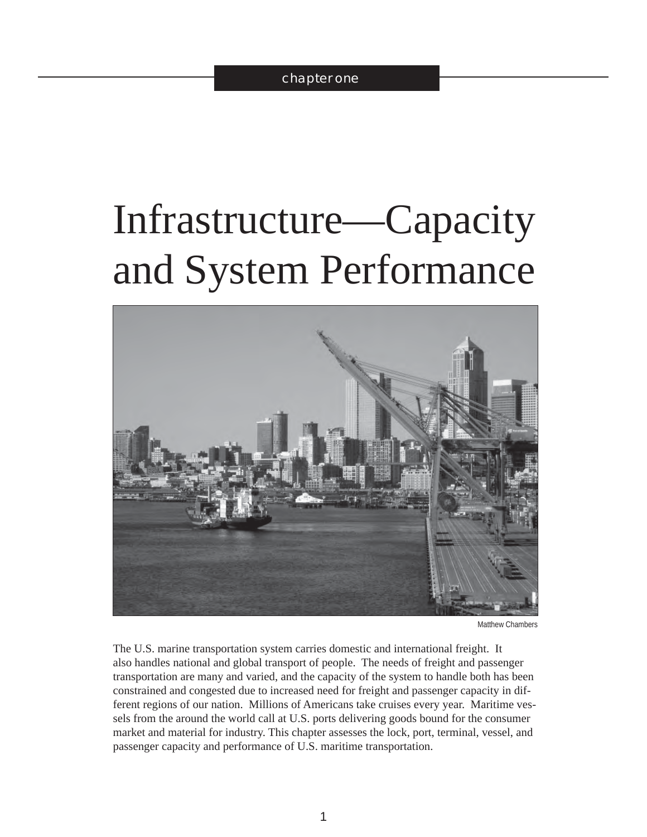# Infrastructure—Capacity and System Performance



Matthew Chambers

The U.S. marine transportation system carries domestic and international freight. It also handles national and global transport of people. The needs of freight and passenger transportation are many and varied, and the capacity of the system to handle both has been constrained and congested due to increased need for freight and passenger capacity in different regions of our nation. Millions of Americans take cruises every year. Maritime vessels from the around the world call at U.S. ports delivering goods bound for the consumer market and material for industry. This chapter assesses the lock, port, terminal, vessel, and passenger capacity and performance of U.S. maritime transportation.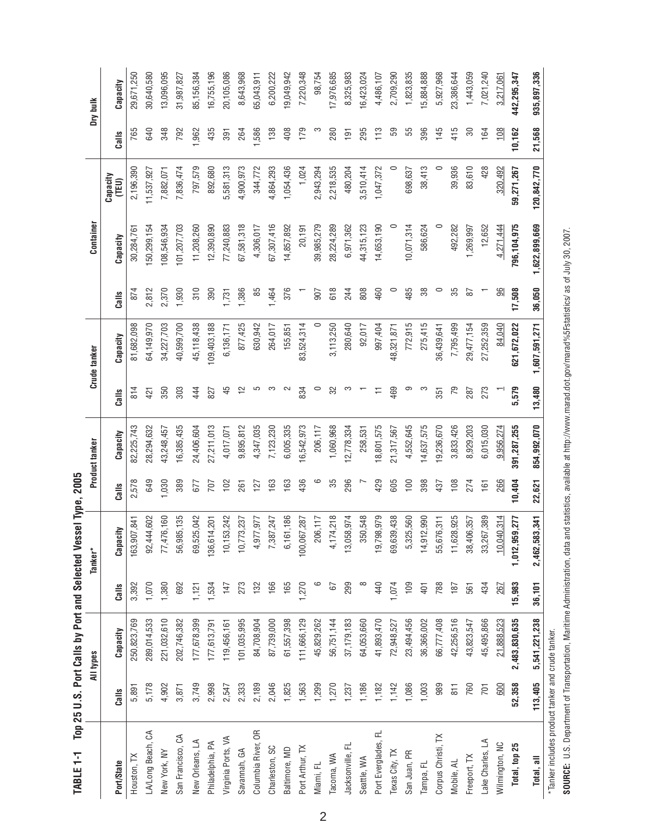| TABLE <sub>1-1</sub> |         |               |         | Top 25 U.S. Port Calls by Port and Selected Vessel Type, 2005 |                |                |         |               |         |               |                   |                |               |
|----------------------|---------|---------------|---------|---------------------------------------------------------------|----------------|----------------|---------|---------------|---------|---------------|-------------------|----------------|---------------|
|                      |         | All types     |         | Tanker*                                                       |                | Product tanker |         | Crude tanker  |         | Container     |                   |                | Dry bulk      |
| Port/State           | Calls   | Capacity      | Calls   | Capacity                                                      | Calls          | Capacity       | Calls   | Capacity      | Calls   | Capacity      | Capacity<br>(TEU) | Calls          | Capacity      |
| Houston, TX          | 5,891   | 250,823,769   | 3,392   | 163,907,841                                                   | 2,578          | 82,225,743     | 814     | 81,682,098    | 874     | 30,284,76     | 2,196,390         | 765            | 29,671,250    |
| LA/Long Beach, CA    | 5,178   | 289,014,533   | 1,070   | 92,444,602                                                    | 649            | 28,294,632     | 421     | 64,149,970    | 2,812   | 50,299,154    | 11,537,927        | 640            | 30,640,580    |
| New York, NY         | 4,902   | 221,032,610   | 1,380   | 77,476,160                                                    | 030            | 43,248,457     | 350     | 34,227,703    | 2,370   | 08,546,934    | 7,882,07          | 348            | 13,096,095    |
| San Francisco, CA    | 3,871   | 202,746,382   | 692     | 56,985,135                                                    | 389            | 6,385,435      | 303     | 40,599,700    | 1,930   | 01,207,703    | 7,836,474         | 792            | 31,987,827    |
| New Orleans, LA      | 3,749   | 177,678,399   | 1,121   | 69,525,042                                                    | 677            | 24,406,604     | 444     | 45,118,438    | 310     | 11,208,260    | 797,579           | 1,962          | 85,156,384    |
| Philadelphia, PA     | 2,998   | 177,613,791   | 1,534   | 136,614,201                                                   | 707            | 27,211,013     | 827     | 109,403,188   | 390     | 12,390,890    | 892,680           | 435            | 6,755,196     |
| Virginia Ports, VA   | 2,547   | 119,456,161   | 147     | 10, 153, 242                                                  | 102            | 4,017,071      | 45      | 6,136,171     | 1,731   | 77,240,883    | 5,581,313         | 391            | 20,105,086    |
| Savannah, GA         | 2,333   | 101,035,995   | 273     | 10,773,237                                                    | 261            | 9,895,812      | 은       | 877,425       | 1,386   | 67,581,318    | 4,900,973         | 264            | 8,643,968     |
| Columbia River, OR   | 2,189   | 84,708,904    | 132     | 4,977,977                                                     | 127            | 4,347,035      | 5       | 630,942       | 85      | 4,306,017     | 344,772           | 1,586          | 35,043,911    |
| Charleston, SC       | 2,046   | 87,739,000    | 166     | 7,387,247                                                     | 163            | 7,123,230      | က       | 264,017       | 1,464   | 67,307,416    | 4,864,293         | 138            | 6,200,222     |
| Baltimore, MD        | 1,825   | 61,557,398    | 165     | 6,161,186                                                     | 163            | 6,005,335      | 2       | 155,851       | 376     | 14,857,892    | 1,054,436         | 408            | 9,049,942     |
| Port Arthur, TX      | 1,563   | 111,666,129   | 1,270   | 100,067,287                                                   | 436            | 16,542,973     | 834     | 83,524,314    |         | 20,191        | 1,024             | 179            | 7,220,348     |
| Miami, FL            | 1,299   | 45,829,262    | $\circ$ | 206,117                                                       | ဖ              | 206,117        | $\circ$ | $\circ$       | 507     | 39,985,279    | 2,943,294         | က              | 98,754        |
| Tacoma, WA           | 1,270   | 56,751,144    | 67      | 4,174,218                                                     | 35             | 1,060,968      | S2      | 3,113,250     | 618     | 28,224,289    | 2,218,535         | 280            | 17,976,685    |
| Jacksonville, FL     | 1,237   | 37,179,183    | 299     | 13,058,974                                                    | 296            | 2,778,334      | က       | 280,640       | 244     | 6,971,362     | 480,204           | $\overline{5}$ | 8,325,983     |
| Seattle, WA          | 1,186   | 64,053,660    |         | 350,548                                                       |                | 258,531        |         | 92,017        | 808     | 44,315,123    | 3,510,414         | 295            | 6,423,024     |
| Port Everglades, FL  | 1,182   | 41,893,470    | 440     | 19,798,979                                                    | 429            | 8,801,575      | Ξ       | 997,404       | 460     | 14,653,190    | 1,047,372         | 113            | 4,486,107     |
| Texas City, TX       | 1,142   | 72,948,527    | 1,074   | 69,639,438                                                    | 605            | 21,317,567     | 469     | 48,321,871    | $\circ$ |               | 0                 | 59             | 2,709,290     |
| San Juan, PR         | 1,086   | 23,494,456    | 109     | 5,325,560                                                     | 100            | 4,552,645      | တ       | 772,915       | 485     | 10,071,314    | 698,637           | 55             | 1,823,835     |
| Tampa, FL            | 1,003   | 36,366,002    | 401     | 14,912,990                                                    | 398            | 14,637,575     | S       | 275,415       | 38      | 586,624       | 38,413            | 396            | 5,884,888     |
| Corpus Christi, TX   | 989     | 66,777,408    | 788     | 55,676,311                                                    | 437            | 19,236,670     | 351     | 36,439,641    | 0       |               | $\circ$           | 145            | 5,927,968     |
| Mobile, AL           | 811     | 42,256,516    | 187     | 11,628,925                                                    | 108            | 3,833,426      | 79      | 7,795,499     | 35      | 492,282       | 39,936            | 415            | 23,386,644    |
| Freeport, TX         | 760     | 43, 823, 547  | 561     | 38,406,357                                                    | 274            | 8,929,203      | 287     | 29,477,154    | 57      | 1,269,997     | 83,610            | 80             | 1,443,059     |
| Lake Charles, LA     | 701     | 45,495,866    | 434     | 33,267,389                                                    | $\frac{16}{1}$ | 6,015,030      | 273     | 27,252,359    |         | 12,652        | 428               | 164            | 7,021,240     |
| Wilmington, NC       | 600     | 21,888,523    | 267     | 10,040,314                                                    | 266            | 9,956,274      |         | 84,040        | 96      | 4,271,444     | 320,492           | 108            | 3,217,061     |
| Total, top 25        | 52,358  | 2,483,830,635 | 15,983  | 1,012,959,277                                                 | 10,404         | 391,287,255    | 5,579   | 621, 672, 022 | 17,508  | 796,104,975   | 59,271,267        | 10,162         | 442, 295, 347 |
| Total, all           | 113,405 | 5,541,221,238 | 36,101  | 2,462,583,341                                                 | 22,621         | 854,992,070    | 13,480  | 1,607,591,271 | 36,050  | 1,622,899,669 | 120,842,770       | 21,568         | 935,897,336   |

SOURCE: U.S. Department of Transportation, Maritime Administration, data and statistics, available at http://www.marad.dot.gov/marad%5Fstatistics/ as of July 30, 2007. **SOURCE:** U.S. Department of Transportation, Maritime Administration, data and statistics, available at http://www.marad.dot.gov/marad%5Fstatistics/ as of July 30, 2007.\*Tanker includes product tanker and crude tanker. \*Tanker includes product tanker and crude tanker.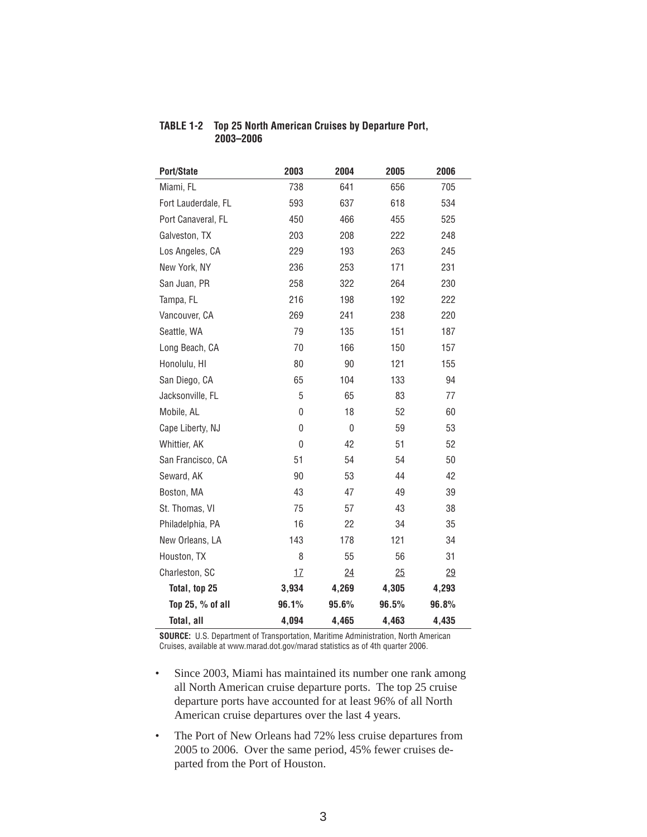| <b>Port/State</b>   | 2003  | 2004  | 2005  | 2006  |
|---------------------|-------|-------|-------|-------|
| Miami, FL           | 738   | 641   | 656   | 705   |
| Fort Lauderdale, FL | 593   | 637   | 618   | 534   |
| Port Canaveral, FL  | 450   | 466   | 455   | 525   |
| Galveston, TX       | 203   | 208   | 222   | 248   |
| Los Angeles, CA     | 229   | 193   | 263   | 245   |
| New York, NY        | 236   | 253   | 171   | 231   |
| San Juan, PR        | 258   | 322   | 264   | 230   |
| Tampa, FL           | 216   | 198   | 192   | 222   |
| Vancouver, CA       | 269   | 241   | 238   | 220   |
| Seattle, WA         | 79    | 135   | 151   | 187   |
| Long Beach, CA      | 70    | 166   | 150   | 157   |
| Honolulu, HI        | 80    | 90    | 121   | 155   |
| San Diego, CA       | 65    | 104   | 133   | 94    |
| Jacksonville, FL    | 5     | 65    | 83    | 77    |
| Mobile, AL          | 0     | 18    | 52    | 60    |
| Cape Liberty, NJ    | 0     | 0     | 59    | 53    |
| Whittier, AK        | 0     | 42    | 51    | 52    |
| San Francisco, CA   | 51    | 54    | 54    | 50    |
| Seward, AK          | 90    | 53    | 44    | 42    |
| Boston, MA          | 43    | 47    | 49    | 39    |
| St. Thomas, VI      | 75    | 57    | 43    | 38    |
| Philadelphia, PA    | 16    | 22    | 34    | 35    |
| New Orleans, LA     | 143   | 178   | 121   | 34    |
| Houston, TX         | 8     | 55    | 56    | 31    |
| Charleston, SC      | 17    | 24    | 25    | 29    |
| Total, top 25       | 3,934 | 4,269 | 4,305 | 4,293 |
| Top 25, % of all    | 96.1% | 95.6% | 96.5% | 96.8% |
| Total, all          | 4,094 | 4,465 | 4,463 | 4,435 |

### **TABLE 1-2 Top 25 North American Cruises by Departure Port, 2003–2006**

**SOURCE:** U.S. Department of Transportation, Maritime Administration, North American Cruises, available at www.marad.dot.gov/marad statistics as of 4th quarter 2006.

- Since 2003, Miami has maintained its number one rank among all North American cruise departure ports. The top 25 cruise departure ports have accounted for at least 96% of all North American cruise departures over the last 4 years.
- The Port of New Orleans had 72% less cruise departures from 2005 to 2006. Over the same period, 45% fewer cruises departed from the Port of Houston.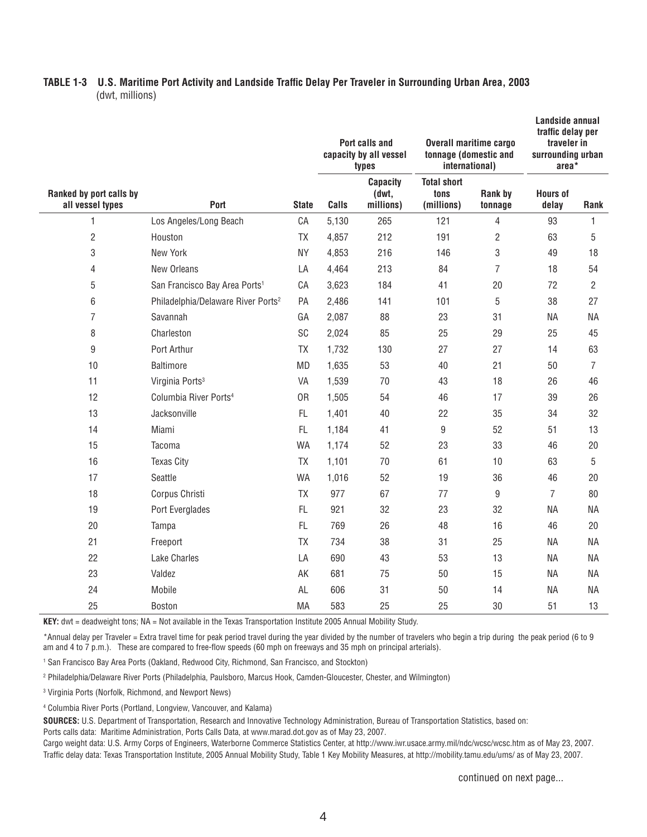# TABLE 1-3 U.S. Maritime Port Activity and Landside Traffic Delay Per Traveler in Surrounding Urban Area, 2003 (dwt, millions)

|                                             |                                                |              |       | Port calls and<br>capacity by all vessel<br>types | <b>Overall maritime cargo</b><br>tonnage (domestic and<br>international) |                    | Landside annual<br>traffic delay per<br>traveler in<br>surrounding urban<br>area* |                |
|---------------------------------------------|------------------------------------------------|--------------|-------|---------------------------------------------------|--------------------------------------------------------------------------|--------------------|-----------------------------------------------------------------------------------|----------------|
| Ranked by port calls by<br>all vessel types | Port                                           | <b>State</b> | Calls | Capacity<br>(dwt,<br>millions)                    | <b>Total short</b><br>tons<br>(millions)                                 | Rank by<br>tonnage | <b>Hours of</b><br>delay                                                          | Rank           |
| 1                                           | Los Angeles/Long Beach                         | СA           | 5,130 | 265                                               | 121                                                                      | 4                  | 93                                                                                | $\mathbf{1}$   |
| $\overline{2}$                              | Houston                                        | <b>TX</b>    | 4,857 | 212                                               | 191                                                                      | $\overline{2}$     | 63                                                                                | 5              |
| 3                                           | New York                                       | <b>NY</b>    | 4,853 | 216                                               | 146                                                                      | 3                  | 49                                                                                | 18             |
| 4                                           | New Orleans                                    | LA           | 4,464 | 213                                               | 84                                                                       | $\overline{7}$     | 18                                                                                | 54             |
| 5                                           | San Francisco Bay Area Ports <sup>1</sup>      | СA           | 3,623 | 184                                               | 41                                                                       | 20                 | 72                                                                                | $\overline{2}$ |
| 6                                           | Philadelphia/Delaware River Ports <sup>2</sup> | PA           | 2,486 | 141                                               | 101                                                                      | 5                  | 38                                                                                | 27             |
| 7                                           | Savannah                                       | GA           | 2,087 | 88                                                | 23                                                                       | 31                 | <b>NA</b>                                                                         | <b>NA</b>      |
| 8                                           | Charleston                                     | SC           | 2,024 | 85                                                | 25                                                                       | 29                 | 25                                                                                | 45             |
| 9                                           | Port Arthur                                    | TX           | 1,732 | 130                                               | 27                                                                       | 27                 | 14                                                                                | 63             |
| 10                                          | <b>Baltimore</b>                               | MD           | 1,635 | 53                                                | 40                                                                       | 21                 | 50                                                                                | $\overline{7}$ |
| 11                                          | Virginia Ports <sup>3</sup>                    | VA           | 1,539 | 70                                                | 43                                                                       | 18                 | 26                                                                                | 46             |
| 12                                          | Columbia River Ports <sup>4</sup>              | 0R           | 1,505 | 54                                                | 46                                                                       | 17                 | 39                                                                                | 26             |
| 13                                          | Jacksonville                                   | FL.          | 1,401 | 40                                                | 22                                                                       | 35                 | 34                                                                                | 32             |
| 14                                          | Miami                                          | FL.          | 1,184 | 41                                                | 9                                                                        | 52                 | 51                                                                                | 13             |
| 15                                          | Tacoma                                         | WA           | 1,174 | 52                                                | 23                                                                       | 33                 | 46                                                                                | 20             |
| 16                                          | <b>Texas City</b>                              | TX           | 1,101 | 70                                                | 61                                                                       | 10                 | 63                                                                                | 5              |
| 17                                          | Seattle                                        | WA           | 1,016 | 52                                                | 19                                                                       | 36                 | 46                                                                                | 20             |
| 18                                          | Corpus Christi                                 | TX           | 977   | 67                                                | 77                                                                       | 9                  | $\overline{7}$                                                                    | 80             |
| 19                                          | Port Everglades                                | FL.          | 921   | 32                                                | 23                                                                       | 32                 | <b>NA</b>                                                                         | ΝA             |
| 20                                          | Tampa                                          | FL.          | 769   | 26                                                | 48                                                                       | 16                 | 46                                                                                | 20             |
| 21                                          | Freeport                                       | TX           | 734   | 38                                                | 31                                                                       | 25                 | NА                                                                                | <b>NA</b>      |
| 22                                          | <b>Lake Charles</b>                            | LA           | 690   | 43                                                | 53                                                                       | 13                 | <b>NA</b>                                                                         | <b>NA</b>      |
| 23                                          | Valdez                                         | AK           | 681   | 75                                                | 50                                                                       | 15                 | <b>NA</b>                                                                         | <b>NA</b>      |
| 24                                          | Mobile                                         | AL           | 606   | 31                                                | 50                                                                       | 14                 | <b>NA</b>                                                                         | <b>NA</b>      |
| 25                                          | Boston                                         | MA           | 583   | 25                                                | 25                                                                       | 30                 | 51                                                                                | 13             |

**KEY:** dwt = deadweight tons; NA = Not available in the Texas Transportation Institute 2005 Annual Mobility Study.

\*Annual delay per Traveler = Extra travel time for peak period travel during the year divided by the number of travelers who begin a trip during the peak period (6 to 9 am and 4 to 7 p.m.). These are compared to free-flow speeds (60 mph on freeways and 35 mph on principal arterials).

1 San Francisco Bay Area Ports (Oakland, Redwood City, Richmond, San Francisco, and Stockton)

2 Philadelphia/Delaware River Ports (Philadelphia, Paulsboro, Marcus Hook, Camden-Gloucester, Chester, and Wilmington)

3 Virginia Ports (Norfolk, Richmond, and Newport News)

4 Columbia River Ports (Portland, Longview, Vancouver, and Kalama)

**SOURCES:** U.S. Department of Transportation, Research and Innovative Technology Administration, Bureau of Transportation Statistics, based on: Ports calls data: Maritime Administration, Ports Calls Data, at www.marad.dot.gov as of May 23, 2007.

Cargo weight data: U.S. Army Corps of Engineers, Waterborne Commerce Statistics Center, at http://www.iwr.usace.army.mil/ndc/wcsc/wcsc.htm as of May 23, 2007. Traffic delay data: Texas Transportation Institute, 2005 Annual Mobility Study, Table 1 Key Mobility Measures, at http://mobility.tamu.edu/ums/ as of May 23, 2007.

continued on next page...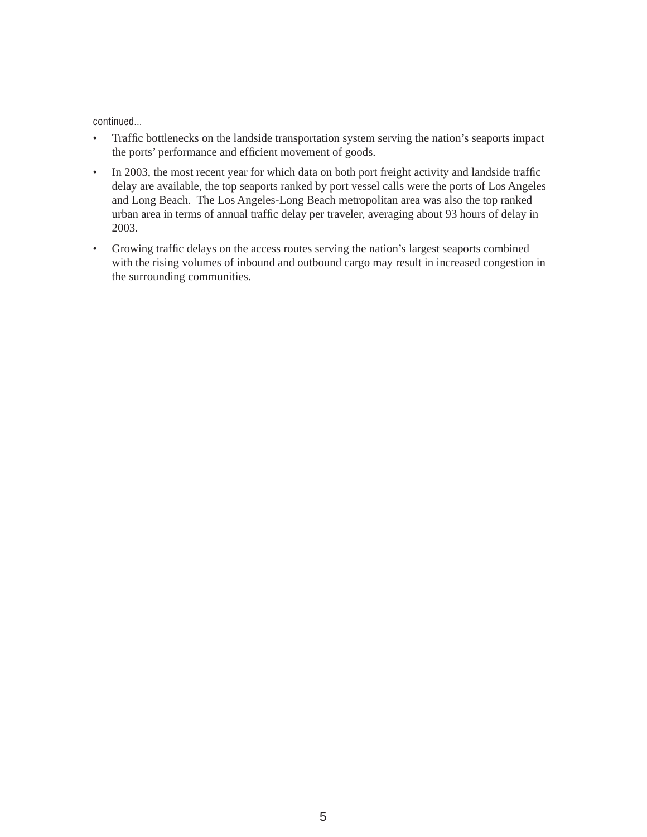continued...

- Traffic bottlenecks on the landside transportation system serving the nation's seaports impact the ports' performance and efficient movement of goods.
- In 2003, the most recent year for which data on both port freight activity and landside traffic delay are available, the top seaports ranked by port vessel calls were the ports of Los Angeles and Long Beach. The Los Angeles-Long Beach metropolitan area was also the top ranked urban area in terms of annual traffic delay per traveler, averaging about 93 hours of delay in 2003.
- Growing traffic delays on the access routes serving the nation's largest seaports combined with the rising volumes of inbound and outbound cargo may result in increased congestion in the surrounding communities.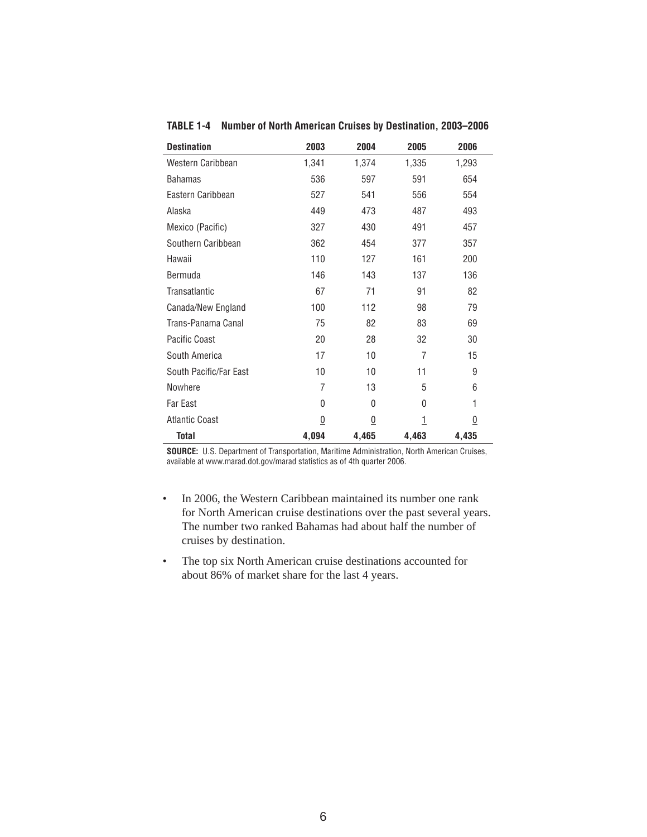| <b>Destination</b>     | 2003            | 2004           | 2005  | 2006           |
|------------------------|-----------------|----------------|-------|----------------|
| Western Caribbean      | 1,341           | 1,374          | 1,335 | 1,293          |
| <b>Bahamas</b>         | 536             | 597            | 591   | 654            |
| Eastern Caribbean      | 527             | 541            | 556   | 554            |
| Alaska                 | 449             | 473            | 487   | 493            |
| Mexico (Pacific)       | 327             | 430            | 491   | 457            |
| Southern Caribbean     | 362             | 454            | 377   | 357            |
| Hawaii                 | 110             | 127            | 161   | 200            |
| Bermuda                | 146             | 143            | 137   | 136            |
| Transatlantic          | 67              | 71             | 91    | 82             |
| Canada/New England     | 100             | 112            | 98    | 79             |
| Trans-Panama Canal     | 75              | 82             | 83    | 69             |
| Pacific Coast          | 20              | 28             | 32    | 30             |
| South America          | 17              | 10             | 7     | 15             |
| South Pacific/Far East | 10 <sup>°</sup> | 10             | 11    | 9              |
| Nowhere                | 7               | 13             | 5     | 6              |
| <b>Far East</b>        | $\Omega$        | 0              | 0     | 1              |
| <b>Atlantic Coast</b>  | $\overline{0}$  | $\overline{0}$ | 1     | $\overline{0}$ |
| Total                  | 4,094           | 4,465          | 4,463 | 4,435          |

**TABLE 1-4 Number of North American Cruises by Destination, 2003–2006**

**SOURCE:** U.S. Department of Transportation, Maritime Administration, North American Cruises, available at www.marad.dot.gov/marad statistics as of 4th quarter 2006.

- In 2006, the Western Caribbean maintained its number one rank for North American cruise destinations over the past several years. The number two ranked Bahamas had about half the number of cruises by destination.
- The top six North American cruise destinations accounted for about 86% of market share for the last 4 years.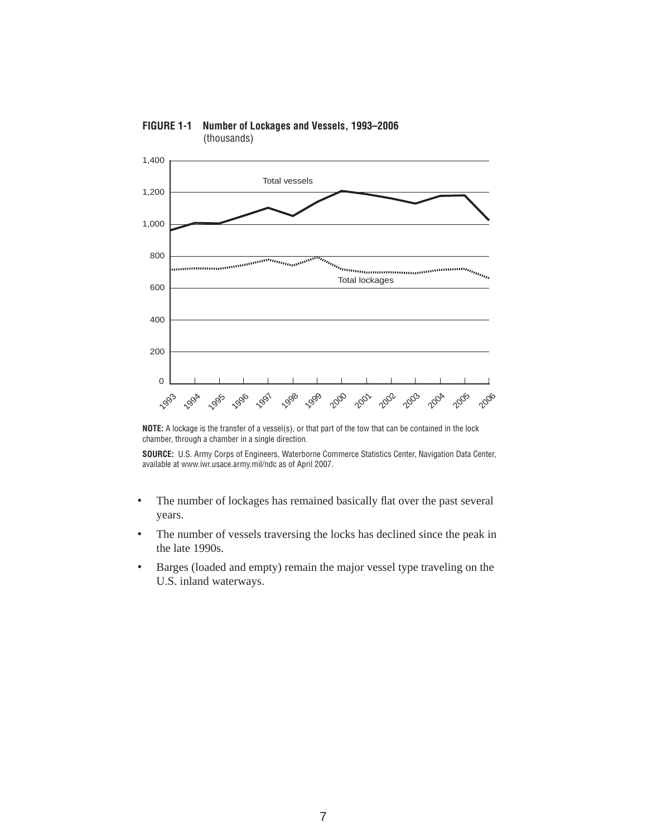

**FIGURE 1-1 Number of Lockages and Vessels, 1993–2006** (thousands)

**NOTE:** A lockage is the transfer of a vessel(s), or that part of the tow that can be contained in the lock chamber, through a chamber in a single direction.

**SOURCE:** U.S. Army Corps of Engineers, Waterborne Commerce Statistics Center, Navigation Data Center, available at www.iwr.usace.army.mil/ndc as of April 2007.

- The number of lockages has remained basically flat over the past several years.
- The number of vessels traversing the locks has declined since the peak in the late 1990s.
- Barges (loaded and empty) remain the major vessel type traveling on the U.S. inland waterways.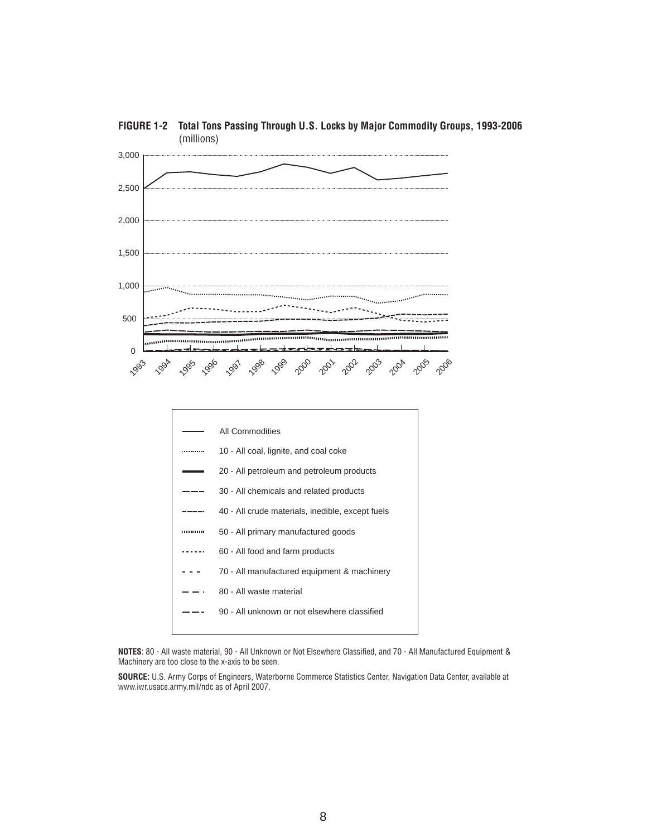

**FIGURE 1-2 Total Tons Passing Through U.S. Locks by Major Commodity Groups, 1993-2006** (millions)



**SOURCE:** U.S. Army Corps of Engineers, Waterborne Commerce Statistics Center, Navigation Data Center, available at www.iwr.usace.army.mil/ndc as of April 2007.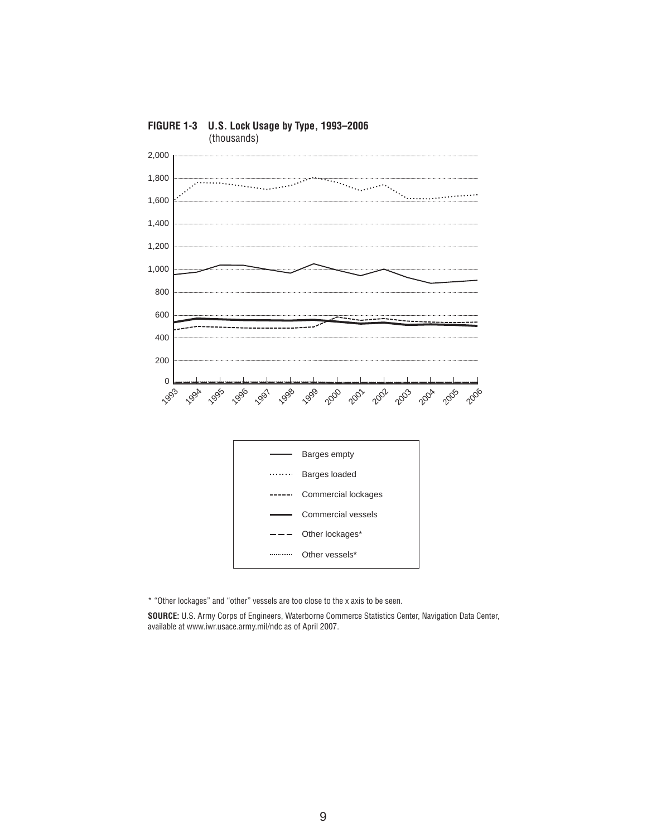

# **FIGURE 1-3 U.S. Lock Usage by Type, 1993–2006**

\* "Other lockages" and "other" vessels are too close to the x axis to be seen.

**SOURCE:** U.S. Army Corps of Engineers, Waterborne Commerce Statistics Center, Navigation Data Center, available at www.iwr.usace.army.mil/ndc as of April 2007.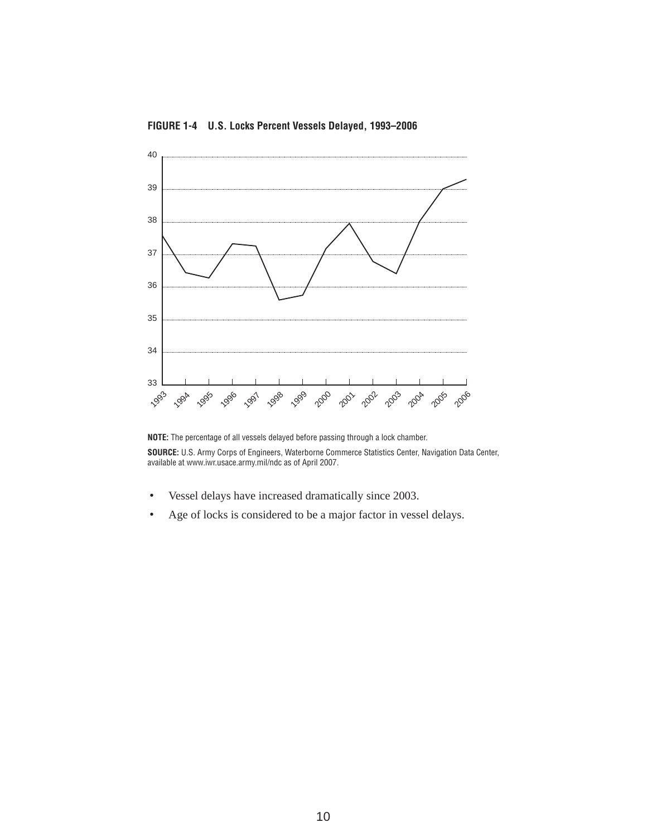**FIGURE 1-4 U.S. Locks Percent Vessels Delayed, 1993–2006**



**NOTE:** The percentage of all vessels delayed before passing through a lock chamber. **SOURCE:** U.S. Army Corps of Engineers, Waterborne Commerce Statistics Center, Navigation Data Center, available at www.iwr.usace.army.mil/ndc as of April 2007.

- Vessel delays have increased dramatically since 2003.
- Age of locks is considered to be a major factor in vessel delays.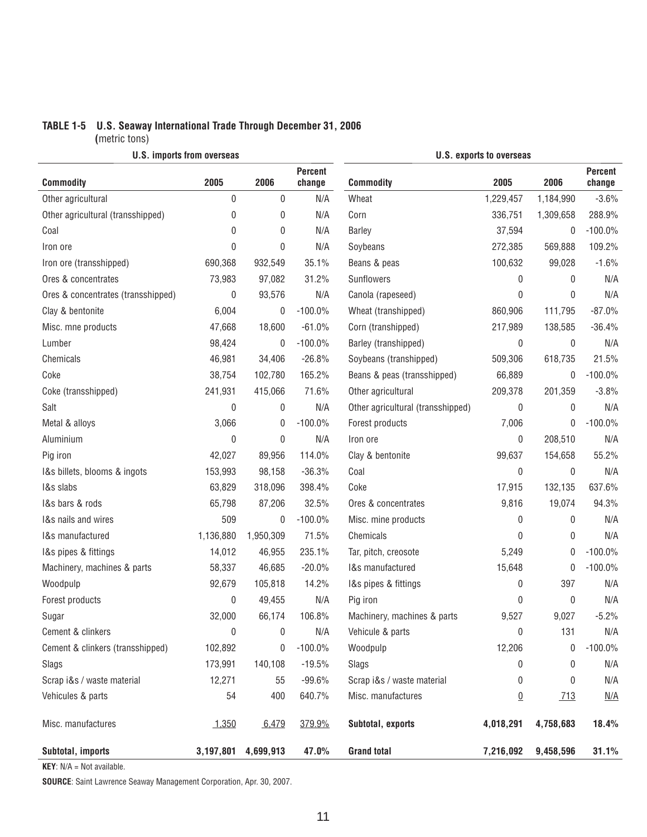# **TABLE 1-5 U.S. Seaway International Trade Through December 31, 2006 (**metric tons)

| <b>U.S. imports from overseas</b>  |           |             |                   | <b>U.S. exports to overseas</b>   |                 |           |                          |
|------------------------------------|-----------|-------------|-------------------|-----------------------------------|-----------------|-----------|--------------------------|
| <b>Commodity</b>                   | 2005      | 2006        | Percent<br>change | <b>Commodity</b>                  | 2005            | 2006      | <b>Percent</b><br>change |
| Other agricultural                 | 0         | 0           | N/A               | Wheat                             | 1,229,457       | 1,184,990 | $-3.6%$                  |
| Other agricultural (transshipped)  | 0         | 0           | N/A               | Corn                              | 336,751         | 1,309,658 | 288.9%                   |
| Coal                               | 0         | 0           | N/A               | <b>Barley</b>                     | 37,594          | 0         | $-100.0\%$               |
| Iron ore                           | 0         | 0           | N/A               | Soybeans                          | 272,385         | 569,888   | 109.2%                   |
| Iron ore (transshipped)            | 690,368   | 932,549     | 35.1%             | Beans & peas                      | 100,632         | 99,028    | $-1.6%$                  |
| Ores & concentrates                | 73,983    | 97,082      | 31.2%             | Sunflowers                        | 0               | 0         | N/A                      |
| Ores & concentrates (transshipped) | 0         | 93,576      | N/A               | Canola (rapeseed)                 | $\mathbf{0}$    | 0         | N/A                      |
| Clay & bentonite                   | 6,004     | 0           | $-100.0%$         | Wheat (transhipped)               | 860,906         | 111,795   | $-87.0%$                 |
| Misc. mne products                 | 47,668    | 18,600      | $-61.0%$          | Corn (transhipped)                | 217,989         | 138,585   | $-36.4%$                 |
| Lumber                             | 98,424    | $\mathbf 0$ | $-100.0\%$        | Barley (transhipped)              | 0               | 0         | N/A                      |
| Chemicals                          | 46,981    | 34,406      | $-26.8%$          | Soybeans (transhipped)            | 509,306         | 618,735   | 21.5%                    |
| Coke                               | 38,754    | 102,780     | 165.2%            | Beans & peas (transshipped)       | 66,889          | 0         | $-100.0\%$               |
| Coke (transshipped)                | 241,931   | 415,066     | 71.6%             | Other agricultural                | 209,378         | 201,359   | $-3.8%$                  |
| Salt                               | 0         | 0           | N/A               | Other agricultural (transshipped) | 0               | 0         | N/A                      |
| Metal & alloys                     | 3,066     | 0           | $-100.0\%$        | Forest products                   | 7,006           | 0         | $-100.0\%$               |
| Aluminium                          | 0         | 0           | N/A               | Iron ore                          | 0               | 208,510   | N/A                      |
| Pig iron                           | 42,027    | 89,956      | 114.0%            | Clay & bentonite                  | 99,637          | 154,658   | 55.2%                    |
| I&s billets, blooms & ingots       | 153,993   | 98,158      | $-36.3%$          | Coal                              | 0               | 0         | N/A                      |
| 1&s slabs                          | 63,829    | 318,096     | 398.4%            | Coke                              | 17,915          | 132,135   | 637.6%                   |
| 1&s bars & rods                    | 65,798    | 87,206      | 32.5%             | Ores & concentrates               | 9,816           | 19,074    | 94.3%                    |
| 1&s nails and wires                | 509       | 0           | $-100.0\%$        | Misc. mine products               | 0               | 0         | N/A                      |
| 1&s manufactured                   | 1,136,880 | 1,950,309   | 71.5%             | Chemicals                         | $\Omega$        | 0         | N/A                      |
| I&s pipes & fittings               | 14,012    | 46,955      | 235.1%            | Tar, pitch, creosote              | 5,249           | 0         | $-100.0\%$               |
| Machinery, machines & parts        | 58,337    | 46,685      | $-20.0%$          | I&s manufactured                  | 15,648          | 0         | $-100.0\%$               |
| Woodpulp                           | 92,679    | 105,818     | 14.2%             | I&s pipes & fittings              | 0               | 397       | N/A                      |
| Forest products                    | 0         | 49,455      | N/A               | Pig iron                          | 0               | 0         | N/A                      |
| Sugar                              | 32,000    | 66,174      | 106.8%            | Machinery, machines & parts       | 9,527           | 9,027     | $-5.2%$                  |
| Cement & clinkers                  | 0         | 0           | N/A               | Vehicule & parts                  | 0               | 131       | N/A                      |
| Cement & clinkers (transshipped)   | 102,892   | 0           | $-100.0\%$        | Woodpulp                          | 12,206          | 0         | $-100.0\%$               |
| Slags                              | 173,991   | 140,108     | $-19.5%$          | Slags                             | 0               | 0         | N/A                      |
| Scrap i&s / waste material         | 12,271    | 55          | $-99.6%$          | Scrap i&s / waste material        | 0               | 0         | N/A                      |
| Vehicules & parts                  | 54        | 400         | 640.7%            | Misc. manufactures                | $\underline{0}$ | 713       | N/A                      |
| Misc. manufactures                 | 1,350     | 6,479       | 379.9%            | Subtotal, exports                 | 4,018,291       | 4,758,683 | 18.4%                    |
| Subtotal, imports                  | 3,197,801 | 4,699,913   | 47.0%             | <b>Grand total</b>                | 7,216,092       | 9,458,596 | 31.1%                    |

**KEY**: N/A = Not available.

**SOURCE**: Saint Lawrence Seaway Management Corporation, Apr. 30, 2007.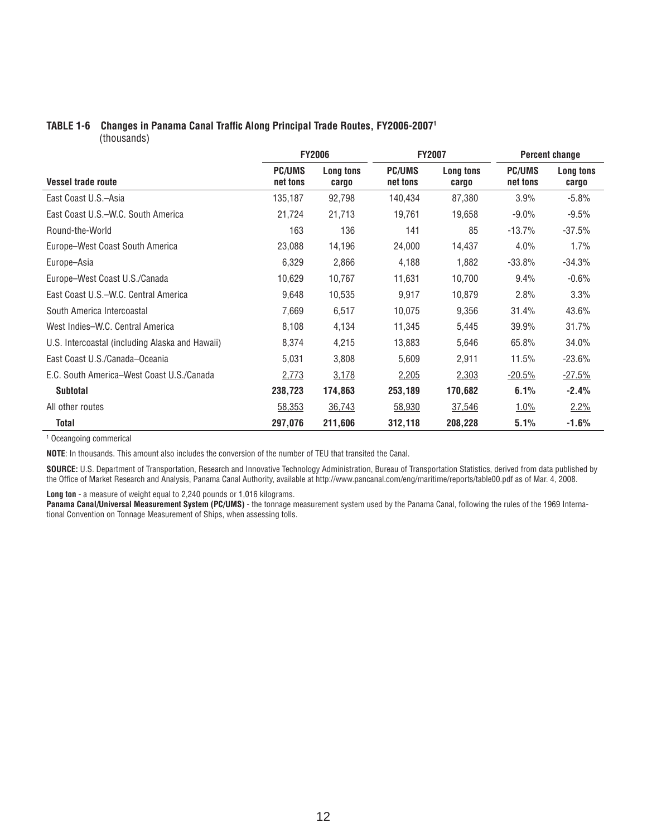# **TABLE 1-6 Changes in Panama Canal Traffic Along Principal Trade Routes, FY2006-2007<sup>1</sup>**

(thousands)

|                                                 |                           | <b>FY2006</b>      |                           | <b>FY2007</b>      |                           | <b>Percent change</b> |
|-------------------------------------------------|---------------------------|--------------------|---------------------------|--------------------|---------------------------|-----------------------|
| <b>Vessel trade route</b>                       | <b>PC/UMS</b><br>net tons | Long tons<br>cargo | <b>PC/UMS</b><br>net tons | Long tons<br>cargo | <b>PC/UMS</b><br>net tons | Long tons<br>cargo    |
| East Coast U.S.-Asia                            | 135,187                   | 92,798             | 140,434                   | 87,380             | 3.9%                      | $-5.8\%$              |
| East Coast U.S.-W.C. South America              | 21,724                    | 21,713             | 19,761                    | 19,658             | $-9.0\%$                  | $-9.5%$               |
| Round-the-World                                 | 163                       | 136                | 141                       | 85                 | $-13.7%$                  | $-37.5%$              |
| Europe-West Coast South America                 | 23,088                    | 14,196             | 24,000                    | 14,437             | 4.0%                      | 1.7%                  |
| Europe-Asia                                     | 6,329                     | 2,866              | 4,188                     | 1,882              | $-33.8%$                  | $-34.3%$              |
| Europe-West Coast U.S./Canada                   | 10,629                    | 10,767             | 11,631                    | 10,700             | $9.4\%$                   | $-0.6%$               |
| East Coast U.S.–W.C. Central America            | 9,648                     | 10,535             | 9,917                     | 10,879             | 2.8%                      | 3.3%                  |
| South America Intercoastal                      | 7,669                     | 6,517              | 10,075                    | 9,356              | 31.4%                     | 43.6%                 |
| West Indies-W.C. Central America                | 8,108                     | 4,134              | 11,345                    | 5,445              | 39.9%                     | 31.7%                 |
| U.S. Intercoastal (including Alaska and Hawaii) | 8,374                     | 4,215              | 13,883                    | 5,646              | 65.8%                     | 34.0%                 |
| East Coast U.S./Canada-Oceania                  | 5,031                     | 3,808              | 5,609                     | 2,911              | 11.5%                     | $-23.6%$              |
| E.C. South America-West Coast U.S./Canada       | 2,773                     | 3,178              | 2,205                     | 2,303              | $-20.5%$                  | $-27.5%$              |
| <b>Subtotal</b>                                 | 238,723                   | 174,863            | 253,189                   | 170,682            | 6.1%                      | $-2.4%$               |
| All other routes                                | 58,353                    | 36,743             | 58,930                    | 37,546             | 1.0%                      | $2.2\%$               |
| Total                                           | 297,076                   | 211,606            | 312,118                   | 208,228            | 5.1%                      | $-1.6%$               |

1 Oceangoing commerical

**NOTE**: In thousands. This amount also includes the conversion of the number of TEU that transited the Canal.

**SOURCE:** U.S. Department of Transportation, Research and Innovative Technology Administration, Bureau of Transportation Statistics, derived from data published by the Office of Market Research and Analysis, Panama Canal Authority, available at http://www.pancanal.com/eng/maritime/reports/table00.pdf as of Mar. 4, 2008.

**Long ton** - a measure of weight equal to 2,240 pounds or 1,016 kilograms.

**Panama Canal/Universal Measurement System (PC/UMS)** - the tonnage measurement system used by the Panama Canal, following the rules of the 1969 International Convention on Tonnage Measurement of Ships, when assessing tolls.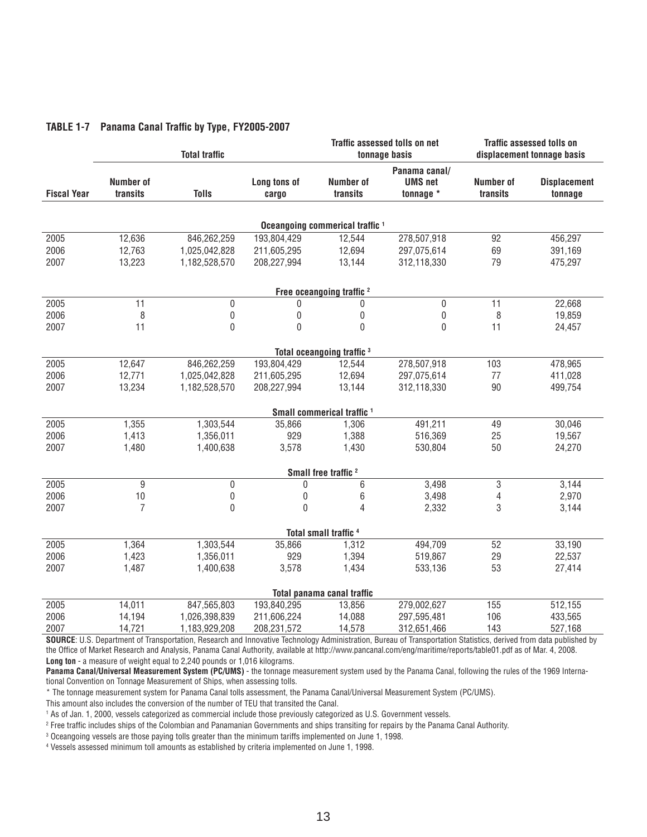|                    |                              | <b>Total traffic</b> |                       |                                            | <b>Traffic assessed tolls on net</b><br>tonnage basis |                              | <b>Traffic assessed tolls on</b><br>displacement tonnage basis |
|--------------------|------------------------------|----------------------|-----------------------|--------------------------------------------|-------------------------------------------------------|------------------------------|----------------------------------------------------------------|
| <b>Fiscal Year</b> | <b>Number of</b><br>transits | <b>Tolls</b>         | Long tons of<br>cargo | Number of<br>transits                      | Panama canal/<br><b>UMS net</b><br>tonnage *          | <b>Number of</b><br>transits | <b>Displacement</b><br>tonnage                                 |
|                    |                              |                      |                       | Oceangoing commerical traffic <sup>1</sup> |                                                       |                              |                                                                |
| 2005               | 12,636                       | 846,262,259          | 193,804,429           | 12,544                                     | 278,507,918                                           | 92                           | 456,297                                                        |
| 2006               | 12,763                       | 1,025,042,828        | 211,605,295           | 12,694                                     | 297,075,614                                           | 69                           | 391,169                                                        |
| 2007               | 13,223                       | 1,182,528,570        | 208,227,994           | 13,144                                     | 312,118,330                                           | 79                           | 475,297                                                        |
|                    |                              |                      |                       | Free oceangoing traffic <sup>2</sup>       |                                                       |                              |                                                                |
| 2005               | 11                           | 0                    | 0                     | 0                                          | 0                                                     | 11                           | 22,668                                                         |
| 2006               | 8                            | $\boldsymbol{0}$     | $\boldsymbol{0}$      | $\pmb{0}$                                  | $\boldsymbol{0}$                                      | 8                            | 19,859                                                         |
| 2007               | 11                           | $\mathbf 0$          | 0                     | $\mathbf{0}$                               | 0                                                     | 11                           | 24,457                                                         |
|                    |                              |                      |                       | Total oceangoing traffic 3                 |                                                       |                              |                                                                |
| 2005               | 12,647                       | 846,262,259          | 193,804,429           | 12,544                                     | 278,507,918                                           | 103                          | 478,965                                                        |
| 2006               | 12,771                       | 1,025,042,828        | 211,605,295           | 12,694                                     | 297,075,614                                           | 77                           | 411,028                                                        |
| 2007               | 13,234                       | 1,182,528,570        | 208,227,994           | 13,144                                     | 312,118,330                                           | 90                           | 499,754                                                        |
|                    |                              |                      |                       | Small commerical traffic <sup>1</sup>      |                                                       |                              |                                                                |
| 2005               | 1,355                        | 1,303,544            | 35,866                | 1,306                                      | 491,211                                               | 49                           | 30,046                                                         |
| 2006               | 1,413                        | 1,356,011            | 929                   | 1,388                                      | 516,369                                               | 25                           | 19,567                                                         |
| 2007               | 1,480                        | 1,400,638            | 3,578                 | 1,430                                      | 530,804                                               | 50                           | 24,270                                                         |
|                    |                              |                      |                       | Small free traffic <sup>2</sup>            |                                                       |                              |                                                                |
| 2005               | 9                            | 0                    | 0                     | 6                                          | 3,498                                                 | 3                            | 3,144                                                          |
| 2006               | 10                           | $\boldsymbol{0}$     | 0                     | 6                                          | 3,498                                                 | 4                            | 2,970                                                          |
| 2007               | $\overline{7}$               | $\mathbf 0$          | 0                     | $\overline{4}$                             | 2,332                                                 | 3                            | 3,144                                                          |
|                    |                              |                      |                       | Total small traffic <sup>4</sup>           |                                                       |                              |                                                                |
| 2005               | 1,364                        | 1,303,544            | 35,866                | 1,312                                      | 494,709                                               | 52                           | 33,190                                                         |
| 2006               | 1,423                        | 1,356,011            | 929                   | 1,394                                      | 519,867                                               | 29                           | 22,537                                                         |
| 2007               | 1,487                        | 1,400,638            | 3,578                 | 1,434                                      | 533,136                                               | 53                           | 27,414                                                         |
|                    |                              |                      |                       | Total panama canal traffic                 |                                                       |                              |                                                                |
| 2005               | 14,011                       | 847,565,803          | 193,840,295           | 13,856                                     | 279,002,627                                           | 155                          | 512,155                                                        |
| 2006               | 14,194                       | 1,026,398,839        | 211,606,224           | 14,088                                     | 297,595,481                                           | 106                          | 433,565                                                        |
| 2007               | 14,721                       | 1,183,929,208        | 208,231,572           | 14,578                                     | 312,651,466                                           | 143                          | 527,168                                                        |

### TABLE 1-7 Panama Canal Traffic by Type, FY2005-2007

**SOURCE**: U.S. Department of Transportation, Research and Innovative Technology Administration, Bureau of Transportation Statistics, derived from data published by the Office of Market Research and Analysis, Panama Canal Authority, available at http://www.pancanal.com/eng/maritime/reports/table01.pdf as of Mar. 4, 2008. **Long ton** - a measure of weight equal to 2,240 pounds or 1,016 kilograms.

**Panama Canal/Universal Measurement System (PC/UMS)** - the tonnage measurement system used by the Panama Canal, following the rules of the 1969 International Convention on Tonnage Measurement of Ships, when assessing tolls.

\* The tonnage measurement system for Panama Canal tolls assessment, the Panama Canal/Universal Measurement System (PC/UMS).

This amount also includes the conversion of the number of TEU that transited the Canal.

1 As of Jan. 1, 2000, vessels categorized as commercial include those previously categorized as U.S. Government vessels.

<sup>2</sup> Free traffic includes ships of the Colombian and Panamanian Governments and ships transiting for repairs by the Panama Canal Authority.

3 Oceangoing vessels are those paying tolls greater than the minimum tariffs implemented on June 1, 1998.

4 Vessels assessed minimum toll amounts as established by criteria implemented on June 1, 1998.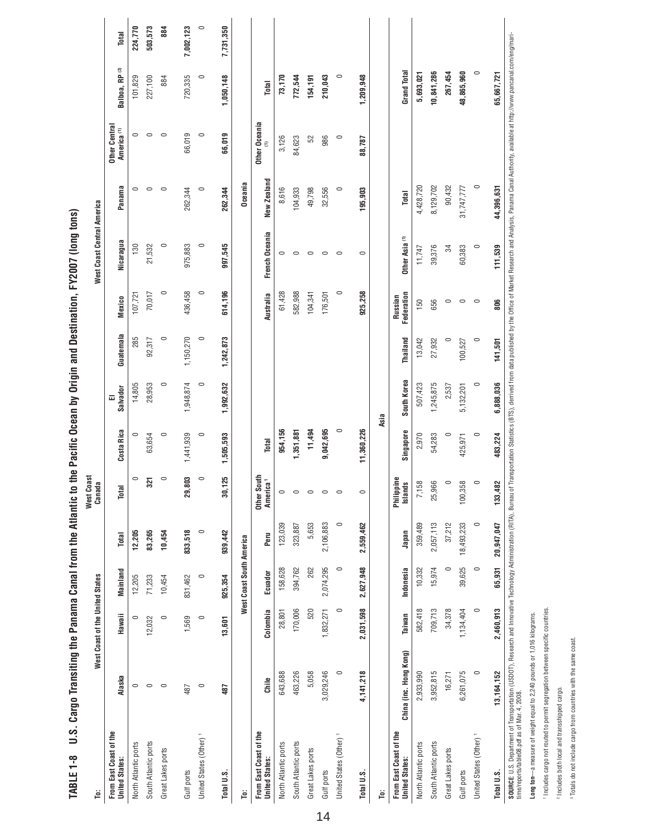| .<br>בשטבי<br>jä                                | (elion film)   מסור   הרוב   המונח   המונח   המונח   המונח   המונח   המונח   המונח   המונח   המונח   המונח   המונח   המונח   המונח   המונח   המונח   המונח   המונח   המונח   המונח   המונח   המונח   המונח   המונח   המונח     | West Coast of the United States |                                 |            | <b>West Coast</b><br>Canada         |            |             |           |                       | West Coast Central America |             |                                         |                           |           |
|-------------------------------------------------|--------------------------------------------------------------------------------------------------------------------------------------------------------------------------------------------------------------------------------|---------------------------------|---------------------------------|------------|-------------------------------------|------------|-------------|-----------|-----------------------|----------------------------|-------------|-----------------------------------------|---------------------------|-----------|
| From East Coast of the<br><b>United States:</b> | Alaska                                                                                                                                                                                                                         | Hawaii                          | Mainland                        | Total      | Total                               | Costa Rica | Salvador    | Guatemala | <b>Mexico</b>         | Nicaragua                  | Panama      | Other Central<br>America <sup>(1)</sup> | Balboa, RP <sup>(2)</sup> | Total     |
| North Atlantic ports                            | 0                                                                                                                                                                                                                              | $\circ$                         | 12,205                          | 12,205     | $\circ$                             | $\circ$    | 14,805      | 285       | 107,721               | 130                        | 0           | 0                                       | 101,829                   | 224,770   |
| South Atlantic ports                            | $\circ$                                                                                                                                                                                                                        | 12,032                          | 71,233                          | 83,265     | 321                                 | 63,654     | 28,953      | 92,317    | 70,017                | 21,532                     | $\circ$     | $\circ$                                 | 227,100                   | 503,573   |
| Great Lakes ports                               | $\circ$                                                                                                                                                                                                                        | $\circ$                         | 10,454                          | 10,454     | $\circ$                             | $\circ$    | $\circ$     | $\circ$   | $\circ$               | $\circ$                    | $\circ$     | $\circ$                                 | 884                       | 884       |
| Gulf ports                                      | 487                                                                                                                                                                                                                            | 1,569                           | 831,462                         | 833,518    | 803<br>29,                          | 1,441,939  | 1,948,874   | 1,150,270 | 436,458               | 975,883                    | 262,344     | 66,019                                  | 720,335                   | 7,002,123 |
| United States (Other) <sup>1</sup>              | $\circ$                                                                                                                                                                                                                        | $\circ$                         | $\circ$                         | $\circ$    | $\circ$                             | $\circ$    | $\circ$     | $\circ$   | $\circ$               | $\circ$                    | $\circ$     | $\circ$                                 | $\circ$                   | $\circ$   |
| Total U.S.                                      | 487                                                                                                                                                                                                                            | 13,601                          | 925,354                         | 939,442    | 125<br>ສ,                           | 1,505,593  | 1,992,632   | 1,242,873 | 614,196               | 997,545                    | 262,344     | 66,019                                  | 1,050,148                 | 7,731,350 |
| ë                                               |                                                                                                                                                                                                                                |                                 | <b>West Coast South America</b> |            |                                     |            |             |           |                       |                            | Oceania     |                                         |                           |           |
| From East Coast of the<br><b>United States:</b> | Chile                                                                                                                                                                                                                          | Colombia                        | Ecuador                         | Peru       | Other South<br>America <sup>1</sup> | Total      |             |           | <b>Australia</b>      | French Oceania             | New Zealand | Other Oceania                           | Total                     |           |
| North Atlantic ports                            | 643,688                                                                                                                                                                                                                        | 28,801                          | 158,628                         | 123,039    | $\circ$                             | 954,156    |             |           | 61,428                | $\circ$                    | 8,616       | 3,126                                   | 73,170                    |           |
| South Atlantic ports                            | 463,226                                                                                                                                                                                                                        | 170,006                         | 394,762                         | 323,887    | $\circ$                             | 1,351,881  |             |           | 582,988               | $\circ$                    | 104,933     | 84,623                                  | 772,544                   |           |
| Great Lakes ports                               | 5,058                                                                                                                                                                                                                          | 520                             | 262                             | 5,653      | $\circ$                             | 11,494     |             |           | 104,341               | $\circ$                    | 49,798      | 52                                      | 154,191                   |           |
| Gulf ports                                      | 3,029,246                                                                                                                                                                                                                      | 1,832,271                       | 2,074,295                       | 2,106,883  | $\circ$                             | 9,042,695  |             |           | 176,501               | $\circ$                    | 32,556      | 986                                     | 210,043                   |           |
| United States (Other) <sup>1</sup>              | $\circ$                                                                                                                                                                                                                        | $\circ$                         | $\circ$                         | $\circ$    | $\circ$                             | $\circ$    |             |           | $\circ$               | $\circ$                    | $\circ$     | $\circ$                                 | $\circ$                   |           |
| Total U.S.                                      | 4,141,218                                                                                                                                                                                                                      | 2,031,598                       | 2,627,948                       | 2,559,462  | $\circ$                             | 11,360,226 |             |           | 925,258               | $\circ$                    | 195,903     | 88,787                                  | 1,209,948                 |           |
| ρï                                              |                                                                                                                                                                                                                                |                                 |                                 |            |                                     |            | Asia        |           |                       |                            |             |                                         |                           |           |
| From East Coast of the<br><b>United States:</b> | China (inc. Hong Kong)                                                                                                                                                                                                         | Taiwan                          | Indonesia                       | Japan      | Philippine<br>Islands               | Singapore  | South Korea | Thailand  | Federation<br>Russian | Other Asia <sup>(1)</sup>  | Total       |                                         | Grand Total               |           |
| North Atlantic ports                            | 2,933,990                                                                                                                                                                                                                      | 582,418                         | 10,332                          | 359,489    | 7,158                               | 2,970      | 507,423     | 13,042    | 150                   | 11,747                     | 4,428,720   |                                         | 5,693,021                 |           |
| South Atlantic ports                            | 3,952,815                                                                                                                                                                                                                      | 709,713                         | 15,974                          | 2,057,113  | 25,966                              | 54,283     | 1,245,875   | 27,932    | 656                   | 39,376                     | 8,129,702   |                                         | 10,841,286                |           |
| Great Lakes ports                               | 16,271                                                                                                                                                                                                                         | 34,378                          | $\circ$                         | 37,212     | $\circ$                             | $\circ$    | 2,537       | $\circ$   | $\circ$               | 34                         | 90,432      |                                         | 267,454                   |           |
| Gulf ports                                      | 6,261,075                                                                                                                                                                                                                      | 1,134,404                       | 39,625                          | 18,493,233 | 100,358                             | 425,971    | 5,132,201   | 100,527   | $\circ$               | 60,383                     | 31,747,777  |                                         | 48,865,960                |           |
| United States (Other) <sup>1</sup>              | $\circ$                                                                                                                                                                                                                        | $\circ$                         | $\circ$                         | $\circ$    | $\circ$                             | $\circ$    | $\circ$     | $\circ$   | $\circ$               | $\circ$                    | $\circ$     |                                         | $\circ$                   |           |
| Total U.S.                                      | 13, 164, 152                                                                                                                                                                                                                   | 2,460,913                       | 65,931                          | 20,947,047 | 133,482                             | 483,224    | 6,888,036   | 141,501   | 806                   | 111,539                    | 44,396,631  |                                         | 65,667,721                |           |
|                                                 | SOURCE: U.S. Department of Transportation (USDOT), Research and Innovative Technology Administration (RITA), Bureau of Transportation Statistics (BTS), derrived from data published by the Office of Market Research and Anal |                                 |                                 |            |                                     |            |             |           |                       |                            |             |                                         |                           |           |

TABLE 1-8 U.S. Cargo Transiting the Panama Canal from the Atlantic to the Pacific Ocean by Origin and Destination, FY2007 (long tons) TABLE 1-8 U.S. Cargo Transiting the Panama Canal from the Atlantic to the Pacific Ocean by Origin and Destination, FY2007 (long tons)

Long ton-a measure of weight equal to 2,240 pounds or 1,016 kilograms. and the soul war. 4, 2008. time/reports/tat

**Long ton**—a measure of weight equal to 2,240 pounds or 1,016 kilograms.

<sup>1</sup> Includes cargo not routed to permit segregation between specific countries. <sup>1</sup> Includes cargo not routed to permit segregation between specific countries.

<sup>2</sup> Includes both local and transshipped cargo. 2 Includes both local and transshipped cargo.

<sup>3</sup> Totals do not include cargo from countries with the same coast. 3 Totals do not include cargo from countries with the same coast.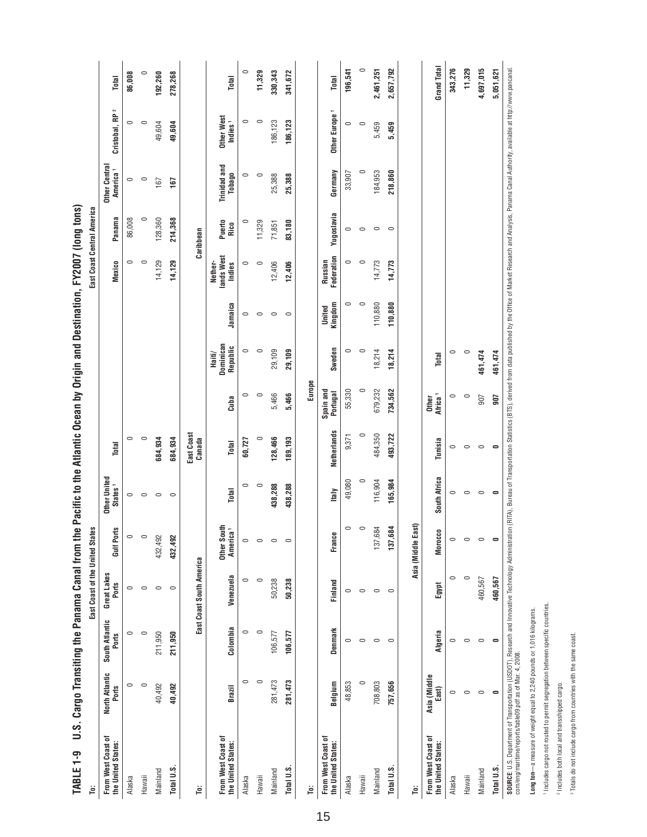| TABLE <sub>1-9</sub><br>μë                                                                                                                                                                                                    | U.S. Cargo Transiting the Panama Canal from the Pacific to the Atlantic Ocean by Origin and Destination, FY2007 (long tons) |                         | East Coast of the United States |                                                |                                            |                      |                              |                                 |                   |                                 | East Coast Central America |                                       |                                          |             |
|-------------------------------------------------------------------------------------------------------------------------------------------------------------------------------------------------------------------------------|-----------------------------------------------------------------------------------------------------------------------------|-------------------------|---------------------------------|------------------------------------------------|--------------------------------------------|----------------------|------------------------------|---------------------------------|-------------------|---------------------------------|----------------------------|---------------------------------------|------------------------------------------|-------------|
| From West Coast of<br>the United States:                                                                                                                                                                                      | North Atlantic<br>Ports                                                                                                     | South Atlantic<br>Ports | Great Lakes<br><b>Ports</b>     | Gulf Ports                                     | <b>Other United</b><br>States <sup>1</sup> | Total                |                              |                                 |                   | <b>Mexico</b>                   | Panama                     | Other Central<br>America <sup>1</sup> | Cristobal, RP <sup>2</sup>               | Total       |
| Alaska                                                                                                                                                                                                                        | $\circ$                                                                                                                     | $\circ$                 | $\circ$                         | $\circ$                                        | $\circ$                                    | $\circ$              |                              |                                 |                   | $\circ$                         | 86,008                     | $\circ$                               | $\circ$                                  | 86,008      |
| Hawaii                                                                                                                                                                                                                        | $\circ$                                                                                                                     | $\circ$                 | $\circ$                         | $\circ$                                        | $\circ$                                    | $\circ$              |                              |                                 |                   | $\circ$                         | 0                          | $\circ$                               | $\circ$                                  | $\circ$     |
| Mainland                                                                                                                                                                                                                      | 40,492                                                                                                                      | 211,950                 | $\circ$                         | 432,492                                        | $\circ$                                    | 684,934              |                              |                                 |                   | 14,129                          | 128,360                    | 167                                   | 49,604                                   | 192,260     |
| Total U.S.                                                                                                                                                                                                                    | 40,492                                                                                                                      | 211,950                 | $\circ$                         | 432,492                                        | $\circ$                                    | 684,934              |                              |                                 |                   | 14,129                          | 214,368                    | 167                                   | 49,604                                   | 278,268     |
| jë                                                                                                                                                                                                                            |                                                                                                                             |                         | East Coast South America        |                                                |                                            | East Coast<br>Canada |                              |                                 |                   |                                 | Caribbean                  |                                       |                                          |             |
| From West Coast of<br>the United States:                                                                                                                                                                                      | Brazil                                                                                                                      | Colombia                | Venezuela                       | Other South<br>America <sup>1</sup><br>America | Total                                      | <b>Total</b>         | Cuba                         | Dominican<br>Republic<br>Haiti/ | Jamaica           | lands West<br>Nether-<br>Indies | Puerto<br>Rico             | <b>Trinidad and</b><br>Tobago         | <b>Other West</b><br>Indies <sup>1</sup> | Total       |
| Alaska                                                                                                                                                                                                                        | $\circ$                                                                                                                     | $\circ$                 | $\circ$                         | $\circ$                                        | $\circ$                                    | 60,727               | $\circ$                      | $\circ$                         | $\circ$           | $\circ$                         | $\circ$                    | $\circ$                               | $\circ$                                  | $\circ$     |
| Hawaii                                                                                                                                                                                                                        | $\circ$                                                                                                                     | $\circ$                 | $\circ$                         | $\circ$                                        | $\circ$                                    | $\circ$              | $\circ$                      | $\circ$                         | $\circ$           | $\circ$                         | 11,329                     | $\circ$                               | $\circ$                                  | 11,329      |
| Mainland                                                                                                                                                                                                                      | 281,473                                                                                                                     | 106,577                 | 50,238                          | $\circ$                                        | 438,288                                    | 128,466              | 5,466                        | 29,109                          | $\circ$           | 12,406                          | 71,851                     | 25,388                                | 186,123                                  | 330,343     |
| Total U.S.                                                                                                                                                                                                                    | 281,473                                                                                                                     | 106,577                 | 50,238                          | $\circ$                                        | 438,288                                    | 189,193              | 5,466                        | 29,109                          | $\circ$           | 12,406                          | 83,180                     | 25,388                                | 186,123                                  | 341,672     |
| ë                                                                                                                                                                                                                             |                                                                                                                             |                         |                                 |                                                |                                            |                      | Europe                       |                                 |                   |                                 |                            |                                       |                                          |             |
| From West Coast of<br>the United States:                                                                                                                                                                                      | Belgium                                                                                                                     | Denmark                 | Finland                         | France                                         | <b>Italy</b>                               | <b>Netherlands</b>   | Spain and<br>Portugal        | Sweden                          | Kingdom<br>United | Federation<br>Russian           | Yugoslavia                 | Germany                               | Other Europe <sup>1</sup>                | Total       |
| Alaska                                                                                                                                                                                                                        | 48,853                                                                                                                      | $\circ$                 | $\circ$                         | $\circ$                                        | 49,080                                     | 9,371                | 55,330                       | $\circ$                         | 0                 | $\circ$                         | 0                          | 33,907                                | 0                                        | 196,541     |
| Hawaii                                                                                                                                                                                                                        | $\circ$                                                                                                                     | $\circ$                 | $\circ$                         | $\circ$                                        | $\circ$                                    | $\circ$              | $\circ$                      | $\circ$                         | $\circ$           | $\circ$                         | $\circ$                    | $\circ$                               | $\circ$                                  | $\circ$     |
| Mainland                                                                                                                                                                                                                      | 708,803                                                                                                                     | $\circ$                 | $\circ$                         | 137,684                                        | 116,904                                    | 484,350              | 679,232                      | 18,214                          | 110,880           | 14,773                          | $\circ$                    | 184,953                               | 5,459                                    | 2,461,251   |
| Total U.S.                                                                                                                                                                                                                    | 757,656                                                                                                                     | $\circ$                 | $\circ$                         | 137,684                                        | 165,984                                    | 493,722              | 734,562                      | 18,214                          | 110,880           | 14,773                          | $\circ$                    | 218,860                               | 5,459                                    | 2,657,792   |
| jë                                                                                                                                                                                                                            |                                                                                                                             |                         |                                 | Asia (Middle East)                             |                                            |                      |                              |                                 |                   |                                 |                            |                                       |                                          |             |
| From West Coast of<br>the United States:                                                                                                                                                                                      | Asia (Middle<br>East)                                                                                                       | Algeria                 | Egypt                           | Morocco                                        | South Africa                               | Tunisia              | Africa <sup>1</sup><br>Other | Total                           |                   |                                 |                            |                                       |                                          | Grand Total |
| Alaska                                                                                                                                                                                                                        | $\circ$                                                                                                                     | $\circ$                 | 0                               | $\circ$                                        | $\circ$                                    | $\circ$              | 0                            | 0                               |                   |                                 |                            |                                       |                                          | 343,276     |
| Hawaii                                                                                                                                                                                                                        | $\circ$                                                                                                                     | $\circ$                 | $\circ$                         | $\circ$                                        | $\circ$                                    | $\circ$              | $\circ$                      | $\circ$                         |                   |                                 |                            |                                       |                                          | 11,329      |
| Mainland                                                                                                                                                                                                                      | $\circ$                                                                                                                     | $\circ$                 | 460,567                         | $\circ$                                        | $\circ$                                    | $\circ$              | 907                          | 461,474                         |                   |                                 |                            |                                       |                                          | 4,697,015   |
| Total U.S.                                                                                                                                                                                                                    | $\overline{\phantom{0}}$                                                                                                    | $\bullet$               | 460,567                         | $\blacksquare$                                 | $\overline{\phantom{0}}$                   | $\bullet$            | 500                          | 461,474                         |                   |                                 |                            |                                       |                                          | 5,051,621   |
| SOURCE: U.S. Department of Tansportation (USDOT), Research and Innovative Teorion Bother Rother (RITA), Bureau of Transportation Statistics (BTS), derived from data published by the Office of Market Research and Analysis, |                                                                                                                             |                         |                                 |                                                |                                            |                      |                              |                                 |                   |                                 |                            |                                       |                                          |             |

Ŗ inda ļ

Long ton-a measure of weight equal to 2,240 pounds or 1,016 kilograms. **Long ton**—a measure of weight equal to 2,240 pounds or 1,016 kilograms.

<sup>1</sup> Includes cargo not routed to permit segregation between specific countries. <sup>1</sup> Includes cargo not routed to permit segregation between specific countries.

<sup>2</sup> Includes both local and transshipped cargo. 2 Includes both local and transshipped cargo.

<sup>3</sup> Totals do not include cargo from countries with the same coast. 3 Totals do not include cargo from countries with the same coast.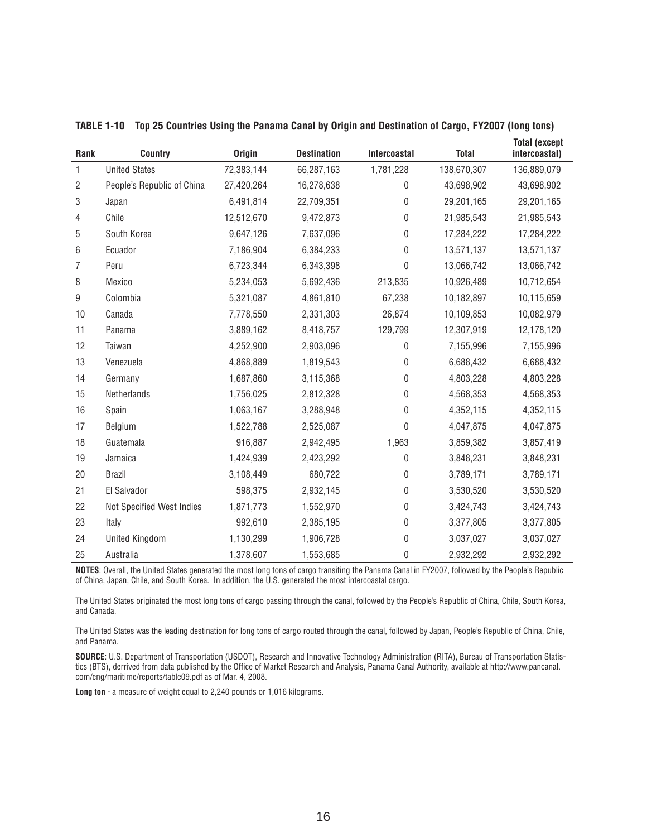| <b>Rank</b> | <b>Country</b>                   | <b>Origin</b> | <b>Destination</b> | <b>Intercoastal</b> | <b>Total</b> | <b>Total (except</b><br>intercoastal) |
|-------------|----------------------------------|---------------|--------------------|---------------------|--------------|---------------------------------------|
| 1           | <b>United States</b>             | 72,383,144    | 66,287,163         | 1,781,228           | 138,670,307  | 136,889,079                           |
| 2           | People's Republic of China       | 27,420,264    | 16,278,638         | $\boldsymbol{0}$    | 43,698,902   | 43,698,902                            |
| 3           | Japan                            | 6,491,814     | 22,709,351         | 0                   | 29,201,165   | 29,201,165                            |
| 4           | Chile                            | 12,512,670    | 9,472,873          | 0                   | 21,985,543   | 21,985,543                            |
| 5           | South Korea                      | 9,647,126     | 7,637,096          | 0                   | 17,284,222   | 17,284,222                            |
| 6           | Ecuador                          | 7,186,904     | 6,384,233          | $\boldsymbol{0}$    | 13,571,137   | 13,571,137                            |
| 7           | Peru                             | 6,723,344     | 6,343,398          | 0                   | 13,066,742   | 13,066,742                            |
| 8           | Mexico                           | 5,234,053     | 5,692,436          | 213,835             | 10,926,489   | 10,712,654                            |
| 9           | Colombia                         | 5,321,087     | 4,861,810          | 67,238              | 10,182,897   | 10,115,659                            |
| 10          | Canada                           | 7,778,550     | 2,331,303          | 26,874              | 10,109,853   | 10,082,979                            |
| 11          | Panama                           | 3,889,162     | 8,418,757          | 129,799             | 12,307,919   | 12,178,120                            |
| 12          | Taiwan                           | 4,252,900     | 2,903,096          | $\boldsymbol{0}$    | 7,155,996    | 7,155,996                             |
| 13          | Venezuela                        | 4,868,889     | 1,819,543          | 0                   | 6,688,432    | 6,688,432                             |
| 14          | Germany                          | 1,687,860     | 3,115,368          | 0                   | 4,803,228    | 4,803,228                             |
| 15          | Netherlands                      | 1,756,025     | 2,812,328          | 0                   | 4,568,353    | 4,568,353                             |
| 16          | Spain                            | 1,063,167     | 3,288,948          | 0                   | 4,352,115    | 4,352,115                             |
| 17          | Belgium                          | 1,522,788     | 2,525,087          | 0                   | 4,047,875    | 4,047,875                             |
| 18          | Guatemala                        | 916,887       | 2,942,495          | 1,963               | 3,859,382    | 3,857,419                             |
| 19          | Jamaica                          | 1,424,939     | 2,423,292          | 0                   | 3,848,231    | 3,848,231                             |
| 20          | <b>Brazil</b>                    | 3,108,449     | 680,722            | 0                   | 3,789,171    | 3,789,171                             |
| 21          | El Salvador                      | 598,375       | 2,932,145          | 0                   | 3,530,520    | 3,530,520                             |
| 22          | <b>Not Specified West Indies</b> | 1,871,773     | 1,552,970          | 0                   | 3,424,743    | 3,424,743                             |
| 23          | Italy                            | 992,610       | 2,385,195          | $\boldsymbol{0}$    | 3,377,805    | 3,377,805                             |
| 24          | <b>United Kingdom</b>            | 1,130,299     | 1,906,728          | 0                   | 3,037,027    | 3,037,027                             |
| 25          | Australia                        | 1,378,607     | 1,553,685          | 0                   | 2,932,292    | 2,932,292                             |

**TABLE 1-10 Top 25 Countries Using the Panama Canal by Origin and Destination of Cargo, FY2007 (long tons)**

**NOTES**: Overall, the United States generated the most long tons of cargo transiting the Panama Canal in FY2007, followed by the People's Republic of China, Japan, Chile, and South Korea. In addition, the U.S. generated the most intercoastal cargo.

The United States originated the most long tons of cargo passing through the canal, followed by the People's Republic of China, Chile, South Korea, and Canada.

The United States was the leading destination for long tons of cargo routed through the canal, followed by Japan, People's Republic of China, Chile, and Panama.

**SOURCE**: U.S. Department of Transportation (USDOT), Research and Innovative Technology Administration (RITA), Bureau of Transportation Statistics (BTS), derrived from data published by the Office of Market Research and Analysis, Panama Canal Authority, available at http://www.pancanal. com/eng/maritime/reports/table09.pdf as of Mar. 4, 2008.

**Long ton** - a measure of weight equal to 2,240 pounds or 1,016 kilograms.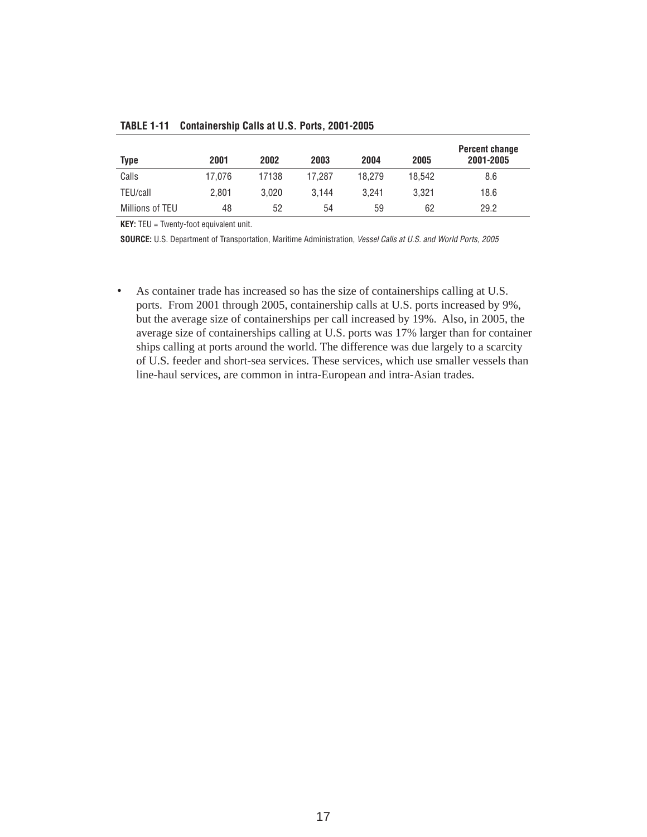| Type            | 2001   | 2002  | 2003   | 2004   | 2005   | Percent change<br>2001-2005 |
|-----------------|--------|-------|--------|--------|--------|-----------------------------|
| Calls           | 17.076 | 17138 | 17.287 | 18.279 | 18.542 | 8.6                         |
| TEU/call        | 2.801  | 3.020 | 3.144  | 3.241  | 3.321  | 18.6                        |
| Millions of TEU | 48     | 52    | 54     | 59     | 62     | 29.2                        |

**TABLE 1-11 Containership Calls at U.S. Ports, 2001-2005**

**KEY:** TEU = Twenty-foot equivalent unit.

**SOURCE:** U.S. Department of Transportation, Maritime Administration, *Vessel Calls at U.S. and World Ports, 2005*

• As container trade has increased so has the size of containerships calling at U.S. ports. From 2001 through 2005, containership calls at U.S. ports increased by 9%, but the average size of containerships per call increased by 19%. Also, in 2005, the average size of containerships calling at U.S. ports was 17% larger than for container ships calling at ports around the world. The difference was due largely to a scarcity of U.S. feeder and short-sea services. These services, which use smaller vessels than line-haul services, are common in intra-European and intra-Asian trades.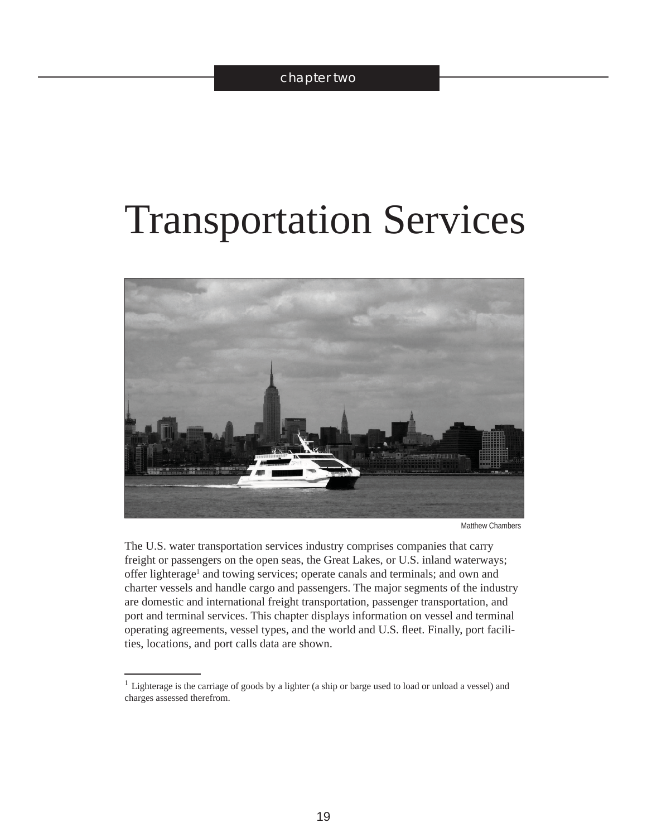# Transportation Services



Matthew Chambers

The U.S. water transportation services industry comprises companies that carry freight or passengers on the open seas, the Great Lakes, or U.S. inland waterways; offer lighterage<sup>1</sup> and towing services; operate canals and terminals; and own and charter vessels and handle cargo and passengers. The major segments of the industry are domestic and international freight transportation, passenger transportation, and port and terminal services. This chapter displays information on vessel and terminal operating agreements, vessel types, and the world and U.S. fleet. Finally, port facilities, locations, and port calls data are shown.

 $1$  Lighterage is the carriage of goods by a lighter (a ship or barge used to load or unload a vessel) and charges assessed therefrom.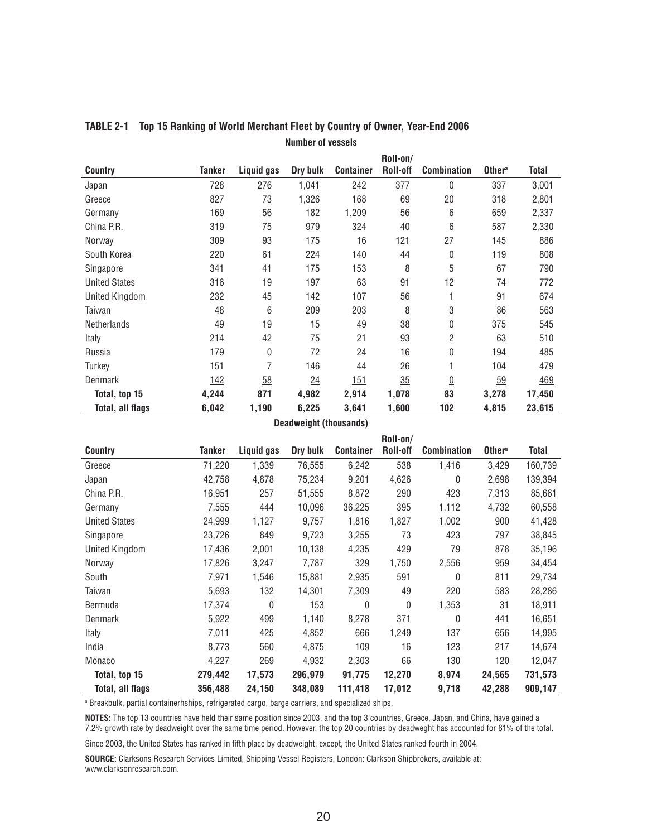|                      |        |              |          |                  | Roll-on/ |                    |                    |              |
|----------------------|--------|--------------|----------|------------------|----------|--------------------|--------------------|--------------|
| <b>Country</b>       | Tanker | Liquid gas   | Dry bulk | <b>Container</b> | Roll-off | <b>Combination</b> | Other <sup>a</sup> | <b>Total</b> |
| Japan                | 728    | 276          | 1,041    | 242              | 377      | $\mathbf{0}$       | 337                | 3,001        |
| Greece               | 827    | 73           | 1,326    | 168              | 69       | 20                 | 318                | 2,801        |
| Germany              | 169    | 56           | 182      | 1,209            | 56       | 6                  | 659                | 2,337        |
| China P.R.           | 319    | 75           | 979      | 324              | 40       | 6                  | 587                | 2,330        |
| Norway               | 309    | 93           | 175      | 16               | 121      | 27                 | 145                | 886          |
| South Korea          | 220    | 61           | 224      | 140              | 44       | 0                  | 119                | 808          |
| Singapore            | 341    | 41           | 175      | 153              | 8        | 5                  | 67                 | 790          |
| <b>United States</b> | 316    | 19           | 197      | 63               | 91       | 12                 | 74                 | 772          |
| United Kingdom       | 232    | 45           | 142      | 107              | 56       |                    | 91                 | 674          |
| Taiwan               | 48     | 6            | 209      | 203              | 8        | 3                  | 86                 | 563          |
| Netherlands          | 49     | 19           | 15       | 49               | 38       | 0                  | 375                | 545          |
| Italy                | 214    | 42           | 75       | 21               | 93       | 2                  | 63                 | 510          |
| Russia               | 179    | $\mathbf{0}$ | 72       | 24               | 16       | 0                  | 194                | 485          |
| Turkey               | 151    | 7            | 146      | 44               | 26       |                    | 104                | 479          |
| Denmark              | 142    | 58           | 24       | 151              | 35       | $\underline{0}$    | 59                 | 469          |
| Total, top 15        | 4,244  | 871          | 4,982    | 2,914            | 1,078    | 83                 | 3,278              | 17,450       |
| Total, all flags     | 6,042  | 1,190        | 6,225    | 3,641            | 1,600    | 102                | 4,815              | 23,615       |

# **TABLE 2-1 Top 15 Ranking of World Merchant Fleet by Country of Owner, Year-End 2006 Number of vessels**

**Deadweight (thousands)**

|                      |         |            |          |                  | Roll-on/ |                    |                    |              |
|----------------------|---------|------------|----------|------------------|----------|--------------------|--------------------|--------------|
| <b>Country</b>       | Tanker  | Liquid gas | Dry bulk | <b>Container</b> | Roll-off | <b>Combination</b> | Other <sup>a</sup> | <b>Total</b> |
| Greece               | 71,220  | 1,339      | 76,555   | 6,242            | 538      | 1,416              | 3,429              | 160,739      |
| Japan                | 42,758  | 4,878      | 75,234   | 9,201            | 4,626    | $\mathbf{0}$       | 2,698              | 139,394      |
| China P.R.           | 16,951  | 257        | 51,555   | 8,872            | 290      | 423                | 7,313              | 85,661       |
| Germany              | 7,555   | 444        | 10,096   | 36,225           | 395      | 1,112              | 4,732              | 60,558       |
| <b>United States</b> | 24,999  | 1,127      | 9,757    | 1,816            | 1,827    | 1,002              | 900                | 41,428       |
| Singapore            | 23,726  | 849        | 9,723    | 3,255            | 73       | 423                | 797                | 38,845       |
| United Kingdom       | 17,436  | 2,001      | 10,138   | 4,235            | 429      | 79                 | 878                | 35,196       |
| Norway               | 17,826  | 3,247      | 7,787    | 329              | 1,750    | 2,556              | 959                | 34,454       |
| South                | 7,971   | 1,546      | 15,881   | 2,935            | 591      | $\mathbf{0}$       | 811                | 29,734       |
| Taiwan               | 5,693   | 132        | 14,301   | 7,309            | 49       | 220                | 583                | 28,286       |
| Bermuda              | 17,374  | 0          | 153      | 0                | 0        | 1,353              | 31                 | 18,911       |
| Denmark              | 5,922   | 499        | 1,140    | 8,278            | 371      | $\mathbf{0}$       | 441                | 16,651       |
| Italy                | 7,011   | 425        | 4,852    | 666              | 1,249    | 137                | 656                | 14,995       |
| India                | 8,773   | 560        | 4,875    | 109              | 16       | 123                | 217                | 14,674       |
| Monaco               | 4,227   | 269        | 4,932    | 2,303            | 66       | 130                | <u>120</u>         | 12,047       |
| Total, top 15        | 279,442 | 17,573     | 296,979  | 91,775           | 12,270   | 8,974              | 24,565             | 731,573      |
| Total, all flags     | 356,488 | 24,150     | 348,089  | 111,418          | 17,012   | 9,718              | 42,288             | 909,147      |

a Breakbulk, partial containerhships, refrigerated cargo, barge carriers, and specialized ships.

**NOTES:** The top 13 countries have held their same position since 2003, and the top 3 countries, Greece, Japan, and China, have gained a 7.2% growth rate by deadweight over the same time period. However, the top 20 countries by deadweght has accounted for 81% of the total.

Since 2003, the United States has ranked in fifth place by deadweight, except, the United States ranked fourth in 2004.

**SOURCE:** Clarksons Research Services Limited, Shipping Vessel Registers, London: Clarkson Shipbrokers, available at: www.clarksonresearch.com.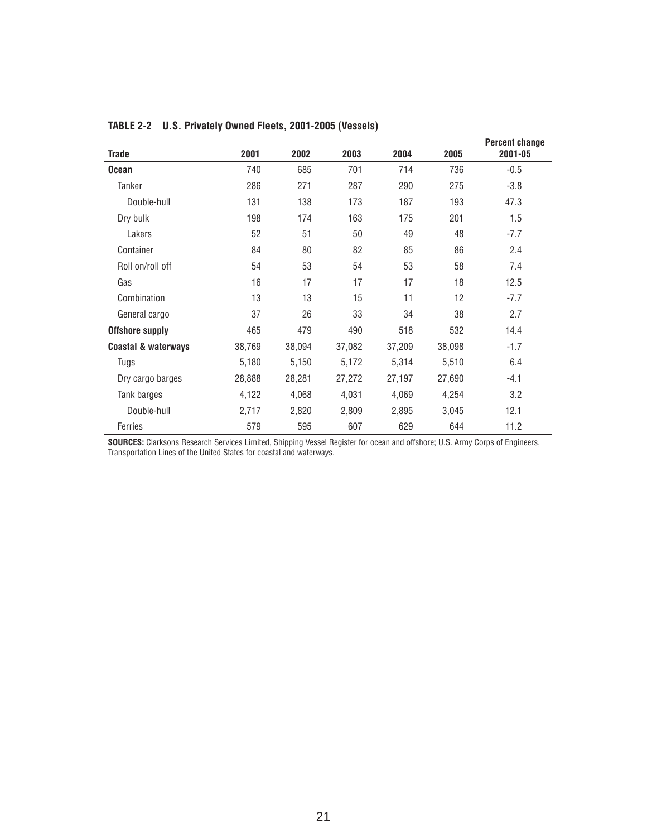| <b>Trade</b>           | 2001   | 2002   | 2003   | 2004   | 2005   | <b>Percent change</b><br>2001-05 |
|------------------------|--------|--------|--------|--------|--------|----------------------------------|
| <b>Ocean</b>           | 740    | 685    | 701    | 714    | 736    | $-0.5$                           |
| Tanker                 | 286    | 271    | 287    | 290    | 275    | $-3.8$                           |
| Double-hull            | 131    | 138    | 173    | 187    | 193    | 47.3                             |
| Dry bulk               | 198    | 174    | 163    | 175    | 201    | 1.5                              |
| Lakers                 | 52     | 51     | 50     | 49     | 48     | $-7.7$                           |
| Container              | 84     | 80     | 82     | 85     | 86     | 2.4                              |
| Roll on/roll off       | 54     | 53     | 54     | 53     | 58     | 7.4                              |
| Gas                    | 16     | 17     | 17     | 17     | 18     | 12.5                             |
| Combination            | 13     | 13     | 15     | 11     | 12     | $-7.7$                           |
| General cargo          | 37     | 26     | 33     | 34     | 38     | 2.7                              |
| <b>Offshore supply</b> | 465    | 479    | 490    | 518    | 532    | 14.4                             |
| Coastal & waterways    | 38,769 | 38,094 | 37,082 | 37,209 | 38,098 | $-1.7$                           |
| Tugs                   | 5,180  | 5,150  | 5,172  | 5,314  | 5,510  | 6.4                              |
| Dry cargo barges       | 28,888 | 28,281 | 27,272 | 27,197 | 27,690 | $-4.1$                           |
| Tank barges            | 4,122  | 4,068  | 4,031  | 4,069  | 4,254  | 3.2                              |
| Double-hull            | 2,717  | 2,820  | 2,809  | 2,895  | 3,045  | 12.1                             |
| Ferries                | 579    | 595    | 607    | 629    | 644    | 11.2                             |

**TABLE 2-2 U.S. Privately Owned Fleets, 2001-2005 (Vessels)**

**SOURCES:** Clarksons Research Services Limited, Shipping Vessel Register for ocean and offshore; U.S. Army Corps of Engineers, Transportation Lines of the United States for coastal and waterways.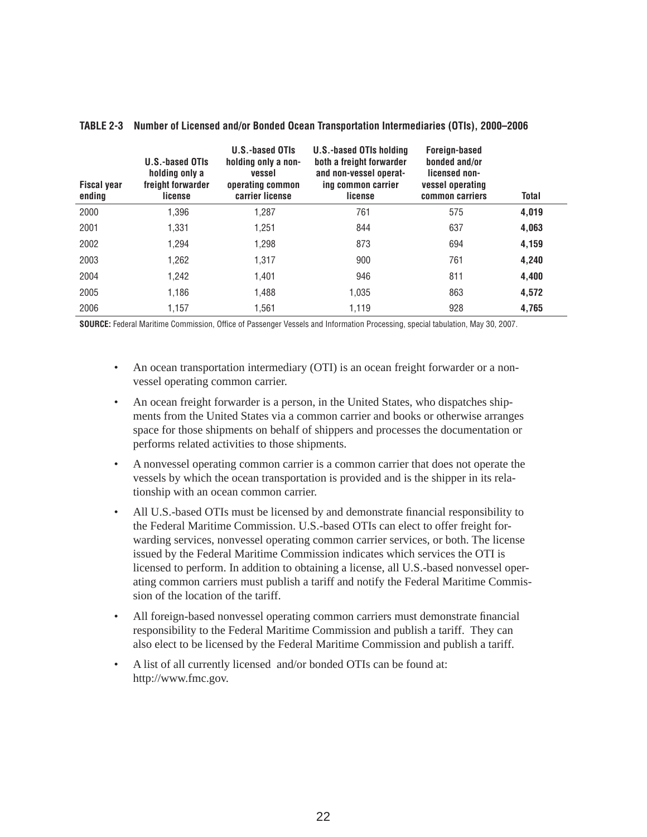| <b>Fiscal year</b><br>ending | U.S.-based OTIs<br>holding only a<br>freight forwarder<br>license | U.S.-based OTIs<br>holding only a non-<br>vessel<br>operating common<br>carrier license | U.S.-based OTIs holding<br>both a freight forwarder<br>and non-vessel operat-<br>ing common carrier<br>license | <b>Foreign-based</b><br>bonded and/or<br>licensed non-<br>vessel operating<br>common carriers | <b>Total</b> |
|------------------------------|-------------------------------------------------------------------|-----------------------------------------------------------------------------------------|----------------------------------------------------------------------------------------------------------------|-----------------------------------------------------------------------------------------------|--------------|
| 2000                         | 1.396                                                             | 1,287                                                                                   | 761                                                                                                            | 575                                                                                           | 4,019        |
| 2001                         | 1,331                                                             | 1,251                                                                                   | 844                                                                                                            | 637                                                                                           | 4,063        |
| 2002                         | 1.294                                                             | 1.298                                                                                   | 873                                                                                                            | 694                                                                                           | 4,159        |
| 2003                         | 1,262                                                             | 1.317                                                                                   | 900                                                                                                            | 761                                                                                           | 4,240        |
| 2004                         | 1.242                                                             | 1,401                                                                                   | 946                                                                                                            | 811                                                                                           | 4,400        |
| 2005                         | 1.186                                                             | 1.488                                                                                   | 1.035                                                                                                          | 863                                                                                           | 4.572        |
| 2006                         | 1,157                                                             | 1,561                                                                                   | 1,119                                                                                                          | 928                                                                                           | 4,765        |

### **TABLE 2-3 Number of Licensed and/or Bonded Ocean Transportation Intermediaries (OTIs), 2000–2006**

SOURCE: Federal Maritime Commission, Office of Passenger Vessels and Information Processing, special tabulation, May 30, 2007.

- An ocean transportation intermediary (OTI) is an ocean freight forwarder or a nonvessel operating common carrier.
- An ocean freight forwarder is a person, in the United States, who dispatches shipments from the United States via a common carrier and books or otherwise arranges space for those shipments on behalf of shippers and processes the documentation or performs related activities to those shipments.
- A nonvessel operating common carrier is a common carrier that does not operate the vessels by which the ocean transportation is provided and is the shipper in its relationship with an ocean common carrier.
- All U.S.-based OTIs must be licensed by and demonstrate financial responsibility to the Federal Maritime Commission. U.S.-based OTIs can elect to offer freight forwarding services, nonvessel operating common carrier services, or both. The license issued by the Federal Maritime Commission indicates which services the OTI is licensed to perform. In addition to obtaining a license, all U.S.-based nonvessel operating common carriers must publish a tariff and notify the Federal Maritime Commission of the location of the tariff.
- All foreign-based nonvessel operating common carriers must demonstrate financial responsibility to the Federal Maritime Commission and publish a tariff. They can also elect to be licensed by the Federal Maritime Commission and publish a tariff.
- A list of all currently licensed and/or bonded OTIs can be found at: http://www.fmc.gov.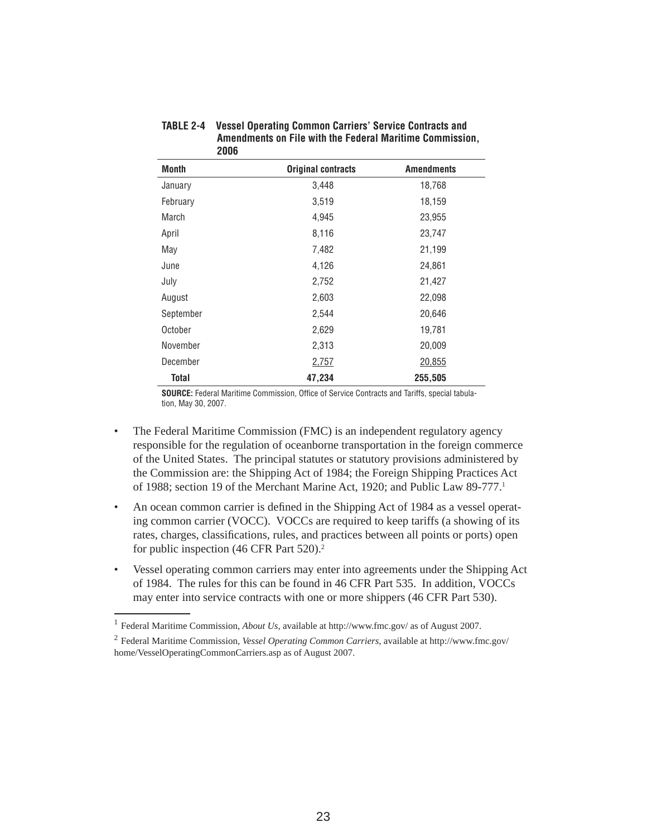| <b>Month</b> | <b>Original contracts</b> | <b>Amendments</b> |
|--------------|---------------------------|-------------------|
|              |                           |                   |
| January      | 3,448                     | 18,768            |
| February     | 3,519                     | 18,159            |
| March        | 4,945                     | 23,955            |
| April        | 8,116                     | 23,747            |
| May          | 7,482                     | 21,199            |
| June         | 4,126                     | 24,861            |
| July         | 2,752                     | 21,427            |
| August       | 2,603                     | 22,098            |
| September    | 2,544                     | 20,646            |
| October      | 2,629                     | 19,781            |
| November     | 2,313                     | 20,009            |
| December     | 2,757                     | 20,855            |
| Total        | 47,234                    | 255,505           |

**TABLE 2-4 Vessel Operating Common Carriers' Service Contracts and Amendments on File with the Federal Maritime Commission, 2006**

**SOURCE:** Federal Maritime Commission, Office of Service Contracts and Tariffs, special tabulation, May 30, 2007.

- The Federal Maritime Commission (FMC) is an independent regulatory agency responsible for the regulation of oceanborne transportation in the foreign commerce of the United States. The principal statutes or statutory provisions administered by the Commission are: the Shipping Act of 1984; the Foreign Shipping Practices Act of 1988; section 19 of the Merchant Marine Act, 1920; and Public Law 89-777.<sup>1</sup>
- An ocean common carrier is defined in the Shipping Act of 1984 as a vessel operating common carrier (VOCC). VOCCs are required to keep tariffs (a showing of its rates, charges, classifications, rules, and practices between all points or ports) open for public inspection (46 CFR Part 520).<sup>2</sup>
- Vessel operating common carriers may enter into agreements under the Shipping Act of 1984. The rules for this can be found in 46 CFR Part 535. In addition, VOCCs may enter into service contracts with one or more shippers (46 CFR Part 530).

<sup>1</sup> Federal Maritime Commission, *About Us*, available at http://www.fmc.gov/ as of August 2007.

<sup>2</sup> Federal Maritime Commission, *Vessel Operating Common Carriers*, available at http://www.fmc.gov/ home/VesselOperatingCommonCarriers.asp as of August 2007.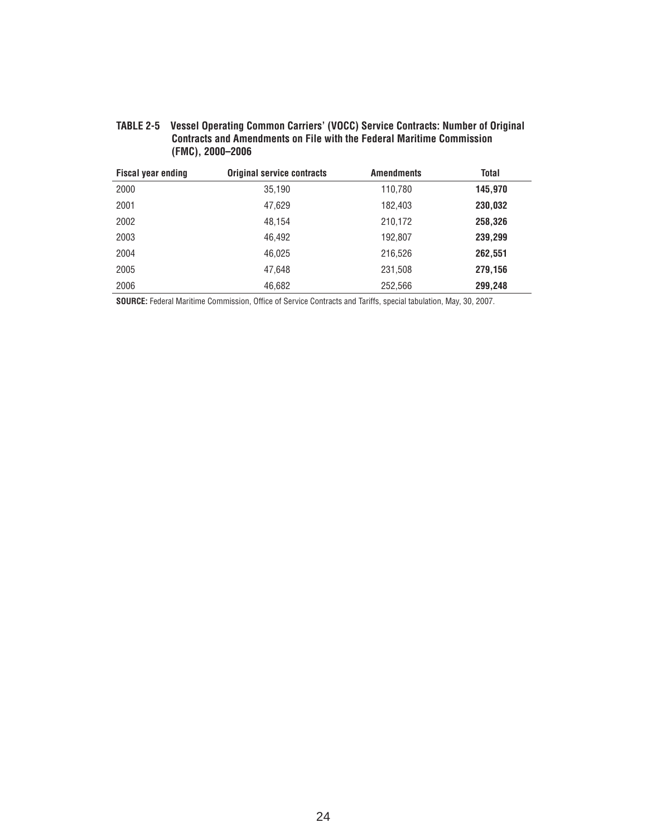| <b>TABLE 2-5 Vessel Operating Common Carriers' (VOCC) Service Contracts: Number of Original</b> |
|-------------------------------------------------------------------------------------------------|
| Contracts and Amendments on File with the Federal Maritime Commission                           |
| $(FMC)$ , 2000-2006                                                                             |

| <b>Fiscal year ending</b> | <b>Original service contracts</b> | <b>Amendments</b> | Total   |
|---------------------------|-----------------------------------|-------------------|---------|
| 2000                      | 35.190                            | 110,780           | 145,970 |
| 2001                      | 47.629                            | 182,403           | 230,032 |
| 2002                      | 48.154                            | 210,172           | 258,326 |
| 2003                      | 46.492                            | 192.807           | 239,299 |
| 2004                      | 46.025                            | 216.526           | 262,551 |
| 2005                      | 47.648                            | 231,508           | 279,156 |
| 2006                      | 46,682                            | 252.566           | 299.248 |

**SOURCE:** Federal Maritime Commission, Office of Service Contracts and Tariffs, special tabulation, May, 30, 2007.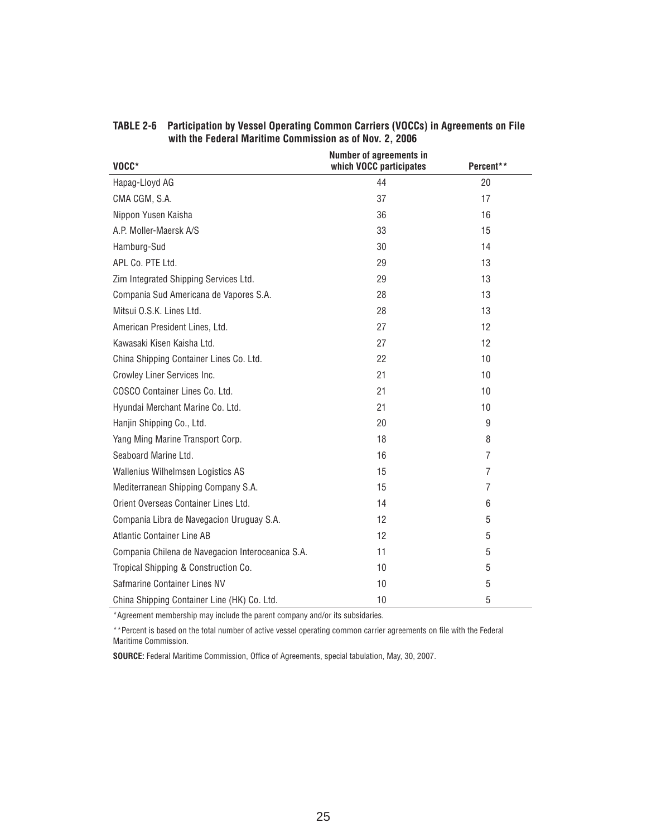| VOCC*                                             | Number of agreements in<br>which VOCC participates | Percent**      |
|---------------------------------------------------|----------------------------------------------------|----------------|
| Hapag-Lloyd AG                                    | 44                                                 | 20             |
| CMA CGM, S.A.                                     | 37                                                 | 17             |
| Nippon Yusen Kaisha                               | 36                                                 | 16             |
| A.P. Moller-Maersk A/S                            | 33                                                 | 15             |
| Hamburg-Sud                                       | 30                                                 | 14             |
| APL Co. PTE Ltd.                                  | 29                                                 | 13             |
| Zim Integrated Shipping Services Ltd.             | 29                                                 | 13             |
| Compania Sud Americana de Vapores S.A.            | 28                                                 | 13             |
| Mitsui O.S.K. Lines Ltd.                          | 28                                                 | 13             |
| American President Lines, Ltd.                    | 27                                                 | 12             |
| Kawasaki Kisen Kaisha Ltd.                        | 27                                                 | 12             |
| China Shipping Container Lines Co. Ltd.           | 22                                                 | 10             |
| Crowley Liner Services Inc.                       | 21                                                 | 10             |
| COSCO Container Lines Co. Ltd.                    | 21                                                 | 10             |
| Hyundai Merchant Marine Co. Ltd.                  | 21                                                 | 10             |
| Hanjin Shipping Co., Ltd.                         | 20                                                 | 9              |
| Yang Ming Marine Transport Corp.                  | 18                                                 | 8              |
| Seaboard Marine Ltd.                              | 16                                                 | $\overline{7}$ |
| Wallenius Wilhelmsen Logistics AS                 | 15                                                 | $\overline{7}$ |
| Mediterranean Shipping Company S.A.               | 15                                                 | 7              |
| Orient Overseas Container Lines Ltd.              | 14                                                 | 6              |
| Compania Libra de Navegacion Uruguay S.A.         | 12                                                 | 5              |
| <b>Atlantic Container Line AB</b>                 | 12                                                 | 5              |
| Compania Chilena de Navegacion Interoceanica S.A. | 11                                                 | 5              |
| Tropical Shipping & Construction Co.              | 10                                                 | 5              |
| Safmarine Container Lines NV                      | 10                                                 | 5              |
| China Shipping Container Line (HK) Co. Ltd.       | 10                                                 | 5              |

**TABLE 2-6 Participation by Vessel Operating Common Carriers (VOCCs) in Agreements on File with the Federal Maritime Commission as of Nov. 2, 2006**

\*Agreement membership may include the parent company and/or its subsidaries.

\*\*Percent is based on the total number of active vessel operating common carrier agreements on file with the Federal Maritime Commission.

**SOURCE:** Federal Maritime Commission, Office of Agreements, special tabulation, May, 30, 2007.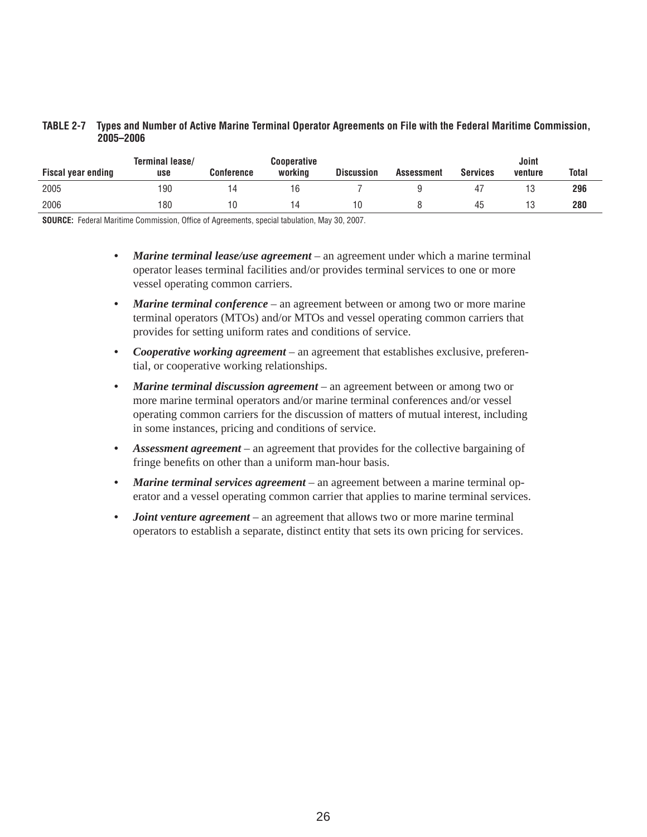### **TABLE 2-7 Types and Number of Active Marine Terminal Operator Agreements on File with the Federal Maritime Commission, 2005–2006**

|                           | Terminal lease/ |            | <b>Cooperative</b> |                   |            |                 | Joint   |       |
|---------------------------|-----------------|------------|--------------------|-------------------|------------|-----------------|---------|-------|
| <b>Fiscal year ending</b> | use             | Conference | working            | <b>Discussion</b> | Assessment | <b>Services</b> | venture | Total |
| 2005                      | 190             |            | b                  |                   |            | 47              |         | 296   |
| 2006                      | 180             |            | 4                  |                   |            | 45              |         | 280   |

**SOURCE:** Federal Maritime Commission, Office of Agreements, special tabulation, May 30, 2007.

- *Marine terminal lease/use agreement* an agreement under which a marine terminal operator leases terminal facilities and/or provides terminal services to one or more vessel operating common carriers.
- *Marine terminal conference* an agreement between or among two or more marine terminal operators (MTOs) and/or MTOs and vessel operating common carriers that provides for setting uniform rates and conditions of service.
- *Cooperative working agreement* an agreement that establishes exclusive, preferential, or cooperative working relationships.
- *Marine terminal discussion agreement* an agreement between or among two or more marine terminal operators and/or marine terminal conferences and/or vessel operating common carriers for the discussion of matters of mutual interest, including in some instances, pricing and conditions of service.
- *Assessment agreement* an agreement that provides for the collective bargaining of fringe benefits on other than a uniform man-hour basis.
- *Marine terminal services agreement* an agreement between a marine terminal operator and a vessel operating common carrier that applies to marine terminal services.
- *Joint venture agreement* an agreement that allows two or more marine terminal operators to establish a separate, distinct entity that sets its own pricing for services.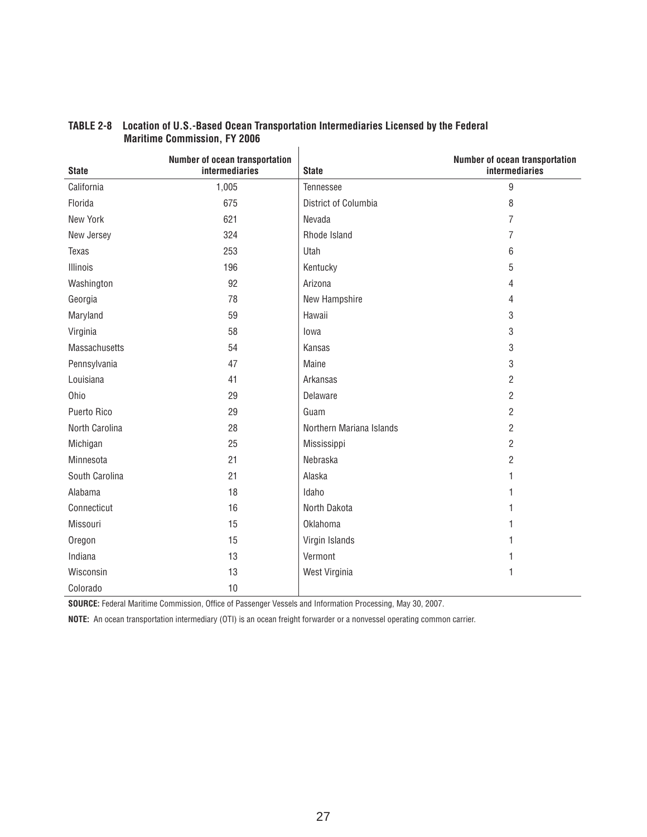| <b>State</b>   | Number of ocean transportation<br><b>intermediaries</b> | <b>State</b>             | Number of ocean transportation<br>intermediaries |
|----------------|---------------------------------------------------------|--------------------------|--------------------------------------------------|
| California     | 1,005                                                   | Tennessee                | 9                                                |
| Florida        | 675                                                     | District of Columbia     | 8                                                |
| New York       | 621                                                     | Nevada                   | 7                                                |
| New Jersey     | 324                                                     | Rhode Island             | 7                                                |
| Texas          | 253                                                     | Utah                     | 6                                                |
| Illinois       | 196                                                     | Kentucky                 | 5                                                |
| Washington     | 92                                                      | Arizona                  | 4                                                |
| Georgia        | 78                                                      | New Hampshire            | 4                                                |
| Maryland       | 59                                                      | Hawaii                   | 3                                                |
| Virginia       | 58                                                      | lowa                     | 3                                                |
| Massachusetts  | 54                                                      | Kansas                   | 3                                                |
| Pennsylvania   | 47                                                      | Maine                    | 3                                                |
| Louisiana      | 41                                                      | Arkansas                 | $\overline{c}$                                   |
| Ohio           | 29                                                      | Delaware                 | $\overline{c}$                                   |
| Puerto Rico    | 29                                                      | Guam                     | $\overline{c}$                                   |
| North Carolina | 28                                                      | Northern Mariana Islands | $\overline{c}$                                   |
| Michigan       | 25                                                      | Mississippi              | 2                                                |
| Minnesota      | 21                                                      | Nebraska                 | $\overline{2}$                                   |
| South Carolina | 21                                                      | Alaska                   | 1                                                |
| Alabama        | 18                                                      | Idaho                    | 1                                                |
| Connecticut    | 16                                                      | North Dakota             | 1                                                |
| Missouri       | 15                                                      | Oklahoma                 |                                                  |
| Oregon         | 15                                                      | Virgin Islands           |                                                  |
| Indiana        | 13                                                      | Vermont                  | 1                                                |
| Wisconsin      | 13                                                      | West Virginia            | 1                                                |
| Colorado       | 10                                                      |                          |                                                  |

### **TABLE 2-8 Location of U.S.-Based Ocean Transportation Intermediaries Licensed by the Federal Maritime Commission, FY 2006**  $\overline{1}$

SOURCE: Federal Maritime Commission, Office of Passenger Vessels and Information Processing, May 30, 2007.

**NOTE:** An ocean transportation intermediary (OTI) is an ocean freight forwarder or a nonvessel operating common carrier.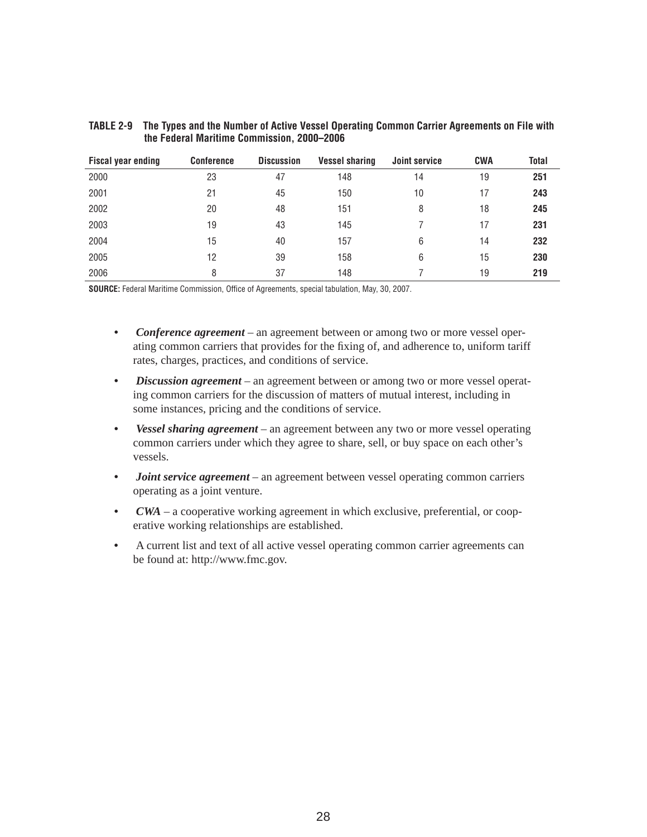| <b>Fiscal year ending</b> | <b>Conference</b> | <b>Discussion</b> | <b>Vessel sharing</b> | <b>Joint service</b> | <b>CWA</b> | Total |
|---------------------------|-------------------|-------------------|-----------------------|----------------------|------------|-------|
| 2000                      | 23                | 47                | 148                   | 14                   | 19         | 251   |
| 2001                      | 21                | 45                | 150                   | 10                   | 17         | 243   |
| 2002                      | 20                | 48                | 151                   | 8                    | 18         | 245   |
| 2003                      | 19                | 43                | 145                   |                      | 17         | 231   |
| 2004                      | 15                | 40                | 157                   | 6                    | 14         | 232   |
| 2005                      | 12                | 39                | 158                   | 6                    | 15         | 230   |
| 2006                      | 8                 | 37                | 148                   |                      | 19         | 219   |

#### **TABLE 2-9 The Types and the Number of Active Vessel Operating Common Carrier Agreements on File with the Federal Maritime Commission, 2000–2006**

**SOURCE:** Federal Maritime Commission, Office of Agreements, special tabulation, May, 30, 2007.

- *Conference agreement* an agreement between or among two or more vessel operating common carriers that provides for the fixing of, and adherence to, uniform tariff rates, charges, practices, and conditions of service.
- *Discussion agreement* an agreement between or among two or more vessel operating common carriers for the discussion of matters of mutual interest, including in some instances, pricing and the conditions of service.
- *Vessel sharing agreement* an agreement between any two or more vessel operating common carriers under which they agree to share, sell, or buy space on each other's vessels.
- *Joint service agreement* an agreement between vessel operating common carriers operating as a joint venture.
- *CWA* a cooperative working agreement in which exclusive, preferential, or cooperative working relationships are established.
- A current list and text of all active vessel operating common carrier agreements can be found at: http://www.fmc.gov.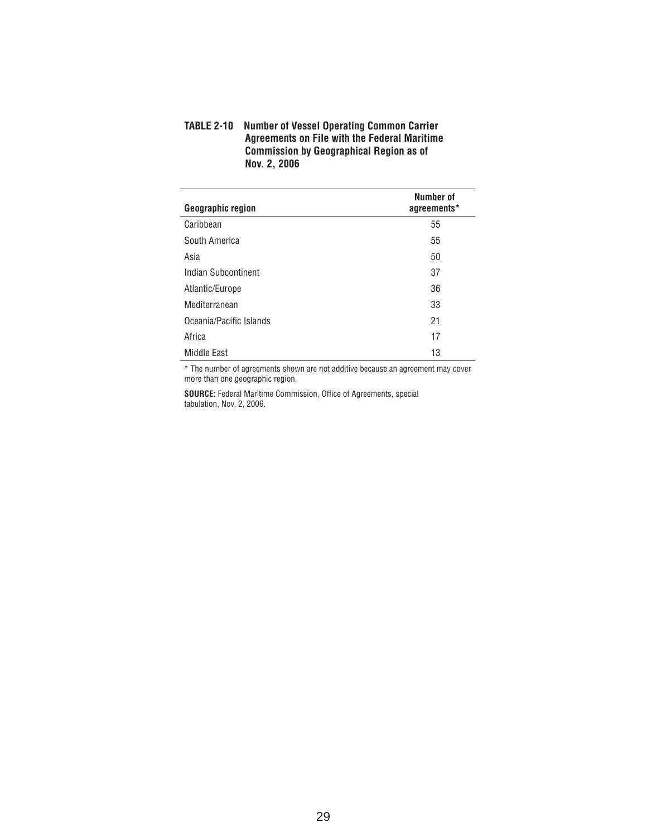| TABLE 2-10 | <b>Number of Vessel Operating Common Carrier</b>    |
|------------|-----------------------------------------------------|
|            | <b>Agreements on File with the Federal Maritime</b> |
|            | <b>Commission by Geographical Region as of</b>      |
|            | Nov. 2. 2006                                        |

| <b>Geographic region</b> | Number of<br>agreements* |
|--------------------------|--------------------------|
| Caribbean                | 55                       |
| South America            | 55                       |
| Asia                     | 50                       |
| Indian Subcontinent      | 37                       |
| Atlantic/Europe          | 36                       |
| Mediterranean            | 33                       |
| Oceania/Pacific Islands  | 21                       |
| Africa                   | 17                       |
| Middle East              | 13                       |

\* The number of agreements shown are not additive because an agreement may cover more than one geographic region.

**SOURCE:** Federal Maritime Commission, Office of Agreements, special tabulation, Nov. 2, 2006.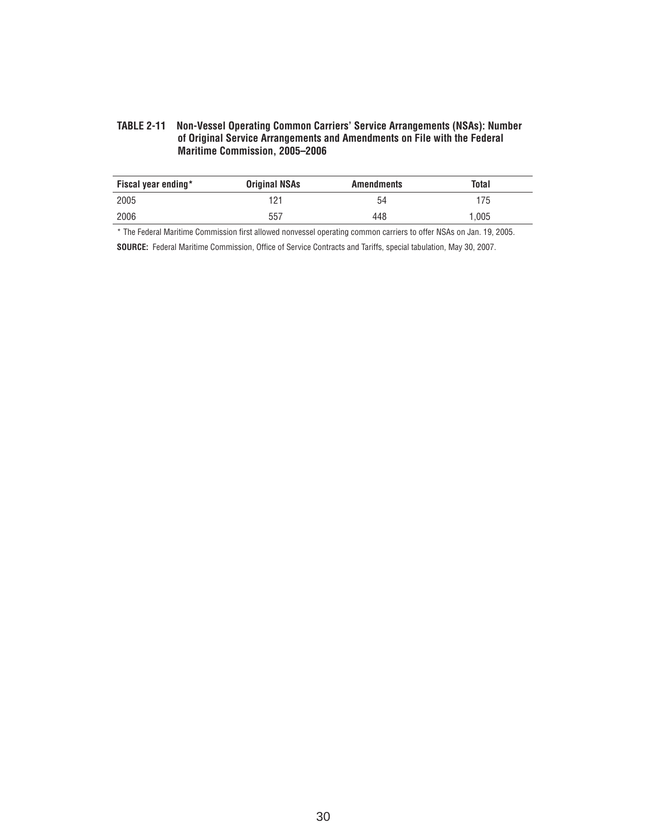#### **TABLE 2-11 Non-Vessel Operating Common Carriers' Service Arrangements (NSAs): Number of Original Service Arrangements and Amendments on File with the Federal Maritime Commission, 2005–2006**

| Fiscal year ending* | <b>Original NSAs</b> | <b>Amendments</b> | Total |
|---------------------|----------------------|-------------------|-------|
| 2005                | 121                  | 54                | 175   |
| 2006                | 557                  | 448               | 1,005 |

\* The Federal Maritime Commission first allowed nonvessel operating common carriers to offer NSAs on Jan. 19, 2005.

SOURCE: Federal Maritime Commission, Office of Service Contracts and Tariffs, special tabulation, May 30, 2007.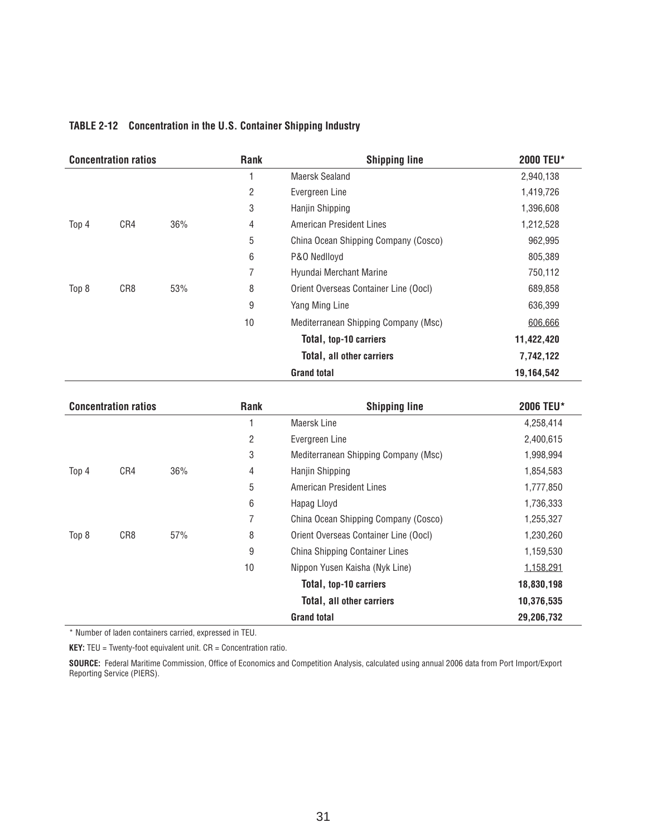|       | <b>Concentration ratios</b> |     | Rank | <b>Shipping line</b>                  | 2000 TEU*  |
|-------|-----------------------------|-----|------|---------------------------------------|------------|
|       |                             |     |      | Maersk Sealand                        | 2,940,138  |
|       |                             |     | 2    | Evergreen Line                        | 1,419,726  |
|       |                             |     | 3    | Hanjin Shipping                       | 1,396,608  |
| Top 4 | CR4                         | 36% | 4    | <b>American President Lines</b>       | 1,212,528  |
|       |                             |     | 5    | China Ocean Shipping Company (Cosco)  | 962,995    |
|       |                             |     | 6    | P&O Nedlloyd                          | 805,389    |
|       |                             |     | 7    | Hyundai Merchant Marine               | 750,112    |
| Top 8 | CR8                         | 53% | 8    | Orient Overseas Container Line (Oocl) | 689,858    |
|       |                             |     | 9    | Yang Ming Line                        | 636,399    |
|       |                             |     | 10   | Mediterranean Shipping Company (Msc)  | 606,666    |
|       |                             |     |      | Total, top-10 carriers                | 11,422,420 |
|       |                             |     |      | <b>Total, all other carriers</b>      | 7,742,122  |
|       |                             |     |      | <b>Grand total</b>                    | 19,164,542 |

#### **TABLE 2-12 Concentration in the U.S. Container Shipping Industry**

|       | <b>Concentration ratios</b> |     | <b>Rank</b>    | <b>Shipping line</b>                  | 2006 TEU*  |
|-------|-----------------------------|-----|----------------|---------------------------------------|------------|
|       |                             |     |                | Maersk Line                           | 4,258,414  |
|       |                             |     | $\overline{2}$ | Evergreen Line                        | 2,400,615  |
|       |                             |     | 3              | Mediterranean Shipping Company (Msc)  | 1,998,994  |
| Top 4 | CR4                         | 36% | 4              | Hanjin Shipping                       | 1,854,583  |
|       |                             |     | 5              | American President Lines              | 1,777,850  |
|       |                             |     | 6              | Hapag Lloyd                           | 1,736,333  |
|       |                             |     | 7              | China Ocean Shipping Company (Cosco)  | 1,255,327  |
| Top 8 | CR8                         | 57% | 8              | Orient Overseas Container Line (Oocl) | 1,230,260  |
|       |                             |     | 9              | China Shipping Container Lines        | 1,159,530  |
|       |                             |     | 10             | Nippon Yusen Kaisha (Nyk Line)        | 1,158,291  |
|       |                             |     |                | Total, top-10 carriers                | 18,830,198 |
|       |                             |     |                | <b>Total, all other carriers</b>      | 10,376,535 |
|       |                             |     |                | <b>Grand total</b>                    | 29,206,732 |

\* Number of laden containers carried, expressed in TEU.

**KEY:** TEU = Twenty-foot equivalent unit. CR = Concentration ratio.

**SOURCE:** Federal Maritime Commission, Office of Economics and Competition Analysis, calculated using annual 2006 data from Port Import/Export Reporting Service (PIERS).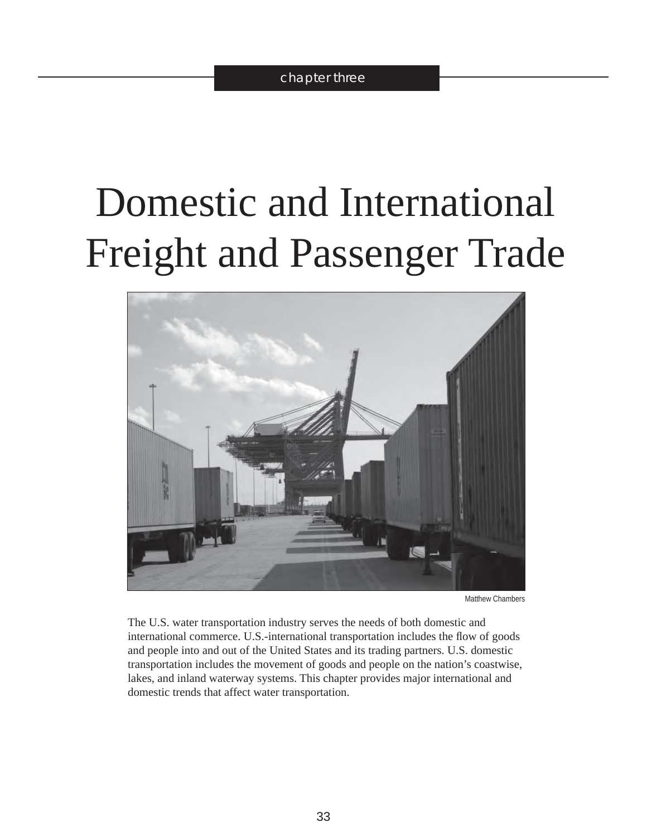# Domestic and International Freight and Passenger Trade



Matthew Chambers

The U.S. water transportation industry serves the needs of both domestic and international commerce. U.S.-international transportation includes the flow of goods and people into and out of the United States and its trading partners. U.S. domestic transportation includes the movement of goods and people on the nation's coastwise, lakes, and inland waterway systems. This chapter provides major international and domestic trends that affect water transportation.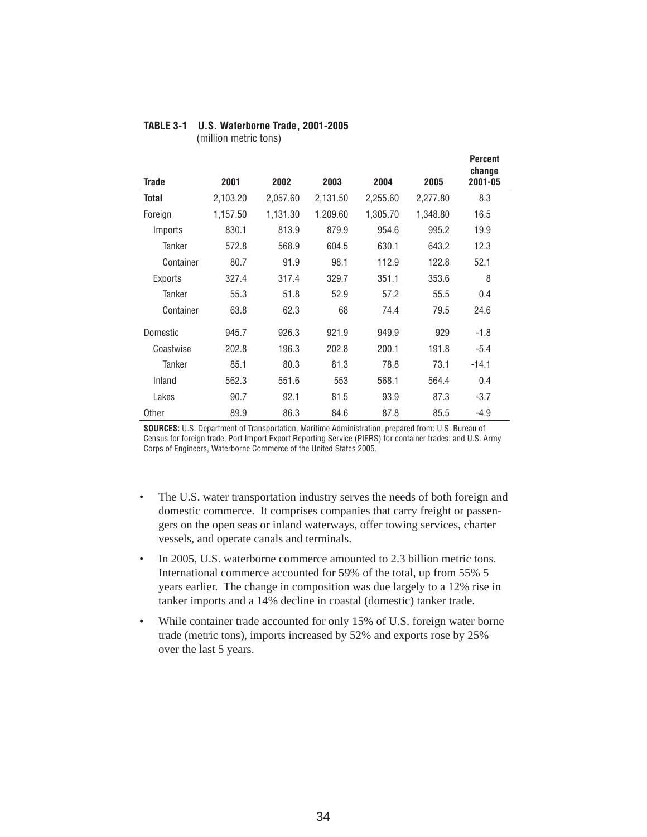|              |          |          |          |          |          | I GI GGIIL<br>change |
|--------------|----------|----------|----------|----------|----------|----------------------|
| Trade        | 2001     | 2002     | 2003     | 2004     | 2005     | 2001-05              |
| Total        | 2,103.20 | 2,057.60 | 2,131.50 | 2,255.60 | 2,277.80 | 8.3                  |
| Foreign      | 1,157.50 | 1,131.30 | 1,209.60 | 1,305.70 | 1,348.80 | 16.5                 |
| Imports      | 830.1    | 813.9    | 879.9    | 954.6    | 995.2    | 19.9                 |
| Tanker       | 572.8    | 568.9    | 604.5    | 630.1    | 643.2    | 12.3                 |
| Container    | 80.7     | 91.9     | 98.1     | 112.9    | 122.8    | 52.1                 |
| Exports      | 327.4    | 317.4    | 329.7    | 351.1    | 353.6    | 8                    |
| Tanker       | 55.3     | 51.8     | 52.9     | 57.2     | 55.5     | 0.4                  |
| Container    | 63.8     | 62.3     | 68       | 74.4     | 79.5     | 24.6                 |
| Domestic     | 945.7    | 926.3    | 921.9    | 949.9    | 929      | $-1.8$               |
| Coastwise    | 202.8    | 196.3    | 202.8    | 200.1    | 191.8    | $-5.4$               |
| Tanker       | 85.1     | 80.3     | 81.3     | 78.8     | 73.1     | $-14.1$              |
| Inland       | 562.3    | 551.6    | 553      | 568.1    | 564.4    | 0.4                  |
| Lakes        | 90.7     | 92.1     | 81.5     | 93.9     | 87.3     | $-3.7$               |
| <b>Other</b> | 89.9     | 86.3     | 84.6     | 87.8     | 85.5     | $-4.9$               |

**Percent** 

## **TABLE 3-1 U.S. Waterborne Trade, 2001-2005**

(million metric tons)

**SOURCES:** U.S. Department of Transportation, Maritime Administration, prepared from: U.S. Bureau of Census for foreign trade; Port Import Export Reporting Service (PIERS) for container trades; and U.S. Army Corps of Engineers, Waterborne Commerce of the United States 2005.

- The U.S. water transportation industry serves the needs of both foreign and domestic commerce. It comprises companies that carry freight or passengers on the open seas or inland waterways, offer towing services, charter vessels, and operate canals and terminals.
- In 2005, U.S. waterborne commerce amounted to 2.3 billion metric tons. International commerce accounted for 59% of the total, up from 55% 5 years earlier. The change in composition was due largely to a 12% rise in tanker imports and a 14% decline in coastal (domestic) tanker trade.
- While container trade accounted for only 15% of U.S. foreign water borne trade (metric tons), imports increased by 52% and exports rose by 25% over the last 5 years.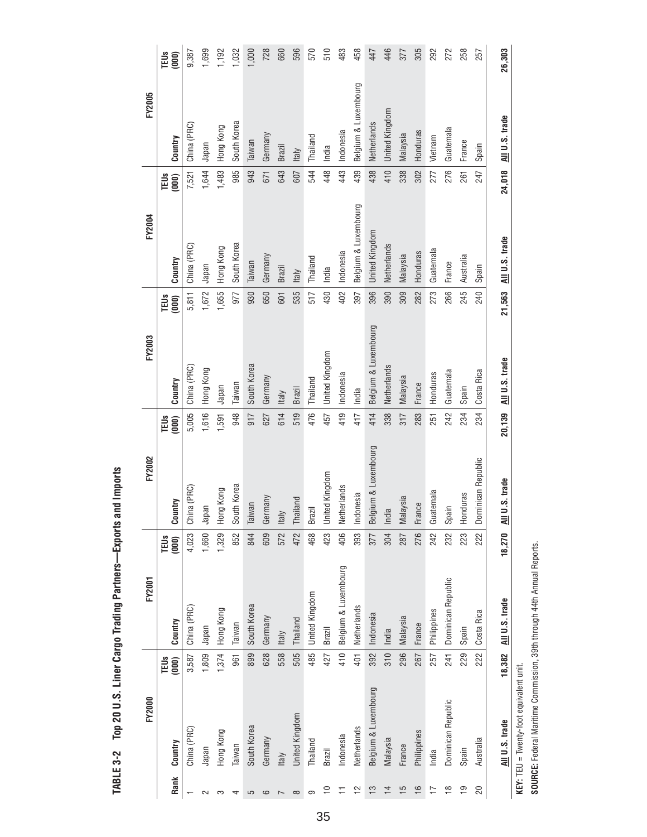|                              | FY2000 | FY2001               |               | FY2002               |               | FY2003               |                 | FY2004               |               | FY2005               |               |
|------------------------------|--------|----------------------|---------------|----------------------|---------------|----------------------|-----------------|----------------------|---------------|----------------------|---------------|
| TEUS<br>(000)<br>Country     |        | Country              | TEUS<br>(OOO) | Country              | TEUS<br>(000) | Country              | TEUS<br>(000)   | Country              | TEUS<br>(000) | Country              | TEUS<br>(000) |
| 3,587<br>China (PRC)         |        | China (PRC)          | 4,023         | China (PRC)          | 5,005         | China (PRC)          | 5,811           | China (PRC)          | 7,521         | China (PRC)          | 9,387         |
| 1,809<br>Japan               |        | Japan                | 1,660         | Japan                | 1,616         | Hong Kong            | 1,672           | Japan                | 1,644         | Japan                | 1,699         |
| 1,374<br>Hong Kong           |        | Hong Kong            | 1,329         | Hong Kong            | 1,591         | Japan                | 1,655           | Hong Kong            | 1,483         | Hong Kong            | 1,192         |
| 961<br>Taiwan                |        | Taiwan               | 852           | South Korea          | 948           | Taiwan               | 977             | South Korea          | 985           | South Korea          | 1,032         |
| 899<br>South Korea           |        | South Korea          | 844           | Taiwan               | 917           | South Korea          | 930             | Taiwan               | 943           | Taiwan               | 1,000         |
| 628<br>Germany               |        | Germany              | 609           | Germany              | 627           | Germany              | 650             | Germany              | 671           | Germany              | 728           |
| 558<br>Italy                 |        | Italy                | 572           | ltaly                | 614           | Italy                | 601             | Brazil               | 643           | Brazil               | 660           |
| 505<br>United Kingdom        |        | Thailand             | 472           | Thailand             | 519           | <b>Brazil</b>        | $\frac{1}{25}$  | Italy                | 607           | Italy                | 596           |
| 485<br>Thailand              |        | United Kingdom       | 468           | Brazil               | 476           | Thailand             | 517             | Thailand             | 544           | Thailand             | 570           |
| 427<br>Brazil                |        | Brazil               | 423           | United Kingdom       | 457           | United Kingdom       |                 | 430   India          | 448           | India                | 510           |
| 410<br>Indonesia             |        | Belgium & Luxembourg | 406           | Netherlands          | 419           | Indonesia            | 402             | Indonesia            | 443           | Indonesia            | 483           |
| 401<br>Netherlands           |        | Netherlands          | 393           | Indonesia            | $\frac{1}{4}$ | India                | 397             | Belgium & Luxembourg | 439           | Belgium & Luxembourg | 458           |
| 392<br>Belgium & Luxembourg  |        | Indonesia            | 377           | Belgium & Luxembourg | 414           | Belgium & Luxembourg | 396             | United Kingdom       | 438           | Netherlands          | 447           |
| $\overline{310}$<br>Malaysia |        | India                | 304           | India                | 338           | Netherlands          | $\frac{1}{290}$ | Netherlands          | 410           | United Kingdom       | 446           |
| 296<br>France                |        | Malaysia             | 287           | Malaysia             | 317           | Malaysia             | $\frac{1}{200}$ | Malaysia             | 338           | Malaysia             | 377           |
| 267<br>Philippines           |        | France               | 276           | France               | 283           | France               | 282             | Honduras             | 302           | Honduras             | 305           |
| 257<br>India                 |        | Philippines          | 242           | Guatemala            | 251           | Honduras             | 273             | Guatemala            | 277           | Vietnam              | 292           |
| 241<br>Dominican Republic    |        | Dominican Republic   | 232           | Spain                | 242           | Guatemala            | 266             | France               | 276           | Guatemala            | 272           |
| 229<br>Spain                 |        | Spain                | 223           | Honduras             | 234           | Spain                | 245             | Australia            | 261           | France               | 258           |
| 222<br>Australia             |        | Costa Rica           | 222           | Dominican Republic   | 234           | Costa Rica           | 240             | Spain                | 247           | Spain                | 257           |
| 18,382<br>All U.S. trade     |        | All U.S. trade       | 18,270        | U.S. trade<br>₹      | 20,139        | All U.S. trade       | 21,563          | All U.S. trade       | 24,018        | All U.S. trade       | 26,303        |

TABLE 3-2 Top 20 U.S. Liner Cargo Trading Partners-Exports and Imports **TABLE 3-2 Top 20 U.S. Liner Cargo Trading Partners—Exports and Imports**

SOURCE: Federal Maritime Commission, 39th through 44th Annual Reports. **SOURCE:** Federal Maritime Commission, 39th through 44th Annual Reports.KEY: TEU = Twenty-foot equivalent unit. **KEY:** TEU = Twenty-foot equivalent unit.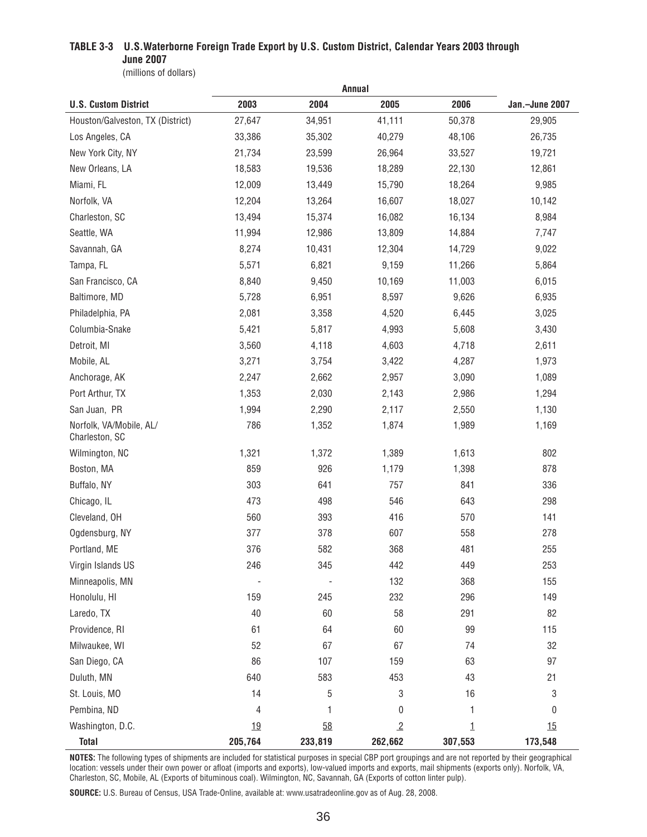### **TABLE 3-3 U.S.Waterborne Foreign Trade Export by U.S. Custom District, Calendar Years 2003 through June 2007**

(millions of dollars)

|                                           |                |         | Annual         |         |                |
|-------------------------------------------|----------------|---------|----------------|---------|----------------|
| <b>U.S. Custom District</b>               | 2003           | 2004    | 2005           | 2006    | Jan.-June 2007 |
| Houston/Galveston, TX (District)          | 27,647         | 34,951  | 41,111         | 50,378  | 29,905         |
| Los Angeles, CA                           | 33,386         | 35,302  | 40,279         | 48,106  | 26,735         |
| New York City, NY                         | 21,734         | 23,599  | 26,964         | 33,527  | 19,721         |
| New Orleans, LA                           | 18,583         | 19,536  | 18,289         | 22,130  | 12,861         |
| Miami, FL                                 | 12,009         | 13,449  | 15,790         | 18,264  | 9,985          |
| Norfolk, VA                               | 12,204         | 13,264  | 16,607         | 18,027  | 10,142         |
| Charleston, SC                            | 13,494         | 15,374  | 16,082         | 16,134  | 8,984          |
| Seattle, WA                               | 11,994         | 12,986  | 13,809         | 14,884  | 7,747          |
| Savannah, GA                              | 8,274          | 10,431  | 12,304         | 14,729  | 9,022          |
| Tampa, FL                                 | 5,571          | 6,821   | 9,159          | 11,266  | 5,864          |
| San Francisco, CA                         | 8,840          | 9,450   | 10,169         | 11,003  | 6,015          |
| Baltimore, MD                             | 5,728          | 6,951   | 8,597          | 9,626   | 6,935          |
| Philadelphia, PA                          | 2,081          | 3,358   | 4,520          | 6,445   | 3,025          |
| Columbia-Snake                            | 5,421          | 5,817   | 4,993          | 5,608   | 3,430          |
| Detroit, MI                               | 3,560          | 4,118   | 4,603          | 4,718   | 2,611          |
| Mobile, AL                                | 3,271          | 3,754   | 3,422          | 4,287   | 1,973          |
| Anchorage, AK                             | 2,247          | 2,662   | 2,957          | 3,090   | 1,089          |
| Port Arthur, TX                           | 1,353          | 2,030   | 2,143          | 2,986   | 1,294          |
| San Juan, PR                              | 1,994          | 2,290   | 2,117          | 2,550   | 1,130          |
| Norfolk, VA/Mobile, AL/<br>Charleston, SC | 786            | 1,352   | 1,874          | 1,989   | 1,169          |
| Wilmington, NC                            | 1,321          | 1,372   | 1,389          | 1,613   | 802            |
| Boston, MA                                | 859            | 926     | 1,179          | 1,398   | 878            |
| Buffalo, NY                               | 303            | 641     | 757            | 841     | 336            |
| Chicago, IL                               | 473            | 498     | 546            | 643     | 298            |
| Cleveland, OH                             | 560            | 393     | 416            | 570     | 141            |
| Ogdensburg, NY                            | 377            | 378     | 607            | 558     | 278            |
| Portland, ME                              | 376            | 582     | 368            | 481     | 255            |
| Virgin Islands US                         | 246            | 345     | 442            | 449     | 253            |
| Minneapolis, MN                           |                |         | 132            | 368     | 155            |
| Honolulu, HI                              | 159            | 245     | 232            | 296     | 149            |
| Laredo, TX                                | 40             | 60      | 58             | 291     | 82             |
| Providence, RI                            | 61             | 64      | 60             | 99      | 115            |
| Milwaukee, WI                             | 52             | 67      | 67             | 74      | 32             |
| San Diego, CA                             | 86             | 107     | 159            | 63      | 97             |
| Duluth, MN                                | 640            | 583     | 453            | 43      | 21             |
| St. Louis, MO                             | 14             | 5       | 3              | 16      | 3              |
| Pembina, ND                               | $\overline{4}$ | 1       | 0              | 1       | 0              |
| Washington, D.C.                          | <u>19</u>      | 58      | $\overline{2}$ | $\perp$ | 15             |
| <b>Total</b>                              | 205,764        | 233,819 | 262,662        | 307,553 | 173,548        |

**NOTES:** The following types of shipments are included for statistical purposes in special CBP port groupings and are not reported by their geographical location: vessels under their own power or afloat (imports and exports), low-valued imports and exports, mail shipments (exports only). Norfolk, VA, Charleston, SC, Mobile, AL (Exports of bituminous coal). Wilmington, NC, Savannah, GA (Exports of cotton linter pulp).

**SOURCE:** U.S. Bureau of Census, USA Trade-Online, available at: www.usatradeonline.gov as of Aug. 28, 2008.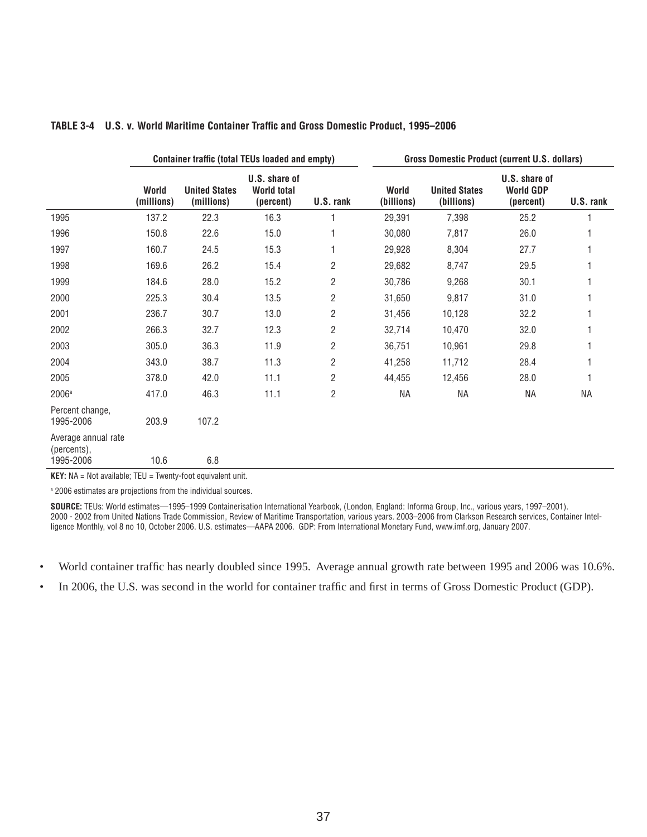|                                                 |                     | <b>Container traffic (total TEUs loaded and empty)</b> |                                                  |                |                     | Gross Domestic Product (current U.S. dollars) |                                                |           |  |  |
|-------------------------------------------------|---------------------|--------------------------------------------------------|--------------------------------------------------|----------------|---------------------|-----------------------------------------------|------------------------------------------------|-----------|--|--|
|                                                 | World<br>(millions) | <b>United States</b><br>(millions)                     | U.S. share of<br><b>World total</b><br>(percent) | U.S. rank      | World<br>(billions) | <b>United States</b><br>(billions)            | U.S. share of<br><b>World GDP</b><br>(percent) | U.S. rank |  |  |
| 1995                                            | 137.2               | 22.3                                                   | 16.3                                             |                | 29,391              | 7,398                                         | 25.2                                           |           |  |  |
| 1996                                            | 150.8               | 22.6                                                   | 15.0                                             |                | 30,080              | 7,817                                         | 26.0                                           |           |  |  |
| 1997                                            | 160.7               | 24.5                                                   | 15.3                                             |                | 29,928              | 8,304                                         | 27.7                                           |           |  |  |
| 1998                                            | 169.6               | 26.2                                                   | 15.4                                             | 2              | 29,682              | 8,747                                         | 29.5                                           |           |  |  |
| 1999                                            | 184.6               | 28.0                                                   | 15.2                                             | 2              | 30,786              | 9,268                                         | 30.1                                           |           |  |  |
| 2000                                            | 225.3               | 30.4                                                   | 13.5                                             | $\overline{2}$ | 31,650              | 9,817                                         | 31.0                                           |           |  |  |
| 2001                                            | 236.7               | 30.7                                                   | 13.0                                             | $\overline{c}$ | 31,456              | 10,128                                        | 32.2                                           |           |  |  |
| 2002                                            | 266.3               | 32.7                                                   | 12.3                                             | $\overline{c}$ | 32,714              | 10,470                                        | 32.0                                           |           |  |  |
| 2003                                            | 305.0               | 36.3                                                   | 11.9                                             | $\overline{c}$ | 36,751              | 10,961                                        | 29.8                                           |           |  |  |
| 2004                                            | 343.0               | 38.7                                                   | 11.3                                             | $\overline{c}$ | 41,258              | 11,712                                        | 28.4                                           |           |  |  |
| 2005                                            | 378.0               | 42.0                                                   | 11.1                                             | $\overline{c}$ | 44,455              | 12,456                                        | 28.0                                           |           |  |  |
| 2006 <sup>a</sup>                               | 417.0               | 46.3                                                   | 11.1                                             | $\overline{2}$ | ΝA                  | <b>NA</b>                                     | <b>NA</b>                                      | ΝA        |  |  |
| Percent change,<br>1995-2006                    | 203.9               | 107.2                                                  |                                                  |                |                     |                                               |                                                |           |  |  |
| Average annual rate<br>(percents),<br>1995-2006 | 10.6                | 6.8                                                    |                                                  |                |                     |                                               |                                                |           |  |  |

#### TABLE 3-4 U.S. v. World Maritime Container Traffic and Gross Domestic Product, 1995–2006

**KEY:** NA = Not available; TEU = Twenty-foot equivalent unit.

a 2006 estimates are projections from the individual sources.

**SOURCE:** TEUs: World estimates—1995–1999 Containerisation International Yearbook, (London, England: Informa Group, Inc., various years, 1997–2001). 2000 - 2002 from United Nations Trade Commission, Review of Maritime Transportation, various years. 2003–2006 from Clarkson Research services, Container Intelligence Monthly, vol 8 no 10, October 2006. U.S. estimates—AAPA 2006. GDP: From International Monetary Fund, www.imf.org, January 2007.

- World container traffic has nearly doubled since 1995. Average annual growth rate between 1995 and 2006 was 10.6%.
- In 2006, the U.S. was second in the world for container traffic and first in terms of Gross Domestic Product (GDP).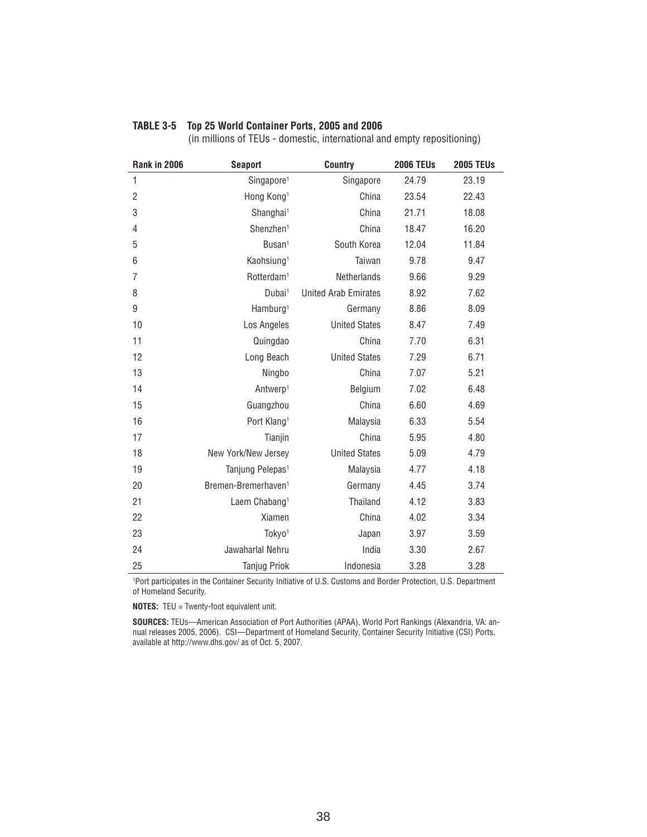| Rank in 2006   | <b>Seaport</b>                  | <b>Country</b>              | <b>2006 TEUs</b> | <b>2005 TEUs</b> |
|----------------|---------------------------------|-----------------------------|------------------|------------------|
| 1              | Singapore <sup>1</sup>          | Singapore                   | 24.79            | 23.19            |
| $\overline{c}$ | Hong Kong <sup>1</sup>          | China                       | 23.54            | 22.43            |
| 3              | Shanghai <sup>1</sup>           | China                       | 21.71            | 18.08            |
| 4              | Shenzhen <sup>1</sup>           | China                       | 18.47            | 16.20            |
| 5              | Busan <sup>1</sup>              | South Korea                 | 12.04            | 11.84            |
| 6              | Kaohsiung <sup>1</sup>          | Taiwan                      | 9.78             | 9.47             |
| $\overline{7}$ | Rotterdam <sup>1</sup>          | Netherlands                 | 9.66             | 9.29             |
| 8              | Dubai <sup>1</sup>              | <b>United Arab Emirates</b> | 8.92             | 7.62             |
| 9              | Hamburg <sup>1</sup>            | Germany                     | 8.86             | 8.09             |
| 10             | Los Angeles                     | <b>United States</b>        | 8.47             | 7.49             |
| 11             | Quingdao                        | China                       | 7.70             | 6.31             |
| 12             | Long Beach                      | <b>United States</b>        | 7.29             | 6.71             |
| 13             | Ningbo                          | China                       | 7.07             | 5.21             |
| 14             | Antwerp <sup>1</sup>            | Belgium                     | 7.02             | 6.48             |
| 15             | Guangzhou                       | China                       | 6.60             | 4.69             |
| 16             | Port Klang <sup>1</sup>         | Malaysia                    | 6.33             | 5.54             |
| 17             | Tianjin                         | China                       | 5.95             | 4.80             |
| 18             | New York/New Jersey             | <b>United States</b>        | 5.09             | 4.79             |
| 19             | Tanjung Pelepas <sup>1</sup>    | Malaysia                    | 4.77             | 4.18             |
| 20             | Bremen-Bremerhaven <sup>1</sup> | Germany                     | 4.45             | 3.74             |
| 21             | Laem Chabang <sup>1</sup>       | Thailand                    | 4.12             | 3.83             |
| 22             | Xiamen                          | China                       | 4.02             | 3.34             |
| 23             | Tokyo <sup>1</sup>              | Japan                       | 3.97             | 3.59             |
| 24             | Jawaharlal Nehru                | India                       | 3.30             | 2.67             |
| 25             | Tanjug Priok                    | Indonesia                   | 3.28             | 3.28             |

#### **TABLE 3-5 Top 25 World Container Ports, 2005 and 2006**

(in millions of TEUs - domestic, international and empty repositioning)

1 Port participates in the Container Security Initiative of U.S. Customs and Border Protection, U.S. Department of Homeland Security.

**NOTES:** TEU = Twenty-foot equivalent unit.

**SOURCES:** TEUs—American Association of Port Authorities (APAA), World Port Rankings (Alexandria, VA: annual releases 2005, 2006). CSI—Department of Homeland Security, Container Security Initiative (CSI) Ports, available at http://www.dhs.gov/ as of Oct. 5, 2007.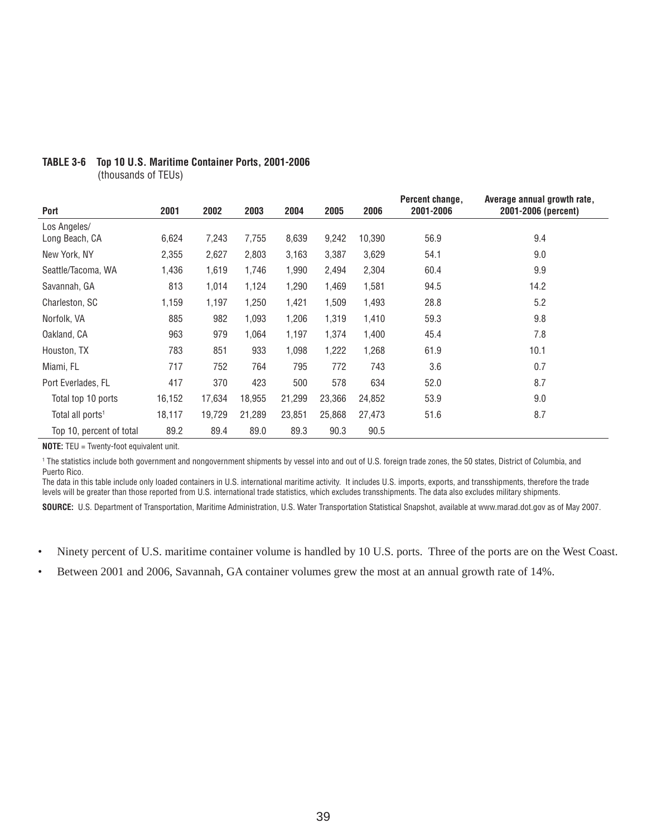|                              |        |        |        |        |        |        | Percent change, | Average annual growth rate, |
|------------------------------|--------|--------|--------|--------|--------|--------|-----------------|-----------------------------|
| Port                         | 2001   | 2002   | 2003   | 2004   | 2005   | 2006   | 2001-2006       | 2001-2006 (percent)         |
| Los Angeles/                 |        |        |        |        |        |        |                 |                             |
| Long Beach, CA               | 6,624  | 7,243  | 7,755  | 8,639  | 9,242  | 10,390 | 56.9            | 9.4                         |
| New York, NY                 | 2,355  | 2,627  | 2,803  | 3,163  | 3,387  | 3,629  | 54.1            | 9.0                         |
| Seattle/Tacoma, WA           | 1,436  | 1,619  | 1,746  | 1,990  | 2,494  | 2,304  | 60.4            | 9.9                         |
| Savannah, GA                 | 813    | 1,014  | 1,124  | 1,290  | 1,469  | 1,581  | 94.5            | 14.2                        |
| Charleston, SC               | 1,159  | 1,197  | 1,250  | 1,421  | 1,509  | 1,493  | 28.8            | 5.2                         |
| Norfolk, VA                  | 885    | 982    | 1,093  | 1,206  | 1,319  | 1,410  | 59.3            | 9.8                         |
| Oakland, CA                  | 963    | 979    | 1,064  | 1,197  | 1,374  | 1,400  | 45.4            | 7.8                         |
| Houston, TX                  | 783    | 851    | 933    | 1,098  | 1,222  | 1,268  | 61.9            | 10.1                        |
| Miami, FL                    | 717    | 752    | 764    | 795    | 772    | 743    | 3.6             | 0.7                         |
| Port Everlades, FL           | 417    | 370    | 423    | 500    | 578    | 634    | 52.0            | 8.7                         |
| Total top 10 ports           | 16,152 | 17,634 | 18,955 | 21,299 | 23,366 | 24,852 | 53.9            | 9.0                         |
| Total all ports <sup>1</sup> | 18,117 | 19,729 | 21,289 | 23,851 | 25,868 | 27,473 | 51.6            | 8.7                         |
| Top 10, percent of total     | 89.2   | 89.4   | 89.0   | 89.3   | 90.3   | 90.5   |                 |                             |

### **TABLE 3-6 Top 10 U.S. Maritime Container Ports, 2001-2006**

(thousands of TEUs)

**NOTE:** TEU = Twenty-foot equivalent unit.

1 The statistics include both government and nongovernment shipments by vessel into and out of U.S. foreign trade zones, the 50 states, District of Columbia, and Puerto Rico.

The data in this table include only loaded containers in U.S. international maritime activity. It includes U.S. imports, exports, and transshipments, therefore the trade levels will be greater than those reported from U.S. international trade statistics, which excludes transshipments. The data also excludes military shipments.

**SOURCE:** U.S. Department of Transportation, Maritime Administration, U.S. Water Transportation Statistical Snapshot, available at www.marad.dot.gov as of May 2007.

- Ninety percent of U.S. maritime container volume is handled by 10 U.S. ports. Three of the ports are on the West Coast.
- Between 2001 and 2006, Savannah, GA container volumes grew the most at an annual growth rate of 14%.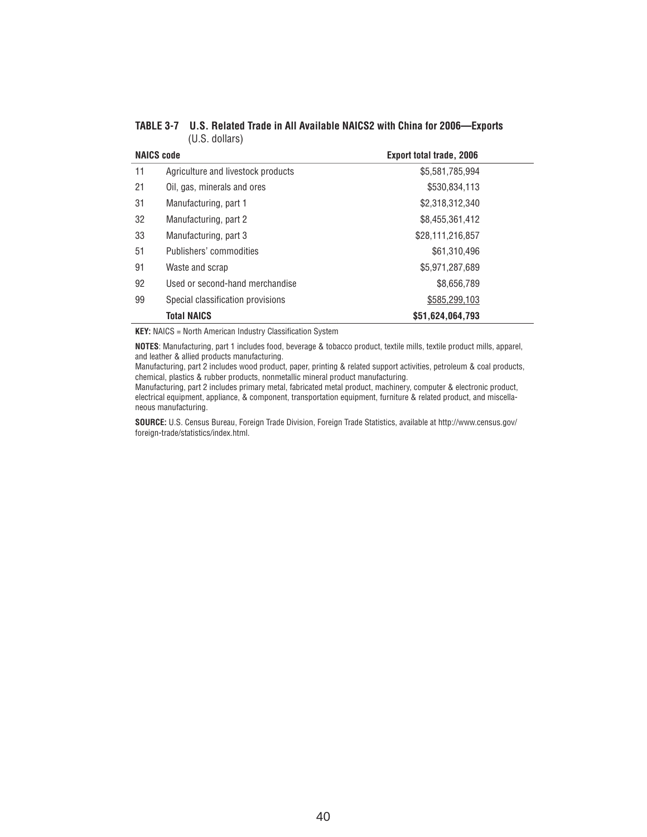| <b>NAICS code</b> |                                    | <b>Export total trade, 2006</b> |
|-------------------|------------------------------------|---------------------------------|
| 11                | Agriculture and livestock products | \$5,581,785,994                 |
| 21                | Oil, gas, minerals and ores        | \$530,834,113                   |
| 31                | Manufacturing, part 1              | \$2,318,312,340                 |
| 32                | Manufacturing, part 2              | \$8,455,361,412                 |
| 33                | Manufacturing, part 3              | \$28,111,216,857                |
| 51                | Publishers' commodities            | \$61,310,496                    |
| 91                | Waste and scrap                    | \$5,971,287,689                 |
| 92                | Used or second-hand merchandise    | \$8,656,789                     |
| 99                | Special classification provisions  | \$585,299,103                   |
|                   | <b>Total NAICS</b>                 | \$51,624,064,793                |

**TABLE 3-7 U.S. Related Trade in All Available NAICS2 with China for 2006—Exports** (U.S. dollars)

**KEY:** NAICS = North American Industry Classification System

**NOTES**: Manufacturing, part 1 includes food, beverage & tobacco product, textile mills, textile product mills, apparel, and leather & allied products manufacturing.

Manufacturing, part 2 includes wood product, paper, printing & related support activities, petroleum & coal products, chemical, plastics & rubber products, nonmetallic mineral product manufacturing.

Manufacturing, part 2 includes primary metal, fabricated metal product, machinery, computer & electronic product, electrical equipment, appliance, & component, transportation equipment, furniture & related product, and miscellaneous manufacturing.

**SOURCE:** U.S. Census Bureau, Foreign Trade Division, Foreign Trade Statistics, available at http://www.census.gov/ foreign-trade/statistics/index.html.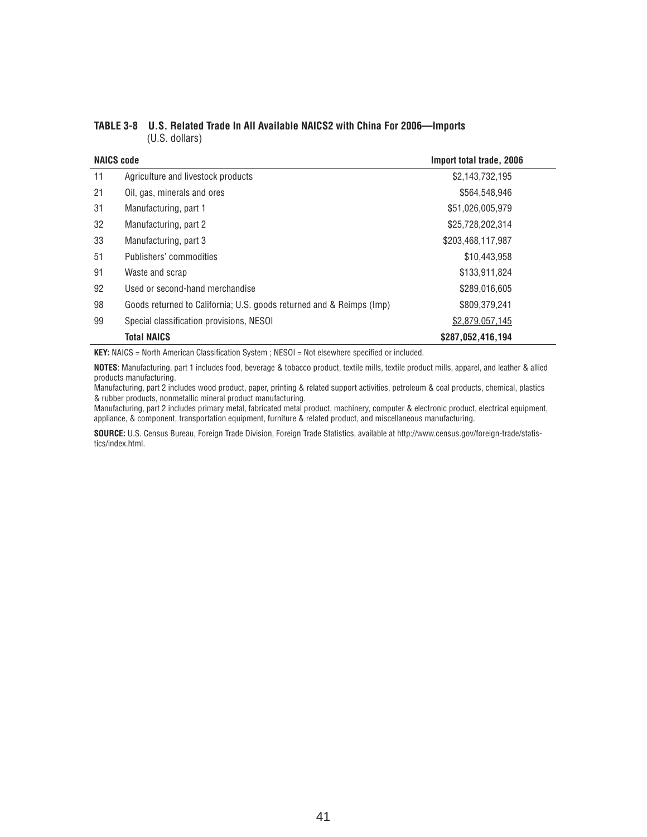| <b>NAICS code</b> |                                                                      | Import total trade, 2006 |
|-------------------|----------------------------------------------------------------------|--------------------------|
| 11                | Agriculture and livestock products                                   | \$2,143,732,195          |
| 21                | Oil, gas, minerals and ores                                          | \$564,548,946            |
| 31                | Manufacturing, part 1                                                | \$51,026,005,979         |
| 32                | Manufacturing, part 2                                                | \$25,728,202,314         |
| 33                | Manufacturing, part 3                                                | \$203,468,117,987        |
| 51                | Publishers' commodities                                              | \$10,443,958             |
| 91                | Waste and scrap                                                      | \$133,911,824            |
| 92                | Used or second-hand merchandise                                      | \$289,016,605            |
| 98                | Goods returned to California; U.S. goods returned and & Reimps (Imp) | \$809.379.241            |
| 99                | Special classification provisions, NESOI                             | \$2,879,057,145          |
|                   | <b>Total NAICS</b>                                                   | \$287,052,416,194        |

#### **TABLE 3-8 U.S. Related Trade In All Available NAICS2 with China For 2006—Imports** (U.S. dollars)

KEY: NAICS = North American Classification System ; NESOI = Not elsewhere specified or included.

**NOTES**: Manufacturing, part 1 includes food, beverage & tobacco product, textile mills, textile product mills, apparel, and leather & allied products manufacturing.

Manufacturing, part 2 includes wood product, paper, printing & related support activities, petroleum & coal products, chemical, plastics & rubber products, nonmetallic mineral product manufacturing.

Manufacturing, part 2 includes primary metal, fabricated metal product, machinery, computer & electronic product, electrical equipment, appliance, & component, transportation equipment, furniture & related product, and miscellaneous manufacturing.

**SOURCE:** U.S. Census Bureau, Foreign Trade Division, Foreign Trade Statistics, available at http://www.census.gov/foreign-trade/statistics/index.html.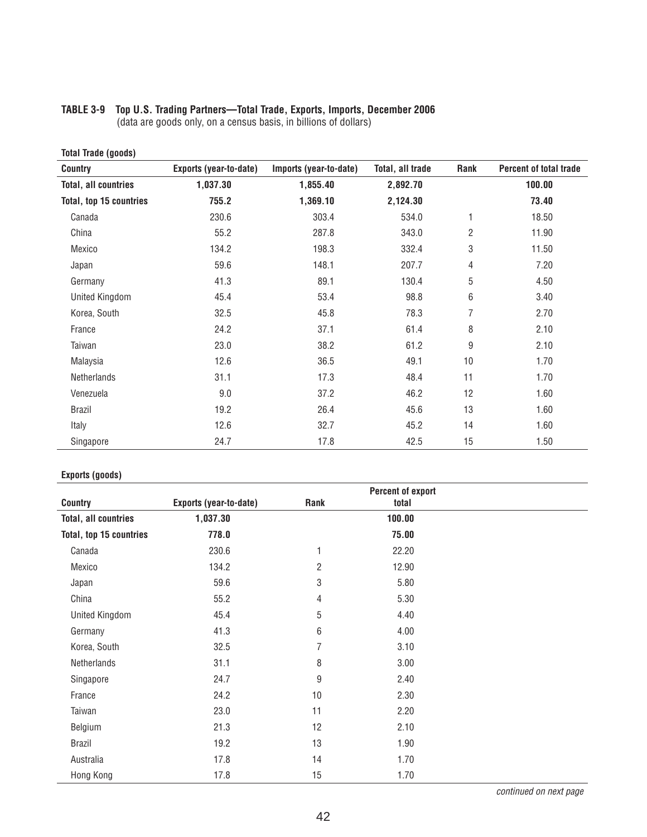| <b>Country</b>              | Exports (year-to-date) | Imports (year-to-date) | Total, all trade | Rank             | <b>Percent of total trade</b> |
|-----------------------------|------------------------|------------------------|------------------|------------------|-------------------------------|
| <b>Total, all countries</b> | 1,037.30               | 1,855.40               | 2,892.70         |                  | 100.00                        |
| Total, top 15 countries     | 755.2                  | 1,369.10               | 2,124.30         |                  | 73.40                         |
| Canada                      | 230.6                  | 303.4                  | 534.0            | 1                | 18.50                         |
| China                       | 55.2                   | 287.8                  | 343.0            | $\overline{2}$   | 11.90                         |
| Mexico                      | 134.2                  | 198.3                  | 332.4            | $\mathsf 3$      | 11.50                         |
| Japan                       | 59.6                   | 148.1                  | 207.7            | $\overline{4}$   | 7.20                          |
| Germany                     | 41.3                   | 89.1                   | 130.4            | $\mathbf 5$      | 4.50                          |
| United Kingdom              | 45.4                   | 53.4                   | 98.8             | 6                | 3.40                          |
| Korea, South                | 32.5                   | 45.8                   | 78.3             | 7                | 2.70                          |
| France                      | 24.2                   | 37.1                   | 61.4             | 8                | 2.10                          |
| Taiwan                      | 23.0                   | 38.2                   | 61.2             | $\boldsymbol{9}$ | 2.10                          |
| Malaysia                    | 12.6                   | 36.5                   | 49.1             | 10               | 1.70                          |
| <b>Netherlands</b>          | 31.1                   | 17.3                   | 48.4             | 11               | 1.70                          |
| Venezuela                   | 9.0                    | 37.2                   | 46.2             | 12               | 1.60                          |
| <b>Brazil</b>               | 19.2                   | 26.4                   | 45.6             | 13               | 1.60                          |
| Italy                       | 12.6                   | 32.7                   | 45.2             | 14               | 1.60                          |
| Singapore                   | 24.7                   | 17.8                   | 42.5             | 15               | 1.50                          |

#### **TABLE 3-9 Top U.S. Trading Partners—Total Trade, Exports, Imports, December 2006**

(data are goods only, on a census basis, in billions of dollars)

#### **Exports (goods)**

**Total Trade (goods)** 

|                                |                        |      | <b>Percent of export</b> |  |
|--------------------------------|------------------------|------|--------------------------|--|
| <b>Country</b>                 | Exports (year-to-date) | Rank | total                    |  |
| <b>Total, all countries</b>    | 1,037.30               |      | 100.00                   |  |
| <b>Total, top 15 countries</b> | 778.0                  |      | 75.00                    |  |
| Canada                         | 230.6                  | 1    | 22.20                    |  |
| Mexico                         | 134.2                  | 2    | 12.90                    |  |
| Japan                          | 59.6                   | 3    | 5.80                     |  |
| China                          | 55.2                   | 4    | 5.30                     |  |
| United Kingdom                 | 45.4                   | 5    | 4.40                     |  |
| Germany                        | 41.3                   | 6    | 4.00                     |  |
| Korea, South                   | 32.5                   | 7    | 3.10                     |  |
| Netherlands                    | 31.1                   | 8    | 3.00                     |  |
| Singapore                      | 24.7                   | 9    | 2.40                     |  |
| France                         | 24.2                   | 10   | 2.30                     |  |
| Taiwan                         | 23.0                   | 11   | 2.20                     |  |
| Belgium                        | 21.3                   | 12   | 2.10                     |  |
| <b>Brazil</b>                  | 19.2                   | 13   | 1.90                     |  |
| Australia                      | 17.8                   | 14   | 1.70                     |  |
| Hong Kong                      | 17.8                   | 15   | 1.70                     |  |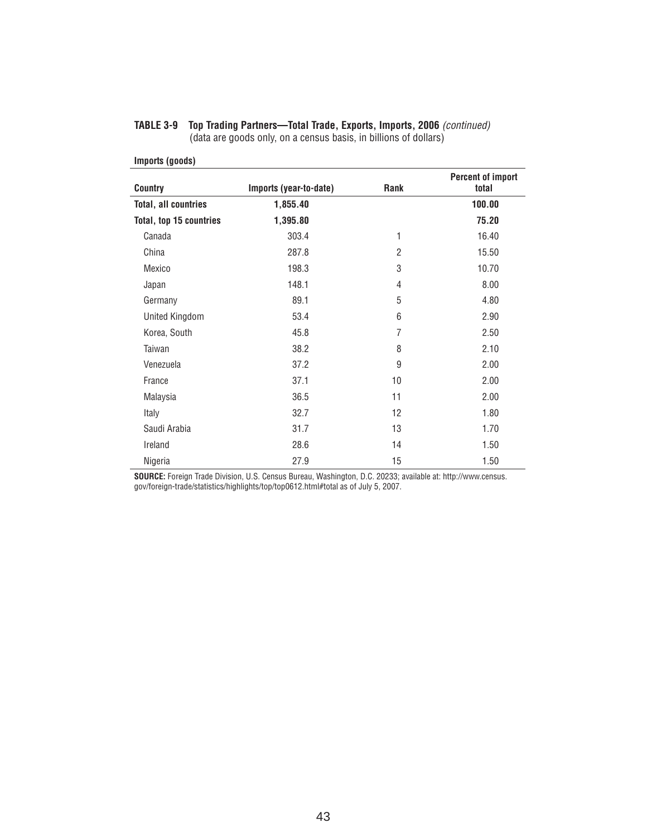| Imports (goods)                |                        |                |                                   |
|--------------------------------|------------------------|----------------|-----------------------------------|
| <b>Country</b>                 | Imports (year-to-date) | <b>Rank</b>    | <b>Percent of import</b><br>total |
| <b>Total, all countries</b>    | 1,855.40               |                | 100.00                            |
| <b>Total, top 15 countries</b> | 1,395.80               |                | 75.20                             |
| Canada                         | 303.4                  | 1              | 16.40                             |
| China                          | 287.8                  | $\overline{2}$ | 15.50                             |
| Mexico                         | 198.3                  | 3              | 10.70                             |
| Japan                          | 148.1                  | 4              | 8.00                              |
| Germany                        | 89.1                   | 5              | 4.80                              |
| United Kingdom                 | 53.4                   | 6              | 2.90                              |
| Korea, South                   | 45.8                   | 7              | 2.50                              |
| Taiwan                         | 38.2                   | 8              | 2.10                              |
| Venezuela                      | 37.2                   | 9              | 2.00                              |
| France                         | 37.1                   | 10             | 2.00                              |
| Malaysia                       | 36.5                   | 11             | 2.00                              |
| Italy                          | 32.7                   | 12             | 1.80                              |
| Saudi Arabia                   | 31.7                   | 13             | 1.70                              |
| Ireland                        | 28.6                   | 14             | 1.50                              |
| Nigeria                        | 27.9                   | 15             | 1.50                              |

# **TABLE 3-9 Top Trading Partners—Total Trade, Exports, Imports, 2006** *(continued)*

(data are goods only, on a census basis, in billions of dollars)

**SOURCE:** Foreign Trade Division, U.S. Census Bureau, Washington, D.C. 20233; available at: http://www.census. gov/foreign-trade/statistics/highlights/top/top0612.html#total as of July 5, 2007.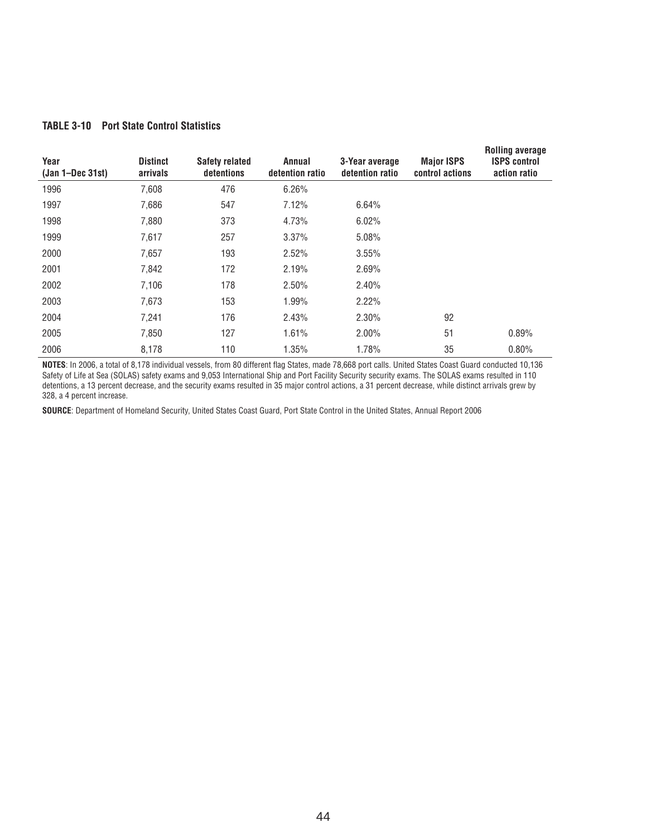#### **TABLE 3-10 Port State Control Statistics**

| Year<br>(Jan 1–Dec 31st) | <b>Distinct</b><br>arrivals | <b>Safety related</b><br>detentions | Annual<br>detention ratio | 3-Year average<br>detention ratio | <b>Major ISPS</b><br>control actions | <b>Rolling average</b><br><b>ISPS control</b><br>action ratio |
|--------------------------|-----------------------------|-------------------------------------|---------------------------|-----------------------------------|--------------------------------------|---------------------------------------------------------------|
| 1996                     | 7,608                       | 476                                 | 6.26%                     |                                   |                                      |                                                               |
| 1997                     | 7,686                       | 547                                 | 7.12%                     | 6.64%                             |                                      |                                                               |
| 1998                     | 7,880                       | 373                                 | 4.73%                     | 6.02%                             |                                      |                                                               |
| 1999                     | 7,617                       | 257                                 | 3.37%                     | 5.08%                             |                                      |                                                               |
| 2000                     | 7,657                       | 193                                 | 2.52%                     | 3.55%                             |                                      |                                                               |
| 2001                     | 7.842                       | 172                                 | 2.19%                     | 2.69%                             |                                      |                                                               |
| 2002                     | 7,106                       | 178                                 | 2.50%                     | 2.40%                             |                                      |                                                               |
| 2003                     | 7,673                       | 153                                 | 1.99%                     | 2.22%                             |                                      |                                                               |
| 2004                     | 7,241                       | 176                                 | 2.43%                     | 2.30%                             | 92                                   |                                                               |
| 2005                     | 7,850                       | 127                                 | 1.61%                     | 2.00%                             | 51                                   | 0.89%                                                         |
| 2006                     | 8.178                       | 110                                 | 1.35%                     | 1.78%                             | 35                                   | 0.80%                                                         |

<code>NOTES</code>: In 2006, a total of 8,178 individual vessels, from 80 different flag States, made 78,668 port calls. United States Coast Guard conducted 10,136 Safety of Life at Sea (SOLAS) safety exams and 9,053 International Ship and Port Facility Security security exams. The SOLAS exams resulted in 110 detentions, a 13 percent decrease, and the security exams resulted in 35 major control actions, a 31 percent decrease, while distinct arrivals grew by 328, a 4 percent increase.

**SOURCE**: Department of Homeland Security, United States Coast Guard, Port State Control in the United States, Annual Report 2006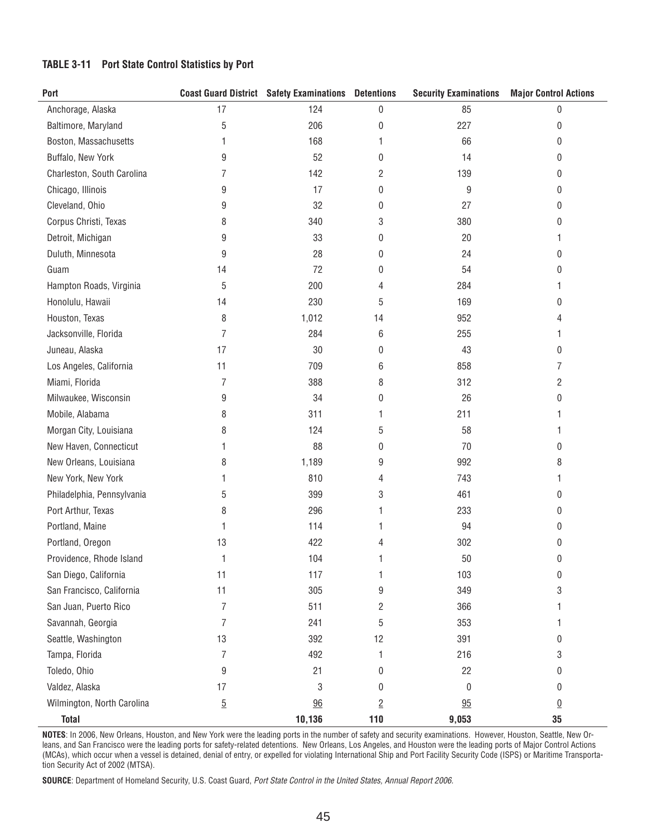#### **TABLE 3-11 Port State Control Statistics by Port**

| Port                       |                | <b>Coast Guard District Safety Examinations</b> | <b>Detentions</b> | <b>Security Examinations</b> | <b>Major Control Actions</b> |
|----------------------------|----------------|-------------------------------------------------|-------------------|------------------------------|------------------------------|
| Anchorage, Alaska          | 17             | 124                                             | 0                 | 85                           | 0                            |
| Baltimore, Maryland        | 5              | 206                                             | 0                 | 227                          | 0                            |
| Boston, Massachusetts      | 1              | 168                                             | 1                 | 66                           | 0                            |
| Buffalo, New York          | 9              | 52                                              | 0                 | 14                           | 0                            |
| Charleston, South Carolina | 7              | 142                                             | 2                 | 139                          | 0                            |
| Chicago, Illinois          | 9              | 17                                              | 0                 | 9                            | 0                            |
| Cleveland, Ohio            | 9              | 32                                              | 0                 | 27                           | 0                            |
| Corpus Christi, Texas      | 8              | 340                                             | 3                 | 380                          | 0                            |
| Detroit, Michigan          | 9              | 33                                              | 0                 | 20                           |                              |
| Duluth, Minnesota          | 9              | 28                                              | 0                 | 24                           | 0                            |
| Guam                       | 14             | 72                                              | 0                 | 54                           | 0                            |
| Hampton Roads, Virginia    | 5              | 200                                             | 4                 | 284                          |                              |
| Honolulu, Hawaii           | 14             | 230                                             | 5                 | 169                          | 0                            |
| Houston, Texas             | 8              | 1,012                                           | 14                | 952                          | 4                            |
| Jacksonville, Florida      | 7              | 284                                             | 6                 | 255                          | 1                            |
| Juneau, Alaska             | 17             | 30                                              | 0                 | 43                           | 0                            |
| Los Angeles, California    | 11             | 709                                             | 6                 | 858                          | 7                            |
| Miami, Florida             | 7              | 388                                             | 8                 | 312                          | 2                            |
| Milwaukee, Wisconsin       | 9              | 34                                              | 0                 | 26                           | 0                            |
| Mobile, Alabama            | 8              | 311                                             | 1                 | 211                          |                              |
| Morgan City, Louisiana     | 8              | 124                                             | 5                 | 58                           | 1                            |
| New Haven, Connecticut     | 1              | 88                                              | 0                 | 70                           | 0                            |
| New Orleans, Louisiana     | 8              | 1,189                                           | 9                 | 992                          | 8                            |
| New York, New York         | 1              | 810                                             | 4                 | 743                          | 1                            |
| Philadelphia, Pennsylvania | 5              | 399                                             | 3                 | 461                          | 0                            |
| Port Arthur, Texas         | 8              | 296                                             |                   | 233                          | 0                            |
| Portland, Maine            | 1              | 114                                             |                   | 94                           | 0                            |
| Portland, Oregon           | 13             | 422                                             | 4                 | 302                          | 0                            |
| Providence, Rhode Island   | 1              | 104                                             |                   | 50                           | 0                            |
| San Diego, California      | 11             | 117                                             | 1                 | 103                          | 0                            |
| San Francisco, California  | 11             | 305                                             | 9                 | 349                          | 3                            |
| San Juan, Puerto Rico      | 7              | 511                                             | 2                 | 366                          |                              |
| Savannah, Georgia          | 7              | 241                                             | 5                 | 353                          | 1                            |
| Seattle, Washington        | 13             | 392                                             | 12                | 391                          | 0                            |
| Tampa, Florida             | 7              | 492                                             | 1                 | 216                          | 3                            |
| Toledo, Ohio               | 9              | 21                                              | 0                 | 22                           | 0                            |
| Valdez, Alaska             | 17             | 3                                               | 0                 | 0                            | 0                            |
| Wilmington, North Carolina | $\overline{5}$ | 96                                              | $\overline{2}$    | 95                           | $\underline{0}$              |
| <b>Total</b>               |                | 10,136                                          | 110               | 9,053                        | $35\,$                       |

**NOTES**: In 2006, New Orleans, Houston, and New York were the leading ports in the number of safety and security examinations. However, Houston, Seattle, New Orleans, and San Francisco were the leading ports for safety-related detentions. New Orleans, Los Angeles, and Houston were the leading ports of Major Control Actions (MCAs), which occur when a vessel is detained, denial of entry, or expelled for violating International Ship and Port Facility Security Code (ISPS) or Maritime Transportation Security Act of 2002 (MTSA).

**SOURCE**: Department of Homeland Security, U.S. Coast Guard, *Port State Control in the United States, Annual Report 2006.*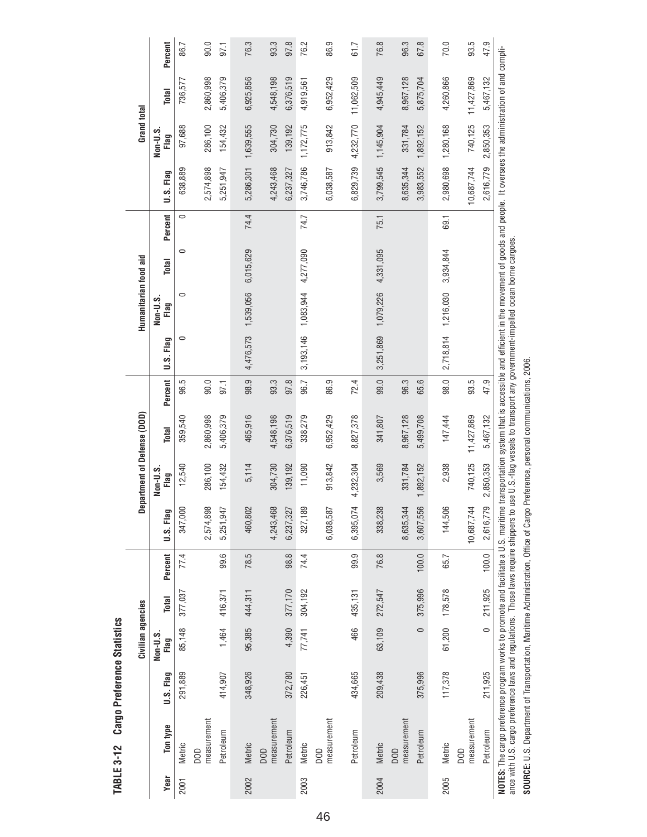|      |                                                                                                                                                                                                                                                                                                                                                                                                       |                  | Civilian agencies |         |         |                        | Department of Defense (DOD) |                        |              |                  | Humanitarian food aid |           |         |                        | Grand total          |                        |              |
|------|-------------------------------------------------------------------------------------------------------------------------------------------------------------------------------------------------------------------------------------------------------------------------------------------------------------------------------------------------------------------------------------------------------|------------------|-------------------|---------|---------|------------------------|-----------------------------|------------------------|--------------|------------------|-----------------------|-----------|---------|------------------------|----------------------|------------------------|--------------|
| Year | Ton type                                                                                                                                                                                                                                                                                                                                                                                              | <b>U.S. Flag</b> | Non-U.S.<br>Flag  | Total   | Percent | <b>U.S. Flag</b>       | Non-U.S.<br>Flag            | <b>Total</b>           | Percent      | <b>U.S. Flag</b> | Non-U.S.<br>Flag      | Total     | Percent | <b>U.S. Flag</b>       | Non-U.S.<br>Flag     | <b>Total</b>           | Percent      |
| 2001 | Metric                                                                                                                                                                                                                                                                                                                                                                                                | 291,889          | 85,148            | 377,037 | 77.4    | 347,000                | 12,540                      | 359,540                | 96.5         | $\circ$          | $\circ$               | $\circ$   | $\circ$ | 638,889                | 97,688               | 736,577                | 86.7         |
|      | measurement<br>DOD                                                                                                                                                                                                                                                                                                                                                                                    |                  |                   |         |         | 2,574,898              | 286,100                     | 2,860,998              | 90.0         |                  |                       |           |         | 2,574,898              | 286,100              | 2,860,998              | 0.06         |
|      | Petroleum                                                                                                                                                                                                                                                                                                                                                                                             | 414,907          | 1,464             | 416,371 | 99.6    | 5,251,947              | 154,432                     | 5,406,379              | 97.1         |                  |                       |           |         | 5,251,947              | 154,432              | 5,406,379              | 97.1         |
| 2002 | Metric                                                                                                                                                                                                                                                                                                                                                                                                | 348,926          | 95,385            | 44,311  | 78.5    | 460,802                | 5,114                       | 465,916                | 98.9         | 4,476,573        | 1,539,056             | 6,015,629 | 74.4    | 5,286,301              | 1,639,555            | 6,925,856              | 76.3         |
|      | measurement<br>DOD                                                                                                                                                                                                                                                                                                                                                                                    |                  |                   |         |         | 4,243,468              | 304,730                     | 4,548,198              | 93.3         |                  |                       |           |         | 4,243,468              | 304,730              | 4,548,198              | 93.3         |
|      | Petroleum                                                                                                                                                                                                                                                                                                                                                                                             | 372,780          | 4,390             | 377,170 | 98.8    | 6,237,327              | 139,192                     | 6,376,519              | 97.8         |                  |                       |           |         | 6,237,327              | 139,192              | 6,376,519              | 97.8         |
| 2003 | Metric                                                                                                                                                                                                                                                                                                                                                                                                | 226,451          | 77,741            | 304,192 | 74.4    | 327,189                | 11,090                      | 338,279                | 96.7         |                  | 3,193,146 1,083,944   | 4,277,090 | 74.7    | 3,746,786              | 1,172,775            | 4,919,561              | 76.2         |
|      | measurement<br><b>DOO</b>                                                                                                                                                                                                                                                                                                                                                                             |                  |                   |         |         | 6,038,587              | 913,842                     | 6,952,429              | 86.9         |                  |                       |           |         | 6,038,587              | 913,842              | 6,952,429              | 86.9         |
|      | Petroleum                                                                                                                                                                                                                                                                                                                                                                                             | 434,665          | 466               | 435,131 | 99.9    | 6,395,074              | 4,232,304                   | 8,827,378              | 72.4         |                  |                       |           |         | 6,829,739              | 4,232,770            | 11,062,509             | 61.7         |
| 2004 | Metric                                                                                                                                                                                                                                                                                                                                                                                                | 209,438          | 63,109            | 272,547 | 76.8    | 338,238                | 3,569                       | 341,807                | 99.0         | 3,251,869        | 1,079,226             | 4,331,095 | 75.1    | 3,799,545              | 1,145,904            | 4,945,449              | 76.8         |
|      | measurement<br>Petroleum<br>DOD                                                                                                                                                                                                                                                                                                                                                                       | 375,996          | $\circ$           | 375,996 | 100.0   | 3,607,556<br>8,635,344 | 331,784<br>1,892,152        | 8,967,128<br>5,499,708 | 96.3<br>65.6 |                  |                       |           |         | 3,983,552<br>8,635,344 | 331,784<br>1,892,152 | 8,967,128<br>5,875,704 | 96.3<br>67.8 |
| 2005 | Metric                                                                                                                                                                                                                                                                                                                                                                                                | 117,378          | 61,200            | 178,578 | 65.7    | 144,506                | 2,938                       | 147,444                | 98.0         | 2,718,814        | 1,216,030             | 3,934,844 | 69.1    | 2,980,698              | 1,280,168            | 4,260,866              | 70.0         |
|      | measurement<br>DOD                                                                                                                                                                                                                                                                                                                                                                                    |                  |                   |         |         | 10,687,744             | 740,125                     | 11,427,869             | 93.5         |                  |                       |           |         | 0,687,744              | 740,125              | 11,427,869             | 93.5         |
|      | Petroleum                                                                                                                                                                                                                                                                                                                                                                                             | 211,925          | $\circ$           | 211,925 | 100.0   | 2,616,779              | 2,850,353                   | 5,467,132              | 47.9         |                  |                       |           |         | 2,616,779              | 2,850,353            | 5,467,132              | 47.9         |
|      | NOTES: The cargo preference program works to promote and facilitate a U.S. maritime transportation system that is accessible and efficient in the movement of goods and people. It oversees the administration of and compli-<br>ance with U.S. cargo preference laws and regulations. Those laws require shippers to use U.S.-flag vessels to transport any government-impelled ocean borne cargoes. |                  |                   |         |         |                        |                             |                        |              |                  |                       |           |         |                        |                      |                        |              |

TABLE 3-12 Cargo Preference Statistics **TABLE 3-12 Cargo Preference Statistics**

**SOURCE:** U.S. Department of Transportation, Maritime Administration, Offi ce of Cargo Preference, personal communications, 2006.

SOURCE: U.S. Department of Transportation, Maritime Administration, Office of Cargo Preference, personal communications, 2006.

46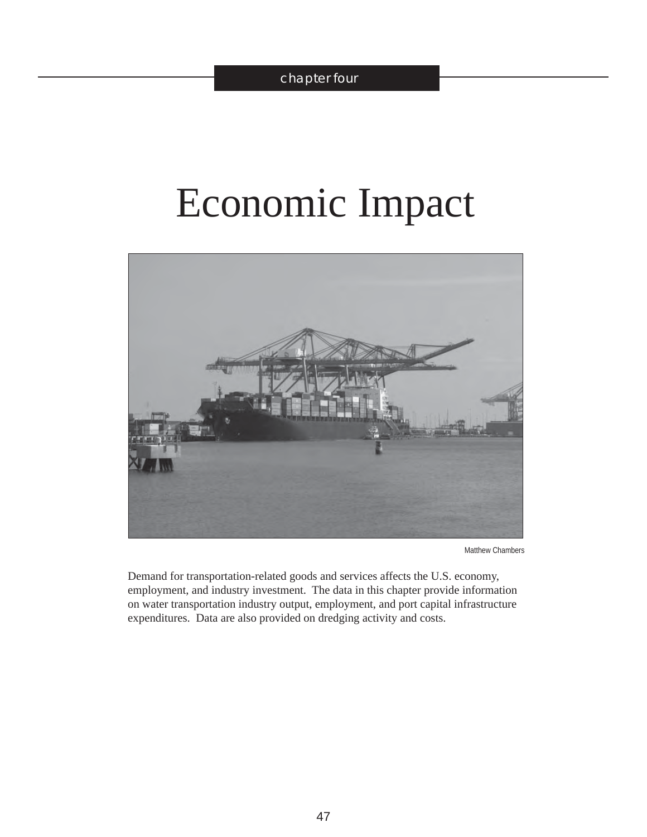# Economic Impact



Matthew Chambers

Demand for transportation-related goods and services affects the U.S. economy, employment, and industry investment. The data in this chapter provide information on water transportation industry output, employment, and port capital infrastructure expenditures. Data are also provided on dredging activity and costs.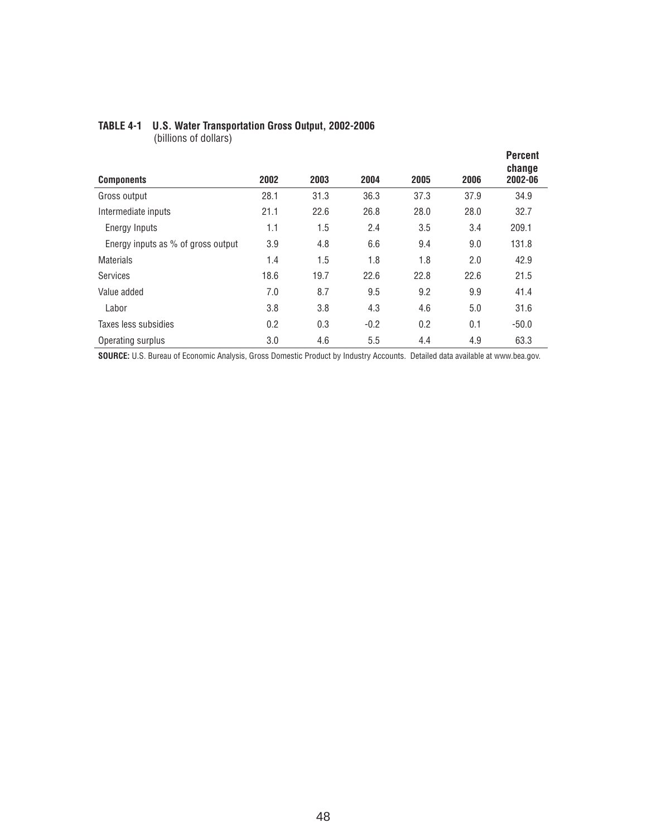| <b>Components</b>                  | 2002 | 2003 | 2004   | 2005 | 2006 | <b>Percent</b><br>change<br>2002-06 |
|------------------------------------|------|------|--------|------|------|-------------------------------------|
| Gross output                       | 28.1 | 31.3 | 36.3   | 37.3 | 37.9 | 34.9                                |
| Intermediate inputs                | 21.1 | 22.6 | 26.8   | 28.0 | 28.0 | 32.7                                |
| Energy Inputs                      | 1.1  | 1.5  | 2.4    | 3.5  | 3.4  | 209.1                               |
| Energy inputs as % of gross output | 3.9  | 4.8  | 6.6    | 9.4  | 9.0  | 131.8                               |
| <b>Materials</b>                   | 1.4  | 1.5  | 1.8    | 1.8  | 2.0  | 42.9                                |
| Services                           | 18.6 | 19.7 | 22.6   | 22.8 | 22.6 | 21.5                                |
| Value added                        | 7.0  | 8.7  | 9.5    | 9.2  | 9.9  | 41.4                                |
| Labor                              | 3.8  | 3.8  | 4.3    | 4.6  | 5.0  | 31.6                                |
| Taxes less subsidies               | 0.2  | 0.3  | $-0.2$ | 0.2  | 0.1  | $-50.0$                             |
| Operating surplus                  | 3.0  | 4.6  | 5.5    | 4.4  | 4.9  | 63.3                                |

# **TABLE 4-1 U.S. Water Transportation Gross Output, 2002-2006**

(billions of dollars)

**SOURCE:** U.S. Bureau of Economic Analysis, Gross Domestic Product by Industry Accounts. Detailed data available at www.bea.gov.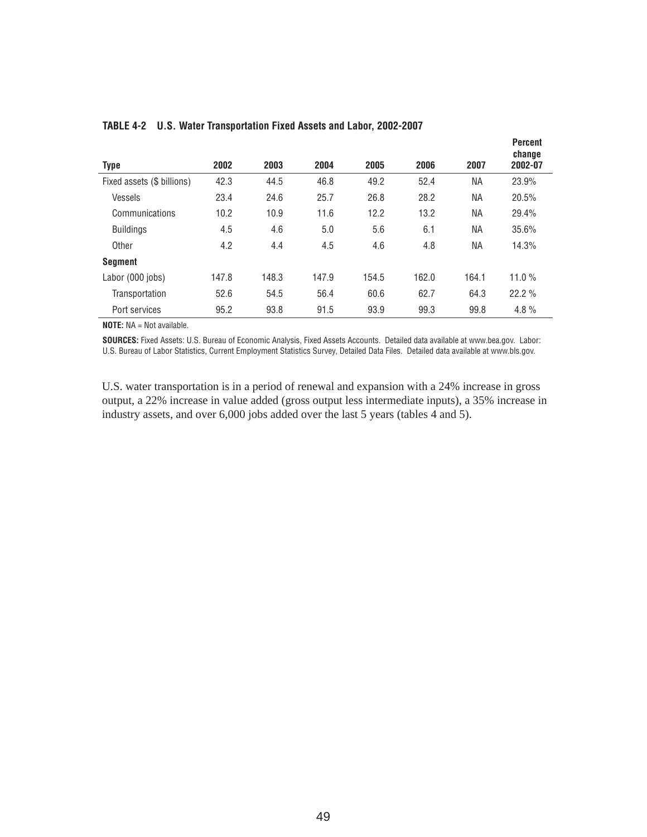| <b>Type</b>                | 2002  | 2003  | 2004  | 2005  | 2006  | 2007      | <b>Percent</b><br>change<br>2002-07 |
|----------------------------|-------|-------|-------|-------|-------|-----------|-------------------------------------|
| Fixed assets (\$ billions) | 42.3  | 44.5  | 46.8  | 49.2  | 52.4  | <b>NA</b> | 23.9%                               |
| Vessels                    | 23.4  | 24.6  | 25.7  | 26.8  | 28.2  | <b>NA</b> | 20.5%                               |
| Communications             | 10.2  | 10.9  | 11.6  | 12.2  | 13.2  | NА        | 29.4%                               |
| <b>Buildings</b>           | 4.5   | 4.6   | 5.0   | 5.6   | 6.1   | <b>NA</b> | 35.6%                               |
| Other                      | 4.2   | 4.4   | 4.5   | 4.6   | 4.8   | ΝA        | 14.3%                               |
| <b>Segment</b>             |       |       |       |       |       |           |                                     |
| Labor (000 jobs)           | 147.8 | 148.3 | 147.9 | 154.5 | 162.0 | 164.1     | 11.0%                               |
| Transportation             | 52.6  | 54.5  | 56.4  | 60.6  | 62.7  | 64.3      | 22.2%                               |
| Port services              | 95.2  | 93.8  | 91.5  | 93.9  | 99.3  | 99.8      | 4.8%                                |

#### **TABLE 4-2 U.S. Water Transportation Fixed Assets and Labor, 2002-2007**

**NOTE:** NA = Not available.

**SOURCES:** Fixed Assets: U.S. Bureau of Economic Analysis, Fixed Assets Accounts. Detailed data available at www.bea.gov. Labor: U.S. Bureau of Labor Statistics, Current Employment Statistics Survey, Detailed Data Files. Detailed data available at www.bls.gov.

U.S. water transportation is in a period of renewal and expansion with a 24% increase in gross output, a 22% increase in value added (gross output less intermediate inputs), a 35% increase in industry assets, and over 6,000 jobs added over the last 5 years (tables 4 and 5).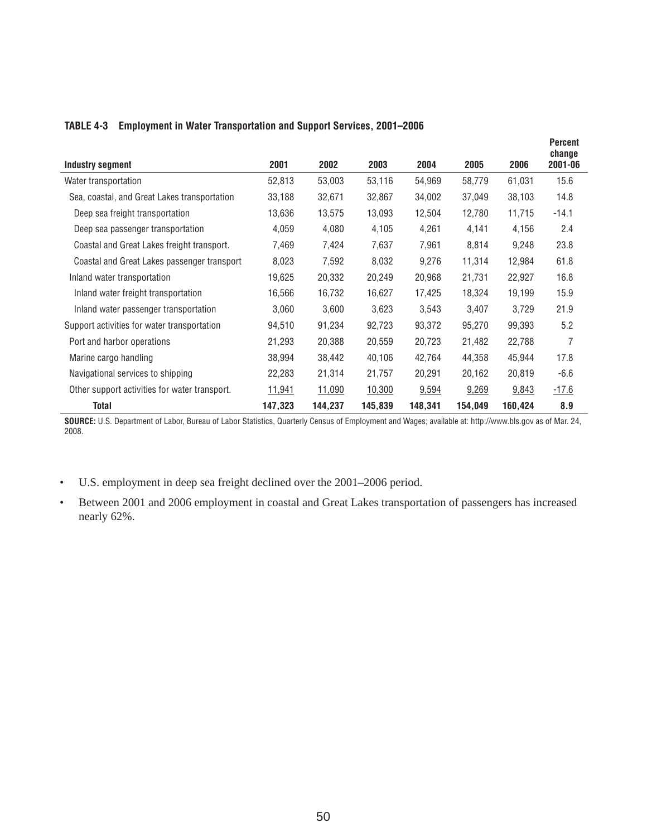#### **TABLE 4-3 Employment in Water Transportation and Support Services, 2001–2006**

| Industry segment                              | 2001    | 2002    | 2003    | 2004    | 2005    | 2006    | Percent<br>change<br>2001-06 |
|-----------------------------------------------|---------|---------|---------|---------|---------|---------|------------------------------|
|                                               |         |         |         |         |         |         |                              |
| Water transportation                          | 52,813  | 53,003  | 53,116  | 54,969  | 58,779  | 61,031  | 15.6                         |
| Sea, coastal, and Great Lakes transportation  | 33,188  | 32,671  | 32,867  | 34,002  | 37,049  | 38,103  | 14.8                         |
| Deep sea freight transportation               | 13,636  | 13,575  | 13,093  | 12,504  | 12,780  | 11,715  | $-14.1$                      |
| Deep sea passenger transportation             | 4,059   | 4,080   | 4,105   | 4,261   | 4,141   | 4,156   | 2.4                          |
| Coastal and Great Lakes freight transport.    | 7,469   | 7,424   | 7,637   | 7,961   | 8,814   | 9,248   | 23.8                         |
| Coastal and Great Lakes passenger transport   | 8,023   | 7,592   | 8,032   | 9,276   | 11,314  | 12,984  | 61.8                         |
| Inland water transportation                   | 19,625  | 20,332  | 20,249  | 20,968  | 21,731  | 22,927  | 16.8                         |
| Inland water freight transportation           | 16,566  | 16,732  | 16,627  | 17,425  | 18,324  | 19,199  | 15.9                         |
| Inland water passenger transportation         | 3,060   | 3,600   | 3,623   | 3,543   | 3,407   | 3,729   | 21.9                         |
| Support activities for water transportation   | 94,510  | 91,234  | 92,723  | 93,372  | 95,270  | 99,393  | 5.2                          |
| Port and harbor operations                    | 21,293  | 20,388  | 20,559  | 20,723  | 21,482  | 22,788  | 7                            |
| Marine cargo handling                         | 38,994  | 38,442  | 40,106  | 42,764  | 44,358  | 45,944  | 17.8                         |
| Navigational services to shipping             | 22,283  | 21,314  | 21,757  | 20,291  | 20,162  | 20,819  | $-6.6$                       |
| Other support activities for water transport. | 11,941  | 11,090  | 10,300  | 9,594   | 9,269   | 9,843   | $-17.6$                      |
| <b>Total</b>                                  | 147,323 | 144,237 | 145,839 | 148,341 | 154,049 | 160,424 | 8.9                          |

**SOURCE:** U.S. Department of Labor, Bureau of Labor Statistics, Quarterly Census of Employment and Wages; available at: http://www.bls.gov as of Mar. 24, 2008.

• U.S. employment in deep sea freight declined over the 2001–2006 period.

• Between 2001 and 2006 employment in coastal and Great Lakes transportation of passengers has increased nearly 62%.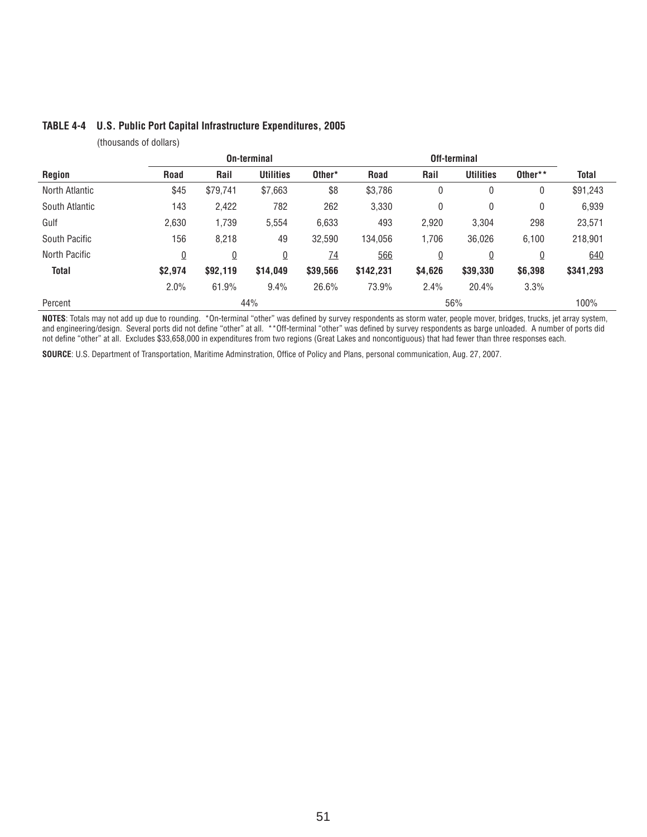|                |                 |                 | On-terminal      |          | Off-terminal |                 |                  |          |              |
|----------------|-----------------|-----------------|------------------|----------|--------------|-----------------|------------------|----------|--------------|
| Region         | <b>Road</b>     | Rail            | <b>Utilities</b> | Other*   | <b>Road</b>  | Rail            | <b>Utilities</b> | Other**  | <b>Total</b> |
| North Atlantic | \$45            | \$79,741        | \$7,663          | \$8      | \$3,786      | 0               | 0                | 0        | \$91,243     |
| South Atlantic | 143             | 2,422           | 782              | 262      | 3,330        | 0               | 0                | 0        | 6,939        |
| Gulf           | 2.630           | 1,739           | 5,554            | 6,633    | 493          | 2,920           | 3,304            | 298      | 23,571       |
| South Pacific  | 156             | 8,218           | 49               | 32,590   | 134,056      | 1,706           | 36,026           | 6,100    | 218,901      |
| North Pacific  | $\underline{0}$ | $\underline{0}$ | $\overline{0}$   | 74       | 566          | $\underline{0}$ | $\underline{0}$  | <u>0</u> | 640          |
| <b>Total</b>   | \$2,974         | \$92,119        | \$14,049         | \$39,566 | \$142,231    | \$4,626         | \$39,330         | \$6,398  | \$341,293    |
|                | 2.0%            | 61.9%           | 9.4%             | 26.6%    | 73.9%        | 2.4%            | 20.4%            | 3.3%     |              |
| Percent        |                 |                 | 44%              |          |              |                 | 56%              |          | 100%         |

#### **TABLE 4-4 U.S. Public Port Capital Infrastructure Expenditures, 2005**

(thousands of dollars)

**NOTES**: Totals may not add up due to rounding. \*On-terminal "other" was defined by survey respondents as storm water, people mover, bridges, trucks, jet array system, and engineering/design. Several ports did not define "other" at all. \*\*Off-terminal "other" was defined by survey respondents as barge unloaded. A number of ports did not define "other" at all. Excludes \$33,658,000 in expenditures from two regions (Great Lakes and noncontiguous) that had fewer than three responses each.

SOURCE: U.S. Department of Transportation, Maritime Adminstration, Office of Policy and Plans, personal communication, Aug. 27, 2007.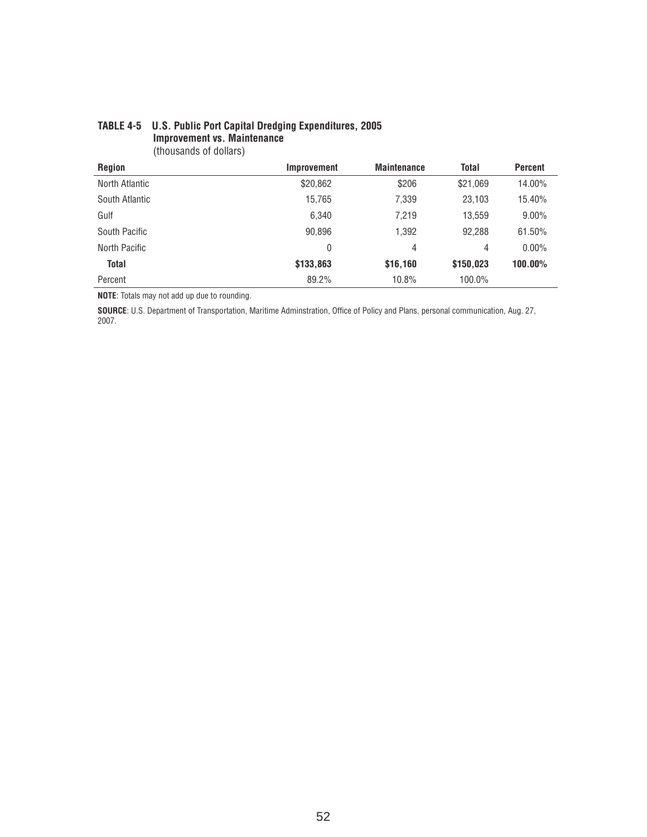|                | $1.100$ $0.1100$ $0.1001$ $0.101$ |                    |           |                |
|----------------|-----------------------------------|--------------------|-----------|----------------|
| <b>Region</b>  | Improvement                       | <b>Maintenance</b> | Total     | <b>Percent</b> |
| North Atlantic | \$20,862                          | \$206              | \$21,069  | 14.00%         |
| South Atlantic | 15,765                            | 7,339              | 23,103    | 15.40%         |
| Gulf           | 6,340                             | 7,219              | 13,559    | $9.00\%$       |
| South Pacific  | 90,896                            | 1,392              | 92,288    | 61.50%         |
| North Pacific  | 0                                 | 4                  | 4         | $0.00\%$       |
| Total          | \$133,863                         | \$16,160           | \$150,023 | 100.00%        |
| Percent        | 89.2%                             | 10.8%              | 100.0%    |                |

#### **TABLE 4-5 U.S. Public Port Capital Dredging Expenditures, 2005 Improvement vs. Maintenance** (thousands of dollars)

**NOTE**: Totals may not add up due to rounding.

SOURCE: U.S. Department of Transportation, Maritime Adminstration, Office of Policy and Plans, personal communication, Aug. 27, 2007.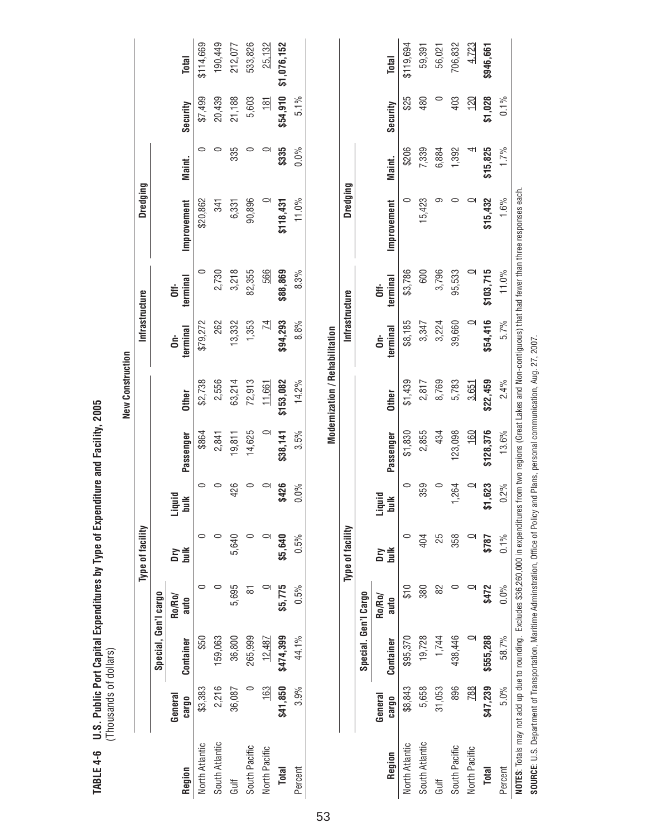**TABLE 4-6 U.S. Public Port Capital Expenditures by Type of Expenditure and Facility, 2005** É, Ĥ Á ŧ نا<br>ام<del>ا</del>ن ے<br>نہ é Duhlic  $\frac{c}{1}$ TABLE 4-6

| nove<br>S<br>٠,                                                     |                      |  |
|---------------------------------------------------------------------|----------------------|--|
|                                                                     |                      |  |
|                                                                     |                      |  |
|                                                                     |                      |  |
|                                                                     |                      |  |
|                                                                     | ر<br>5<br>-          |  |
| U.S. Public Port Capital Expenditures by Type of Expenditure and F? | Indicande of dollard |  |
| ڡ                                                                   |                      |  |

|                |          |                      |         |                    |                |                         | <b>New Construction</b>               |                          |             |                         |          |                |             |
|----------------|----------|----------------------|---------|--------------------|----------------|-------------------------|---------------------------------------|--------------------------|-------------|-------------------------|----------|----------------|-------------|
|                |          |                      |         | Type of facility   |                |                         |                                       | Infrastructure           |             | Dredging                |          |                |             |
|                |          | Special, Gen'l cargo |         |                    |                |                         |                                       |                          |             |                         |          |                |             |
|                | General  |                      | Ro/Ro/  | <b>Dry</b>         | Liquid<br>bulk |                         |                                       | $\dot{\bar{\mathbf{5}}}$ | <b>Off-</b> |                         |          |                |             |
| Region         | cargo    | Container            | auto    |                    |                | Passenger               | <b>Other</b>                          | terminal                 | terminal    | Improvement             | Maint.   | Security       | Total       |
| North Atlantic | \$3,383  | \$50                 | 0       | 0                  | 0              | \$864                   | \$2,738                               | \$79,272                 | 0           | \$20,862                | 0        | \$7,499        | \$114,669   |
| South Atlantic | 2,216    | 159,063              |         |                    |                | 2,841                   | 2,556                                 | 262                      | 2,730       | 341                     |          | 20,439         | 190,449     |
| Gulf           | 36,087   | 36,800               | 5,695   | 5,640              | 426            | 19,811                  | 63,214                                | 13,332                   | 3,218       | 6,331                   | 335      | 21,188         | 212,077     |
| South Pacific  | $\circ$  | 265,999              | 능       |                    | 0              | 14,625                  | 72,913                                | 1,353                    | 82,355      | 90,896                  | 0        | 5,603          | 533,826     |
| North Pacific  | 163      | 12.487               |         | ▭                  | ▭              | $\overline{\mathbb{C}}$ | 11,661                                | $\overline{2}$           | 566         | $\overline{\mathbb{C}}$ |          | $\frac{51}{2}$ | 25,132      |
| Total          | \$41,850 | \$474,399            | \$5,775 | \$5,640            | \$426          | \$38,141                | \$153,082                             | \$94,293                 | \$88,869    | \$118,431               | \$335    | \$54,910       | \$1,076,152 |
| Percent        | 3.9%     | 44.1%                | 0.5%    | 0.5%               | 0.0%           | 3.5%                    | 14.2%                                 | 8.8%                     | 8.3%        | 11.0%                   | $0.0\%$  | $5.1\%$        |             |
|                |          |                      |         |                    |                |                         | <b>Modernization / Rehabilitation</b> |                          |             |                         |          |                |             |
|                |          |                      |         | Type of facility   |                |                         |                                       | Infrastructure           |             | Dredging                |          |                |             |
|                |          | Special. Gen'l Cargo |         |                    |                |                         |                                       |                          |             |                         |          |                |             |
|                | General  |                      | Ro/Ro/  |                    |                |                         |                                       | $\dot{\bar{\mathbf{5}}}$ | öff-        |                         |          |                |             |
| Region         | cargo    | Container            | auto    | <b>Dry</b><br>Duik | Liquid<br>bulk | Passenger               | Other                                 | terminal                 | terminal    | Improvement             | Maint.   | Security       | Total       |
| North Atlantic | \$8,843  | \$95,370             | 018     | 0                  | 0              | \$1,830                 | \$1,439                               | \$8,185                  | \$3,786     | 0                       | \$206    | \$25           | \$119,694   |
| South Atlantic | 5,658    | 19,728               | 380     | 404                | 359            | 2,855                   | 2,817                                 | 3,347                    | 600         | 15,423                  | 7,339    | 480            | 59,391      |
| Gulf           | 31,053   | 1,744                | 82      | 25                 | $\circ$        | 434                     | 8,769                                 | 3,224                    | 3,796       | တ                       | 6,884    | 0              | 56,021      |
| South Pacific  | 896      | 438,446              |         | 358                | 264            | 123,098                 | 5,783                                 | 39,660                   | 95,533      |                         | 1,392    | 403            | 706,832     |
| North Pacific  | 788      | $\circ$              | 0       | o                  | $\Box$         | 160                     | 3,651                                 | $\Box$                   | $\Box$      | $\circ$                 | 4        | 120            | 4,723       |
| <b>Total</b>   | \$47,239 | \$555,288            | \$472   | \$787              | ,623<br>5      | \$128,376               | \$22,459                              | \$54,416                 | \$103,715   | \$15,432                | \$15,825 | \$1,028        | \$946,661   |

NOTES: Totals may not add up due to rounding. Excludes \$36,260,000 in expenditures from two regions (Great Lakes and Non-contiguous) that had fewer than three responses each. **NOTES**: Totals may not add up due to rounding. Excludes \$36,260,000 in expenditures from two regions (Great Lakes and Non-contiguous) that had fewer than three responses each. SOURCE: U.S. Department of Transportation, Maritime Adminstration, Office of Policy and Plans, personal communication, Aug. 27, 2007. **SOURCE**: U.S. Department of Transportation, Maritime Adminstration, Office of Policy and Plans, personal communication, Aug. 27, 2007.

Percent 58.7% 58.7% 58.7% 58.7% 0.1% 0.1% 13.6% 13.6% 1.6% 5.7% 1.6% 1.6% 1.7% 1.7% 0.1%

13.6%

 $0.2\%$ 

 $0.1\%$ 

 $0.0\%$ 

58.7%

 $5.0%$ 

Percent

 $0.1\%$ 

 $1.7\%$ 

 $1.6\%$ 

11.0%

 $5.7%$ 

 $2.4%$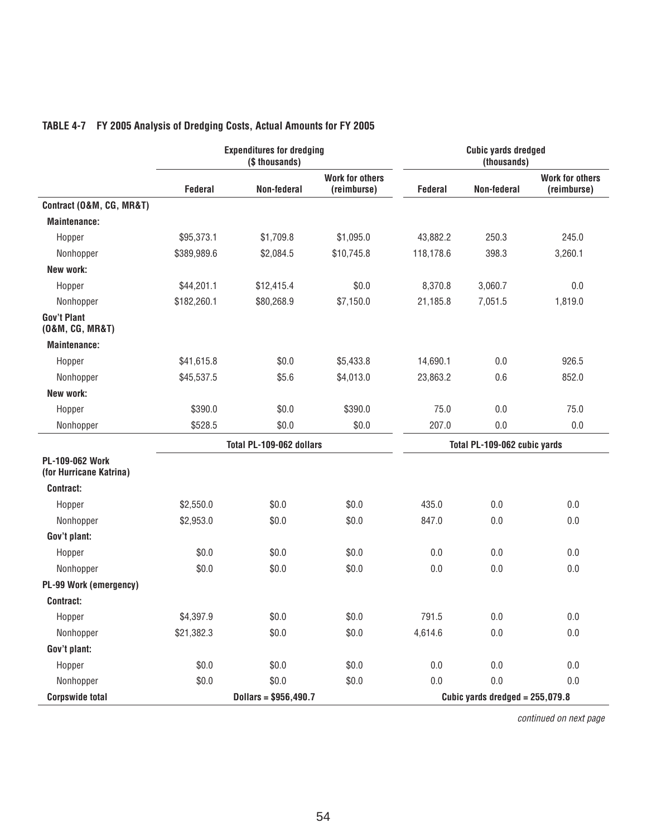|                                            |             | <b>Expenditures for dredging</b><br>(\$ thousands) |                                       |                | <b>Cubic yards dredged</b><br>(thousands) |                                       |
|--------------------------------------------|-------------|----------------------------------------------------|---------------------------------------|----------------|-------------------------------------------|---------------------------------------|
|                                            | Federal     | Non-federal                                        | <b>Work for others</b><br>(reimburse) | <b>Federal</b> | Non-federal                               | <b>Work for others</b><br>(reimburse) |
| Contract (O&M, CG, MR&T)                   |             |                                                    |                                       |                |                                           |                                       |
| <b>Maintenance:</b>                        |             |                                                    |                                       |                |                                           |                                       |
| Hopper                                     | \$95,373.1  | \$1,709.8                                          | \$1,095.0                             | 43,882.2       | 250.3                                     | 245.0                                 |
| Nonhopper                                  | \$389,989.6 | \$2,084.5                                          | \$10,745.8                            | 118,178.6      | 398.3                                     | 3,260.1                               |
| New work:                                  |             |                                                    |                                       |                |                                           |                                       |
| Hopper                                     | \$44,201.1  | \$12,415.4                                         | \$0.0                                 | 8,370.8        | 3,060.7                                   | 0.0                                   |
| Nonhopper                                  | \$182,260.1 | \$80,268.9                                         | \$7,150.0                             | 21,185.8       | 7,051.5                                   | 1,819.0                               |
| <b>Gov't Plant</b><br>(0&M, CG, MR&T)      |             |                                                    |                                       |                |                                           |                                       |
| <b>Maintenance:</b>                        |             |                                                    |                                       |                |                                           |                                       |
| Hopper                                     | \$41,615.8  | \$0.0                                              | \$5,433.8                             | 14,690.1       | 0.0                                       | 926.5                                 |
| Nonhopper                                  | \$45,537.5  | \$5.6                                              | \$4,013.0                             | 23,863.2       | 0.6                                       | 852.0                                 |
| New work:                                  |             |                                                    |                                       |                |                                           |                                       |
| Hopper                                     | \$390.0     | \$0.0                                              | \$390.0                               | 75.0           | 0.0                                       | 75.0                                  |
| Nonhopper                                  | \$528.5     | \$0.0                                              | \$0.0                                 | 207.0          | 0.0                                       | 0.0                                   |
|                                            |             | Total PL-109-062 dollars                           |                                       |                | Total PL-109-062 cubic yards              |                                       |
| PL-109-062 Work<br>(for Hurricane Katrina) |             |                                                    |                                       |                |                                           |                                       |
| Contract:                                  |             |                                                    |                                       |                |                                           |                                       |
| Hopper                                     | \$2,550.0   | \$0.0                                              | \$0.0                                 | 435.0          | 0.0                                       | 0.0                                   |
| Nonhopper                                  | \$2,953.0   | \$0.0                                              | \$0.0                                 | 847.0          | 0.0                                       | 0.0                                   |
| Gov't plant:                               |             |                                                    |                                       |                |                                           |                                       |
| Hopper                                     | \$0.0       | \$0.0                                              | \$0.0                                 | 0.0            | 0.0                                       | 0.0                                   |
| Nonhopper                                  | \$0.0       | \$0.0                                              | \$0.0                                 | 0.0            | 0.0                                       | 0.0                                   |
| PL-99 Work (emergency)                     |             |                                                    |                                       |                |                                           |                                       |
| Contract:                                  |             |                                                    |                                       |                |                                           |                                       |
| Hopper                                     | \$4,397.9   | \$0.0                                              | \$0.0                                 | 791.5          | 0.0                                       | 0.0                                   |
| Nonhopper                                  | \$21,382.3  | \$0.0                                              | \$0.0                                 | 4,614.6        | 0.0                                       | 0.0                                   |
| Gov't plant:                               |             |                                                    |                                       |                |                                           |                                       |
| Hopper                                     | \$0.0       | \$0.0\$                                            | \$0.0\$                               | $0.0\,$        | $0.0\,$                                   | $0.0\,$                               |
| Nonhopper                                  | \$0.0       | \$0.0                                              | \$0.0                                 | $0.0\,$        | $0.0\,$                                   | $0.0\,$                               |
| <b>Corpswide total</b>                     |             | Dollars = \$956,490.7                              |                                       |                | Cubic yards dredged $= 255,079.8$         |                                       |

### **TABLE 4-7 FY 2005 Analysis of Dredging Costs, Actual Amounts for FY 2005**

*continued on next page*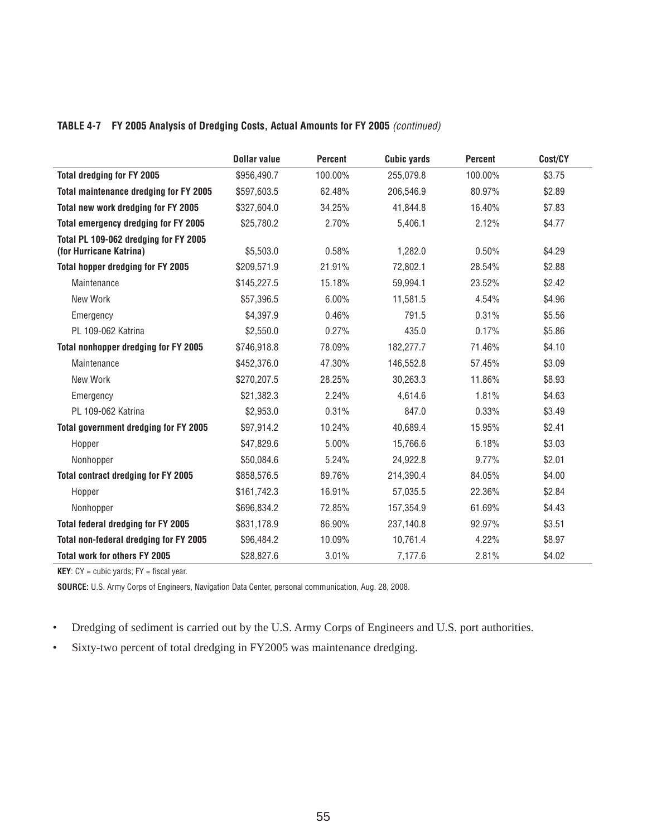#### **TABLE 4-7 FY 2005 Analysis of Dredging Costs, Actual Amounts for FY 2005** *(continued)*

|                                                                  | <b>Dollar value</b> | <b>Percent</b> | <b>Cubic yards</b> | <b>Percent</b> | Cost/CY |
|------------------------------------------------------------------|---------------------|----------------|--------------------|----------------|---------|
| <b>Total dredging for FY 2005</b>                                | \$956,490.7         | 100.00%        | 255,079.8          | 100.00%        | \$3.75  |
| <b>Total maintenance dredging for FY 2005</b>                    | \$597,603.5         | 62.48%         | 206,546.9          | 80.97%         | \$2.89  |
| Total new work dredging for FY 2005                              | \$327,604.0         | 34.25%         | 41.844.8           | 16.40%         | \$7.83  |
| <b>Total emergency dredging for FY 2005</b>                      | \$25,780.2          | 2.70%          | 5,406.1            | 2.12%          | \$4.77  |
| Total PL 109-062 dredging for FY 2005<br>(for Hurricane Katrina) | \$5,503.0           | 0.58%          | 1,282.0            | 0.50%          | \$4.29  |
| <b>Total hopper dredging for FY 2005</b>                         | \$209,571.9         | 21.91%         | 72,802.1           | 28.54%         | \$2.88  |
| Maintenance                                                      | \$145,227.5         | 15.18%         | 59,994.1           | 23.52%         | \$2.42  |
| New Work                                                         | \$57,396.5          | 6.00%          | 11,581.5           | 4.54%          | \$4.96  |
| Emergency                                                        | \$4,397.9           | 0.46%          | 791.5              | 0.31%          | \$5.56  |
| PL 109-062 Katrina                                               | \$2,550.0           | 0.27%          | 435.0              | 0.17%          | \$5.86  |
| <b>Total nonhopper dredging for FY 2005</b>                      | \$746,918.8         | 78.09%         | 182,277.7          | 71.46%         | \$4.10  |
| Maintenance                                                      | \$452,376.0         | 47.30%         | 146,552.8          | 57.45%         | \$3.09  |
| New Work                                                         | \$270,207.5         | 28.25%         | 30,263.3           | 11.86%         | \$8.93  |
| Emergency                                                        | \$21,382.3          | 2.24%          | 4,614.6            | 1.81%          | \$4.63  |
| <b>PL 109-062 Katrina</b>                                        | \$2,953.0           | 0.31%          | 847.0              | 0.33%          | \$3.49  |
| <b>Total government dredging for FY 2005</b>                     | \$97,914.2          | 10.24%         | 40,689.4           | 15.95%         | \$2.41  |
| Hopper                                                           | \$47,829.6          | 5.00%          | 15,766.6           | 6.18%          | \$3.03  |
| Nonhopper                                                        | \$50,084.6          | 5.24%          | 24,922.8           | 9.77%          | \$2.01  |
| <b>Total contract dredging for FY 2005</b>                       | \$858,576.5         | 89.76%         | 214,390.4          | 84.05%         | \$4.00  |
| Hopper                                                           | \$161,742.3         | 16.91%         | 57,035.5           | 22.36%         | \$2.84  |
| Nonhopper                                                        | \$696,834.2         | 72.85%         | 157,354.9          | 61.69%         | \$4.43  |
| Total federal dredging for FY 2005                               | \$831,178.9         | 86.90%         | 237,140.8          | 92.97%         | \$3.51  |
| Total non-federal dredging for FY 2005                           | \$96,484.2          | 10.09%         | 10,761.4           | 4.22%          | \$8.97  |
| <b>Total work for others FY 2005</b>                             | \$28,827.6          | 3.01%          | 7,177.6            | 2.81%          | \$4.02  |

**KEY**:  $CY = cubic$  yards;  $FY = fiscal$  year.

**SOURCE:** U.S. Army Corps of Engineers, Navigation Data Center, personal communication, Aug. 28, 2008.

- Dredging of sediment is carried out by the U.S. Army Corps of Engineers and U.S. port authorities.
- Sixty-two percent of total dredging in FY2005 was maintenance dredging.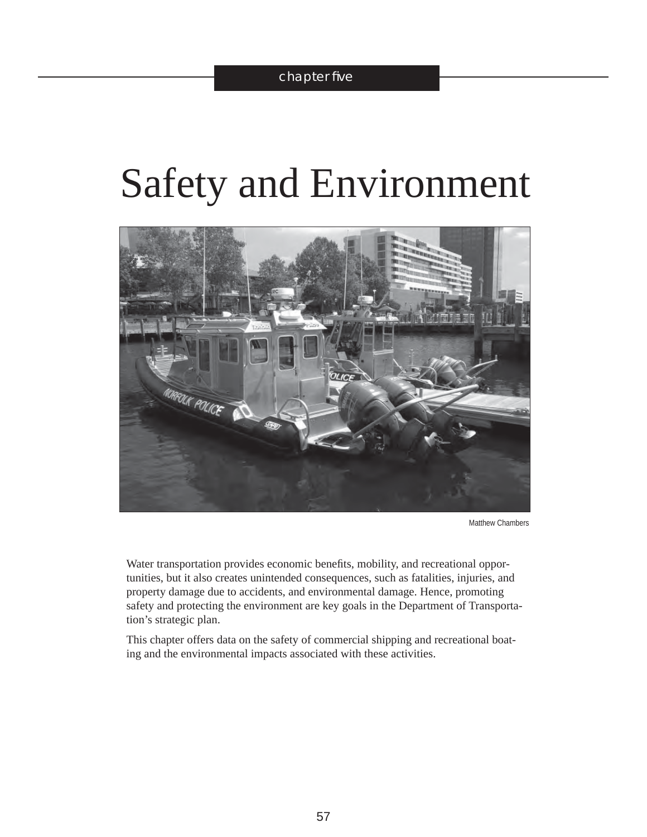# Safety and Environment



Matthew Chambers

Water transportation provides economic benefits, mobility, and recreational opportunities, but it also creates unintended consequences, such as fatalities, injuries, and property damage due to accidents, and environmental damage. Hence, promoting safety and protecting the environment are key goals in the Department of Transportation's strategic plan.

This chapter offers data on the safety of commercial shipping and recreational boating and the environmental impacts associated with these activities.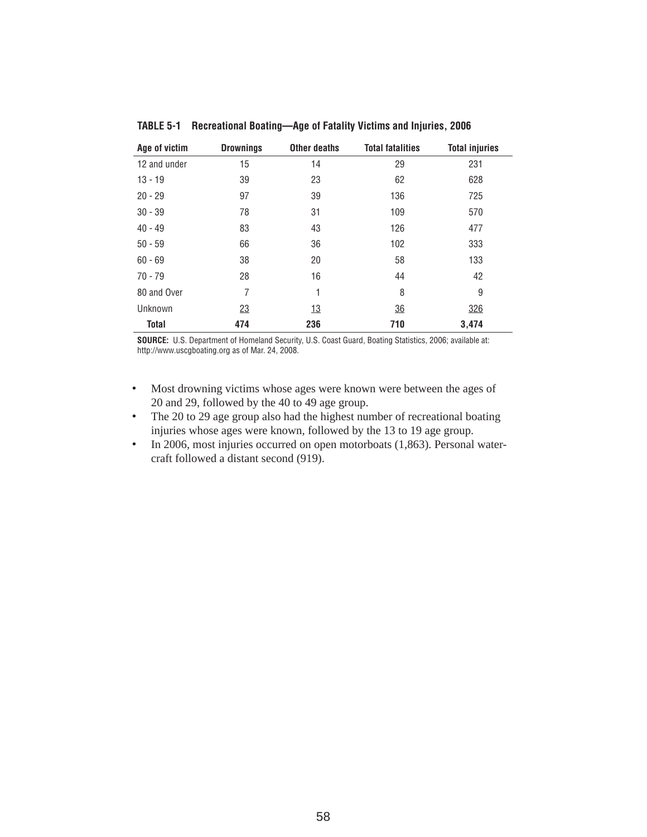| Age of victim | <b>Drownings</b> | <b>Other deaths</b> | <b>Total fatalities</b> | <b>Total injuries</b> |
|---------------|------------------|---------------------|-------------------------|-----------------------|
| 12 and under  | 15               | 14                  | 29                      | 231                   |
| $13 - 19$     | 39               | 23                  | 62                      | 628                   |
| $20 - 29$     | 97               | 39                  | 136                     | 725                   |
| $30 - 39$     | 78               | 31                  | 109                     | 570                   |
| $40 - 49$     | 83               | 43                  | 126                     | 477                   |
| $50 - 59$     | 66               | 36                  | 102                     | 333                   |
| $60 - 69$     | 38               | 20                  | 58                      | 133                   |
| $70 - 79$     | 28               | 16                  | 44                      | 42                    |
| 80 and Over   | 7                | 1                   | 8                       | 9                     |
| Unknown       | 23               | 13                  | 36                      | 326                   |
| <b>Total</b>  | 474              | 236                 | 710                     | 3,474                 |

**TABLE 5-1 Recreational Boating—Age of Fatality Victims and Injuries, 2006**

- Most drowning victims whose ages were known were between the ages of 20 and 29, followed by the 40 to 49 age group.
- The 20 to 29 age group also had the highest number of recreational boating injuries whose ages were known, followed by the 13 to 19 age group.
- In 2006, most injuries occurred on open motorboats (1,863). Personal watercraft followed a distant second (919).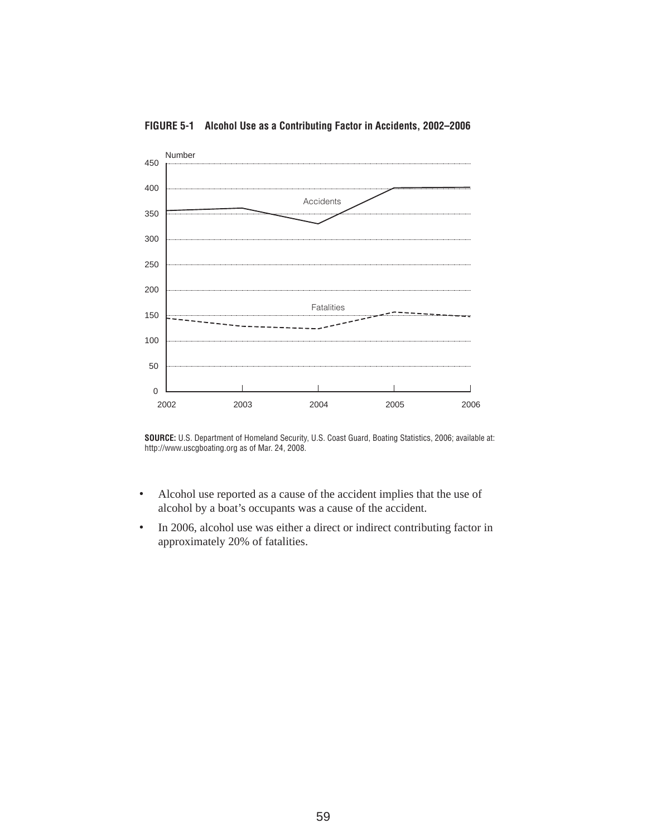

**FIGURE 5-1 Alcohol Use as a Contributing Factor in Accidents, 2002–2006**

- Alcohol use reported as a cause of the accident implies that the use of alcohol by a boat's occupants was a cause of the accident.
- In 2006, alcohol use was either a direct or indirect contributing factor in approximately 20% of fatalities.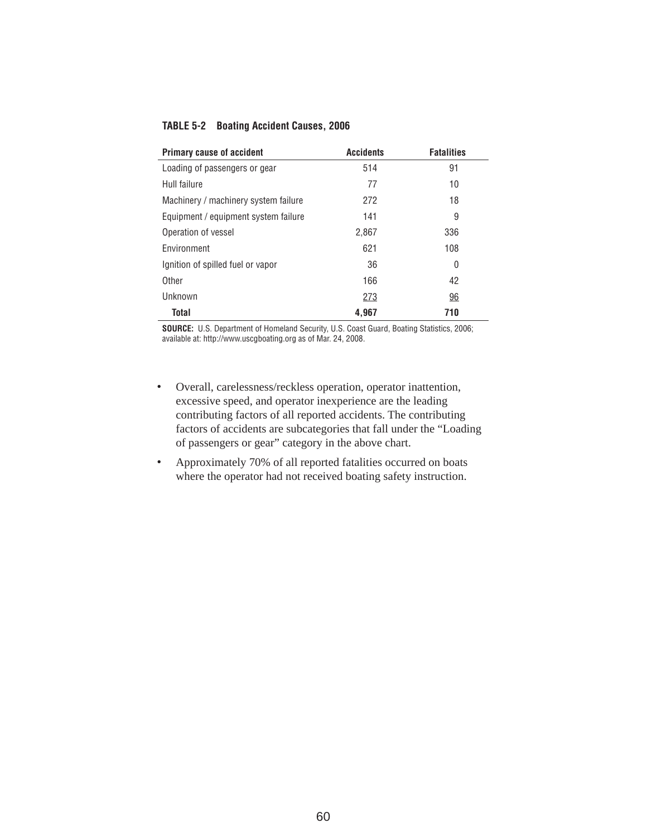| Primary cause of accident            | <b>Accidents</b> | <b>Fatalities</b> |
|--------------------------------------|------------------|-------------------|
| Loading of passengers or gear        | 514              | 91                |
| Hull failure                         | 77               | 10                |
| Machinery / machinery system failure | 272              | 18                |
| Equipment / equipment system failure | 141              | 9                 |
| Operation of vessel                  | 2.867            | 336               |
| <b>Fnvironment</b>                   | 621              | 108               |
| Ignition of spilled fuel or vapor    | 36               | 0                 |
| Other                                | 166              | 42                |
| Unknown                              | 273              | 96                |
| <b>Total</b>                         | 4,967            | 710               |

#### **TABLE 5-2 Boating Accident Causes, 2006**

- Overall, carelessness/reckless operation, operator inattention, excessive speed, and operator inexperience are the leading contributing factors of all reported accidents. The contributing factors of accidents are subcategories that fall under the "Loading of passengers or gear" category in the above chart.
- Approximately 70% of all reported fatalities occurred on boats where the operator had not received boating safety instruction.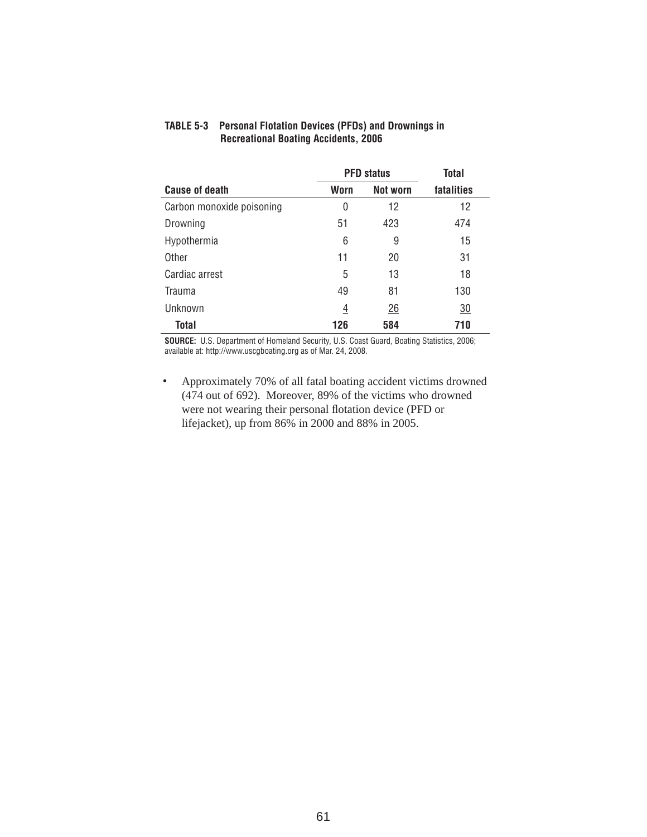|                           |                | <b>PFD status</b> | <b>Total</b> |
|---------------------------|----------------|-------------------|--------------|
| <b>Cause of death</b>     | Worn           | Not worn          | fatalities   |
| Carbon monoxide poisoning | 0              | 12                | 12           |
| Drowning                  | 51             | 423               | 474          |
| Hypothermia               | 6              | 9                 | 15           |
| Other                     | 11             | 20                | 31           |
| Cardiac arrest            | 5              | 13                | 18           |
| <b>Trauma</b>             | 49             | 81                | 130          |
| Unknown                   | $\overline{4}$ | 26                | 30           |
| <b>Total</b>              | 126            | 584               | 710          |

#### **TABLE 5-3 Personal Flotation Devices (PFDs) and Drownings in Recreational Boating Accidents, 2006**

**SOURCE:** U.S. Department of Homeland Security, U.S. Coast Guard, Boating Statistics, 2006; available at: http://www.uscgboating.org as of Mar. 24, 2008.

• Approximately 70% of all fatal boating accident victims drowned (474 out of 692). Moreover, 89% of the victims who drowned were not wearing their personal flotation device (PFD or lifejacket), up from 86% in 2000 and 88% in 2005.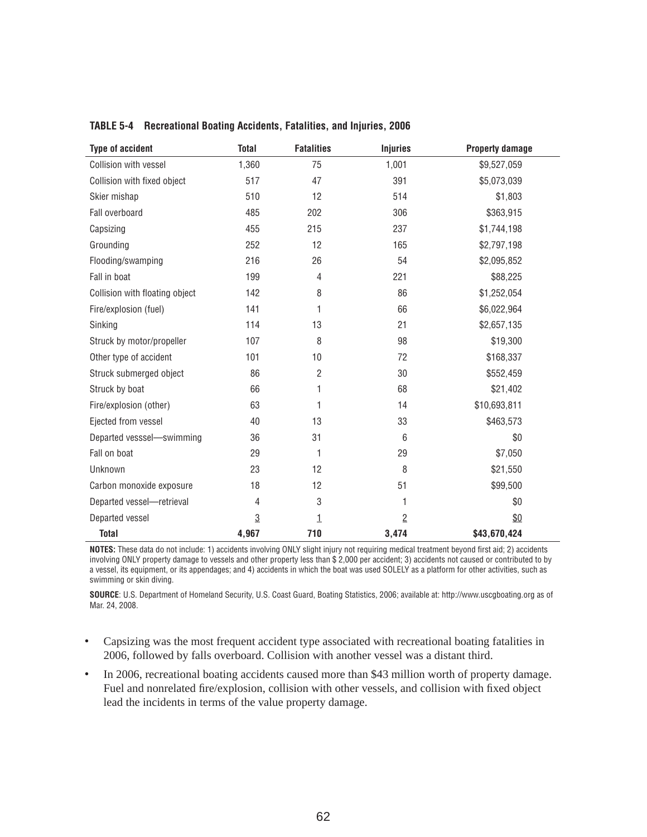| <b>Type of accident</b>        | <b>Total</b> | <b>Fatalities</b> | <b>Injuries</b> | <b>Property damage</b> |
|--------------------------------|--------------|-------------------|-----------------|------------------------|
| Collision with vessel          | 1,360        | 75                | 1,001           | \$9,527,059            |
| Collision with fixed object    | 517          | 47                | 391             | \$5,073,039            |
| Skier mishap                   | 510          | 12                | 514             | \$1,803                |
| Fall overboard                 | 485          | 202               | 306             | \$363,915              |
| Capsizing                      | 455          | 215               | 237             | \$1,744,198            |
| Grounding                      | 252          | 12                | 165             | \$2,797,198            |
| Flooding/swamping              | 216          | 26                | 54              | \$2,095,852            |
| Fall in boat                   | 199          | 4                 | 221             | \$88,225               |
| Collision with floating object | 142          | 8                 | 86              | \$1,252,054            |
| Fire/explosion (fuel)          | 141          | 1                 | 66              | \$6,022,964            |
| Sinking                        | 114          | 13                | 21              | \$2,657,135            |
| Struck by motor/propeller      | 107          | 8                 | 98              | \$19,300               |
| Other type of accident         | 101          | 10                | 72              | \$168,337              |
| Struck submerged object        | 86           | 2                 | 30              | \$552,459              |
| Struck by boat                 | 66           | 1                 | 68              | \$21,402               |
| Fire/explosion (other)         | 63           | 1                 | 14              | \$10,693,811           |
| Ejected from vessel            | 40           | 13                | 33              | \$463,573              |
| Departed vesssel-swimming      | 36           | 31                | 6               | \$0                    |
| Fall on boat                   | 29           | 1                 | 29              | \$7,050                |
| Unknown                        | 23           | 12                | 8               | \$21,550               |
| Carbon monoxide exposure       | 18           | 12                | 51              | \$99,500               |
| Departed vessel-retrieval      | 4            | 3                 | 1               | \$0                    |
| Departed vessel                | 3            | $\mathbf{1}$      | $\overline{2}$  | \$0                    |
| <b>Total</b>                   | 4,967        | 710               | 3,474           | \$43,670,424           |

**TABLE 5-4 Recreational Boating Accidents, Fatalities, and Injuries, 2006**

**NOTES:** These data do not include: 1) accidents involving ONLY slight injury not requiring medical treatment beyond first aid; 2) accidents involving ONLY property damage to vessels and other property less than \$ 2,000 per accident; 3) accidents not caused or contributed to by a vessel, its equipment, or its appendages; and 4) accidents in which the boat was used SOLELY as a platform for other activities, such as swimming or skin diving.

- Capsizing was the most frequent accident type associated with recreational boating fatalities in 2006, followed by falls overboard. Collision with another vessel was a distant third.
- In 2006, recreational boating accidents caused more than \$43 million worth of property damage. Fuel and nonrelated fire/explosion, collision with other vessels, and collision with fixed object lead the incidents in terms of the value property damage.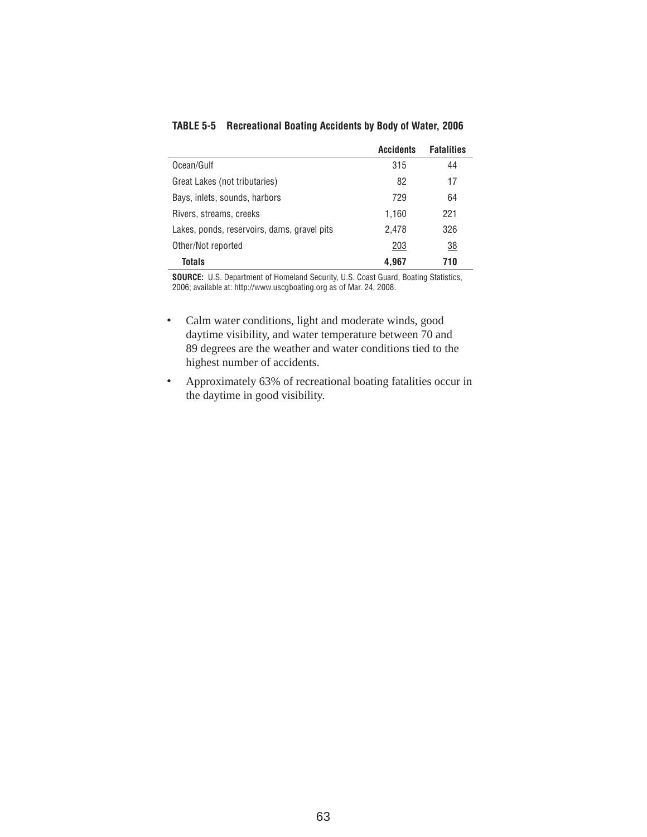|                                             | <b>Accidents</b> | <b>Fatalities</b> |
|---------------------------------------------|------------------|-------------------|
| Ocean/Gulf                                  | 315              | 44                |
| Great Lakes (not tributaries)               | 82               | 17                |
| Bays, inlets, sounds, harbors               | 729              | 64                |
| Rivers, streams, creeks                     | 1,160            | 221               |
| Lakes, ponds, reservoirs, dams, gravel pits | 2.478            | 326               |
| Other/Not reported                          | 203              | 38                |
| Totals                                      | 4,967            | 710               |

#### **TABLE 5-5 Recreational Boating Accidents by Body of Water, 2006**

- Calm water conditions, light and moderate winds, good daytime visibility, and water temperature between 70 and 89 degrees are the weather and water conditions tied to the highest number of accidents.
- Approximately 63% of recreational boating fatalities occur in the daytime in good visibility.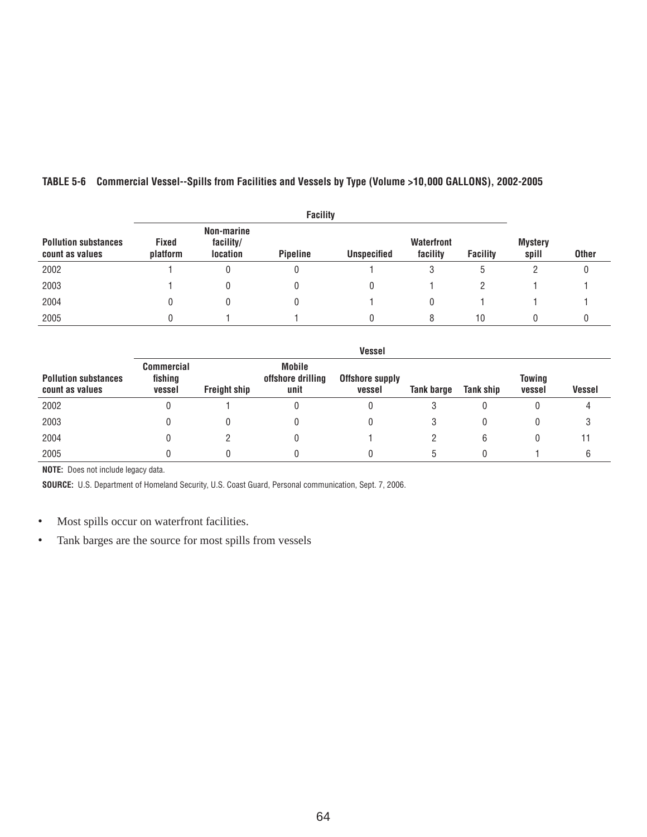|                                                | <b>Facility</b>   |                                            |                 |                    |                               |                 |                         |              |
|------------------------------------------------|-------------------|--------------------------------------------|-----------------|--------------------|-------------------------------|-----------------|-------------------------|--------------|
| <b>Pollution substances</b><br>count as values | Fixed<br>platform | Non-marine<br>facility/<br><b>location</b> | <b>Pipeline</b> | <b>Unspecified</b> | <b>Waterfront</b><br>facility | <b>Facility</b> | <b>Mystery</b><br>spill | <b>Other</b> |
| 2002                                           |                   |                                            |                 |                    |                               | b               |                         |              |
| 2003                                           |                   |                                            |                 |                    |                               | っ               |                         |              |
| 2004                                           | 0                 | 0                                          |                 |                    |                               |                 |                         |              |
| 2005                                           |                   |                                            |                 |                    |                               | 10              |                         |              |

# **TABLE 5-6 Commercial Vessel--Spills from Facilities and Vessels by Type (Volume >10,000 GALLONS), 2002-2005**

|                                                |                                        |                     |                                     | <b>Vessel</b>                    |            |           |                  |               |
|------------------------------------------------|----------------------------------------|---------------------|-------------------------------------|----------------------------------|------------|-----------|------------------|---------------|
| <b>Pollution substances</b><br>count as values | <b>Commercial</b><br>fishing<br>vessel | <b>Freight ship</b> | Mobile<br>offshore drilling<br>unit | <b>Offshore supply</b><br>vessel | Tank barge | Tank ship | Towing<br>vessel | <b>Vessel</b> |
| 2002                                           |                                        |                     |                                     |                                  | 3          | 0         |                  | 4             |
| 2003                                           |                                        |                     |                                     |                                  | O          | 0         |                  | 3             |
| 2004                                           |                                        |                     |                                     |                                  |            | 6         |                  | 11            |
| 2005                                           |                                        |                     |                                     |                                  |            |           |                  | 6             |

**NOTE:** Does not include legacy data.

**SOURCE:** U.S. Department of Homeland Security, U.S. Coast Guard, Personal communication, Sept. 7, 2006.

- Most spills occur on waterfront facilities.
- Tank barges are the source for most spills from vessels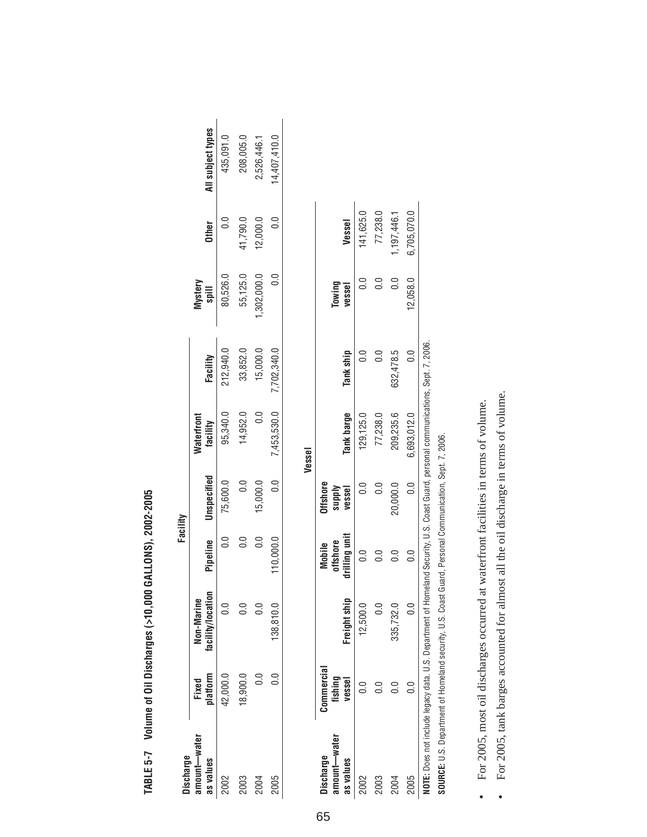| Ì<br>Ì<br>l<br>i          |
|---------------------------|
| Ó<br>$\mathbf$<br>こくくく    |
|                           |
| $\mathbf{I}$<br>I         |
| 1<br>i<br>I               |
| <br> <br> <br> <br>I<br>l |

| All subject types<br>4,407,410.0<br>435,091.0<br>208,005.0<br>2,526,446.1<br>12,000.0<br>41,790.0<br>0.0<br><b>Other</b><br>80,526.0<br>,302,000.0<br>55,125.0<br>Mystery<br>spill<br>212,940.0<br>33,852.0<br>15,000.0<br>7,702,340.0<br>Facility<br>7,453,530.0<br>95,340.0<br>14,952.0<br>0.0<br><b>Naterfront</b><br>facility<br>Unspecified<br>0.0<br>75,600.0<br>15,000.0<br>0.0<br>Pipeline<br>0.<br>0<br>110,000.0<br>facility/locatio <sup>r</sup><br>Non-Marine<br>138,810. <sup>r</sup> | <b>olatform</b><br>Fixed<br>42,000.0<br>18,900.0 |  | Facility |  |  |  |
|----------------------------------------------------------------------------------------------------------------------------------------------------------------------------------------------------------------------------------------------------------------------------------------------------------------------------------------------------------------------------------------------------------------------------------------------------------------------------------------------------|--------------------------------------------------|--|----------|--|--|--|
|                                                                                                                                                                                                                                                                                                                                                                                                                                                                                                    |                                                  |  |          |  |  |  |
|                                                                                                                                                                                                                                                                                                                                                                                                                                                                                                    |                                                  |  |          |  |  |  |
|                                                                                                                                                                                                                                                                                                                                                                                                                                                                                                    |                                                  |  |          |  |  |  |
|                                                                                                                                                                                                                                                                                                                                                                                                                                                                                                    |                                                  |  |          |  |  |  |
|                                                                                                                                                                                                                                                                                                                                                                                                                                                                                                    |                                                  |  |          |  |  |  |
|                                                                                                                                                                                                                                                                                                                                                                                                                                                                                                    |                                                  |  |          |  |  |  |

|                          |                   |                                                                                                                                                      |                    |                                  | Vessel            |           |               |             |
|--------------------------|-------------------|------------------------------------------------------------------------------------------------------------------------------------------------------|--------------------|----------------------------------|-------------------|-----------|---------------|-------------|
| .mount-water<br>ischarge | Commercial        |                                                                                                                                                      | offshore<br>Mobile | <b>Offshore</b><br><b>Alddns</b> |                   |           | Towing        |             |
| as values                | fishing<br>vessel | Freight ship                                                                                                                                         | drilling unit      | vessel                           | <b>Tank barge</b> | Tank ship | vessel        | Vessel      |
| .002                     |                   | 12,500.0                                                                                                                                             |                    |                                  | 129, 125.0        |           |               | 141,625.0   |
| 2003                     |                   | $_{\circ}^{\circ}$                                                                                                                                   | 0.0                | 0<br>0                           | 77,238.0          |           | 3             | 77,238.0    |
|                          |                   | 335,732.0                                                                                                                                            |                    | 20,000.0                         | 209,235.6         | 632,478.5 | $\frac{0}{2}$ | 1,197,446.1 |
| 2005                     |                   | $\frac{1}{2}$                                                                                                                                        | 0.0                | 0.0                              | 6,693,012.0       |           | 12,058.0      | 6,705,070.0 |
|                          |                   | $\overline{\rm{DTE}}$ : Does not include legacy data. U.S. Department of Homeland Security, U.S. Coast Guard, personal communications, Sept. 7, 2006 |                    |                                  |                   |           |               |             |

SOURCE: U.S. Department of Homeland security, U.S. Coast Guard, Personal Communication, Sept. 7, 2006. **SOURCE:** U.S. Department of Homeland security, U.S. Coast Guard, Personal Communication, Sept. 7, 2006. .<br>ج ישטען<br>פ

- For 2005, most oil discharges occurred at waterfront facilities in terms of volume. · For 2005, most oil discharges occurred at waterfront facilities in terms of volume.
- For 2005, tank barges accounted for almost all the oil discharge in terms of volume. For 2005, tank barges accounted for almost all the oil discharge in terms of volume. •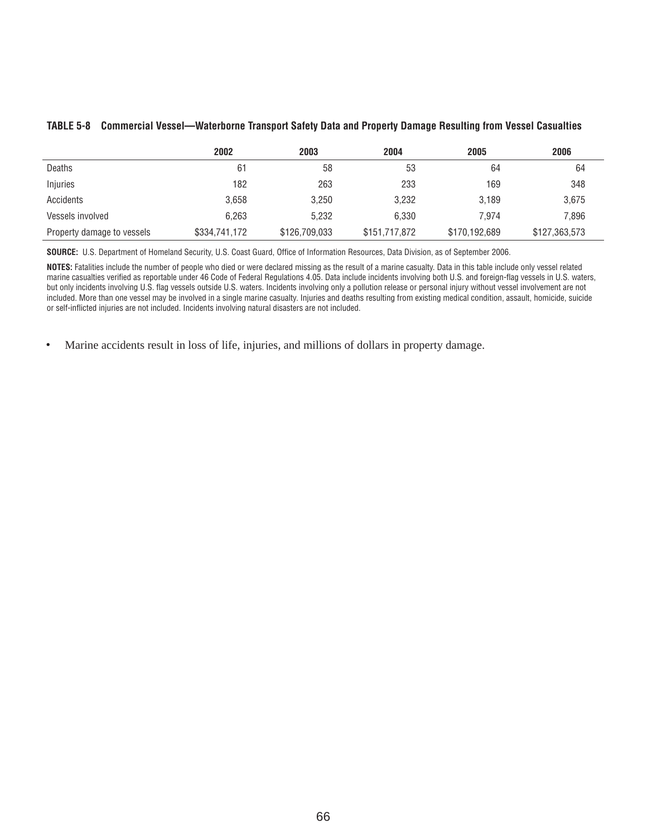|                            | 2002          | 2003          | 2004          | 2005          | 2006          |  |
|----------------------------|---------------|---------------|---------------|---------------|---------------|--|
| Deaths                     | 61            | 58            | 53            | 64            | 64            |  |
| Injuries                   | 182           | 263           | 233           | 169           | 348           |  |
| Accidents                  | 3.658         | 3,250         | 3,232         | 3.189         | 3,675         |  |
| Vessels involved           | 6.263         | 5.232         | 6.330         | 7.974         | 7,896         |  |
| Property damage to vessels | \$334,741,172 | \$126,709,033 | \$151,717,872 | \$170,192,689 | \$127,363,573 |  |

## **TABLE 5-8 Commercial Vessel—Waterborne Transport Safety Data and Property Damage Resulting from Vessel Casualties**

SOURCE: U.S. Department of Homeland Security, U.S. Coast Guard, Office of Information Resources, Data Division, as of September 2006.

**NOTES:** Fatalities include the number of people who died or were declared missing as the result of a marine casualty. Data in this table include only vessel related marine casualties verified as reportable under 46 Code of Federal Regulations 4.05. Data include incidents involving both U.S. and foreign-flag vessels in U.S. waters, but only incidents involving U.S. flag vessels outside U.S. waters. Incidents involving only a pollution release or personal injury without vessel involvement are not included. More than one vessel may be involved in a single marine casualty. Injuries and deaths resulting from existing medical condition, assault, homicide, suicide or self-inflicted injuries are not included. Incidents involving natural disasters are not included.

• Marine accidents result in loss of life, injuries, and millions of dollars in property damage.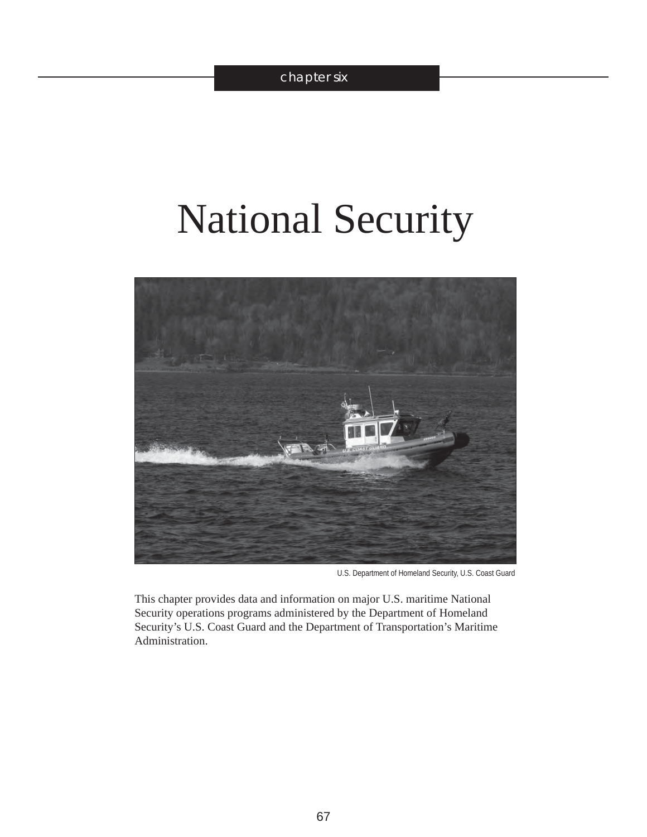# National Security



U.S. Department of Homeland Security, U.S. Coast Guard

This chapter provides data and information on major U.S. maritime National Security operations programs administered by the Department of Homeland Security's U.S. Coast Guard and the Department of Transportation's Maritime Administration.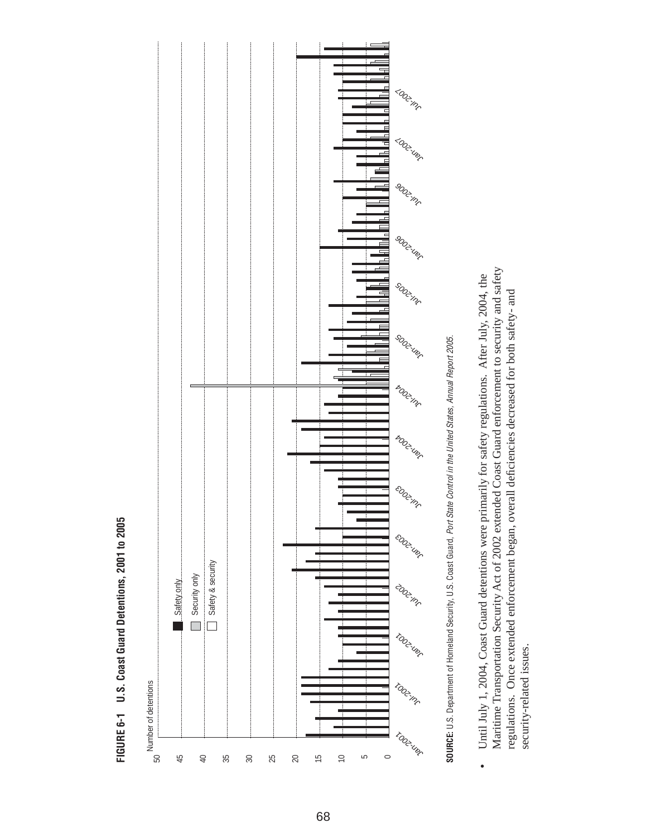



SOURCE: U.S. Department of Homeland Security, U.S. Coast Guard, Port State Control in the United States, Annual Report 2005. **SOURCE:** U.S. Department of Homeland Security, U.S. Coast Guard, *Port State Control in the United States, Annual Report 2005*.

Maritime Transportation Security Act of 2002 extended Coast Guard enforcement to security and safety Maritime Transportation Security Act of 2002 extended Coast Guard enforcement to security and safety Until July 1, 2004, Coast Guard detentions were primarily for safety regulations. After July, 2004, the Until July 1, 2004, Coast Guard detentions were primarily for safety regulations. After July, 2004, the • regulations. Once extended enforcement began, overall deficiencies decreased for both safety- and regulations. Once extended enforcement began, overall defi ciencies decreased for both safety- and security-related issues. security-related issues. $\bullet$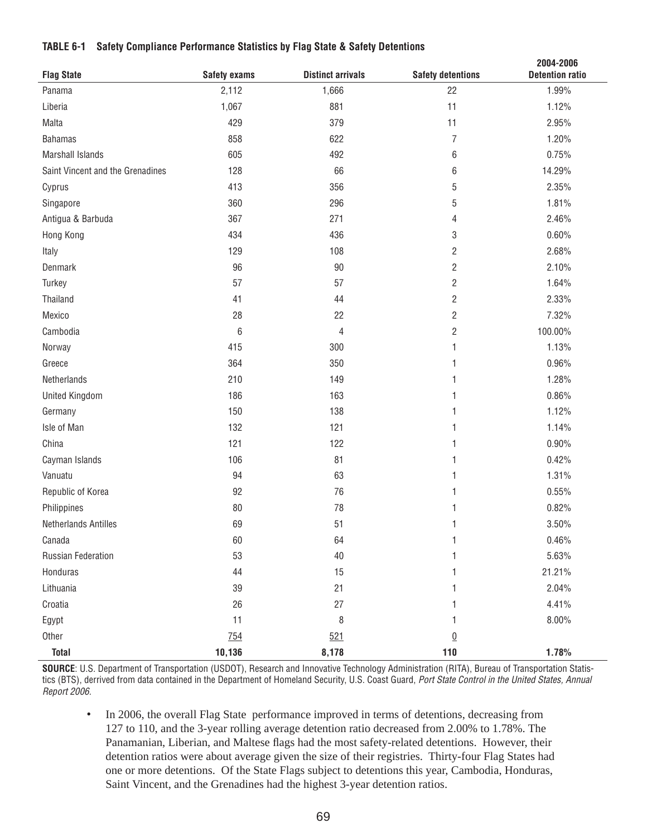## **TABLE 6-1 Safety Compliance Performance Statistics by Flag State & Safety Detentions**

| <b>Flag State</b>                | <b>Safety exams</b> | <b>Distinct arrivals</b> | <b>Safety detentions</b> | 2004-2006<br><b>Detention ratio</b> |
|----------------------------------|---------------------|--------------------------|--------------------------|-------------------------------------|
| Panama                           | 2,112               | 1,666                    | 22                       | 1.99%                               |
| Liberia                          | 1,067               | 881                      | 11                       | 1.12%                               |
| Malta                            | 429                 | 379                      | 11                       | 2.95%                               |
| <b>Bahamas</b>                   | 858                 | 622                      | 7                        | 1.20%                               |
| <b>Marshall Islands</b>          | 605                 | 492                      | 6                        | 0.75%                               |
| Saint Vincent and the Grenadines | 128                 | 66                       | 6                        | 14.29%                              |
| Cyprus                           | 413                 | 356                      | 5                        | 2.35%                               |
| Singapore                        | 360                 | 296                      | 5                        | 1.81%                               |
| Antigua & Barbuda                | 367                 | 271                      | 4                        | 2.46%                               |
| Hong Kong                        | 434                 | 436                      | 3                        | 0.60%                               |
| Italy                            | 129                 | 108                      | $\overline{\mathbf{c}}$  | 2.68%                               |
| Denmark                          | 96                  | 90                       | $\sqrt{2}$               | 2.10%                               |
| Turkey                           | 57                  | 57                       | $\overline{2}$           | 1.64%                               |
| Thailand                         | 41                  | 44                       | $\sqrt{2}$               | 2.33%                               |
| Mexico                           | 28                  | 22                       | $\overline{2}$           | 7.32%                               |
| Cambodia                         | $\,6$               | 4                        | $\sqrt{2}$               | 100.00%                             |
| Norway                           | 415                 | 300                      | 1                        | 1.13%                               |
| Greece                           | 364                 | 350                      | 1                        | 0.96%                               |
| Netherlands                      | 210                 | 149                      | 1                        | 1.28%                               |
| <b>United Kingdom</b>            | 186                 | 163                      | 1                        | 0.86%                               |
| Germany                          | 150                 | 138                      | 1                        | 1.12%                               |
| Isle of Man                      | 132                 | 121                      | 1                        | 1.14%                               |
| China                            | 121                 | 122                      | 1                        | 0.90%                               |
| Cayman Islands                   | 106                 | 81                       | 1                        | 0.42%                               |
| Vanuatu                          | 94                  | 63                       | 1                        | 1.31%                               |
| Republic of Korea                | 92                  | 76                       | 1                        | 0.55%                               |
| Philippines                      | 80                  | 78                       | 1                        | 0.82%                               |
| <b>Netherlands Antilles</b>      | 69                  | 51                       | 1                        | 3.50%                               |
| Canada                           | 60                  | 64                       | 1                        | 0.46%                               |
| <b>Russian Federation</b>        | 53                  | 40                       | 1                        | 5.63%                               |
| Honduras                         | 44                  | 15                       | 1                        | 21.21%                              |
| Lithuania                        | 39                  | 21                       | 1                        | 2.04%                               |
| Croatia                          | 26                  | 27                       |                          | 4.41%                               |
| Egypt                            | 11                  | 8                        |                          | 8.00%                               |
| Other                            | 754                 | 521                      | $\underline{0}$          |                                     |
| <b>Total</b>                     | 10,136              | 8,178                    | 110                      | 1.78%                               |

**SOURCE**: U.S. Department of Transportation (USDOT), Research and Innovative Technology Administration (RITA), Bureau of Transportation Statistics (BTS), derrived from data contained in the Department of Homeland Security, U.S. Coast Guard, *Port State Control in the United States, Annual Report 2006.*

• In 2006, the overall Flag State performance improved in terms of detentions, decreasing from 127 to 110, and the 3-year rolling average detention ratio decreased from 2.00% to 1.78%. The Panamanian, Liberian, and Maltese flags had the most safety-related detentions. However, their detention ratios were about average given the size of their registries. Thirty-four Flag States had one or more detentions. Of the State Flags subject to detentions this year, Cambodia, Honduras, Saint Vincent, and the Grenadines had the highest 3-year detention ratios.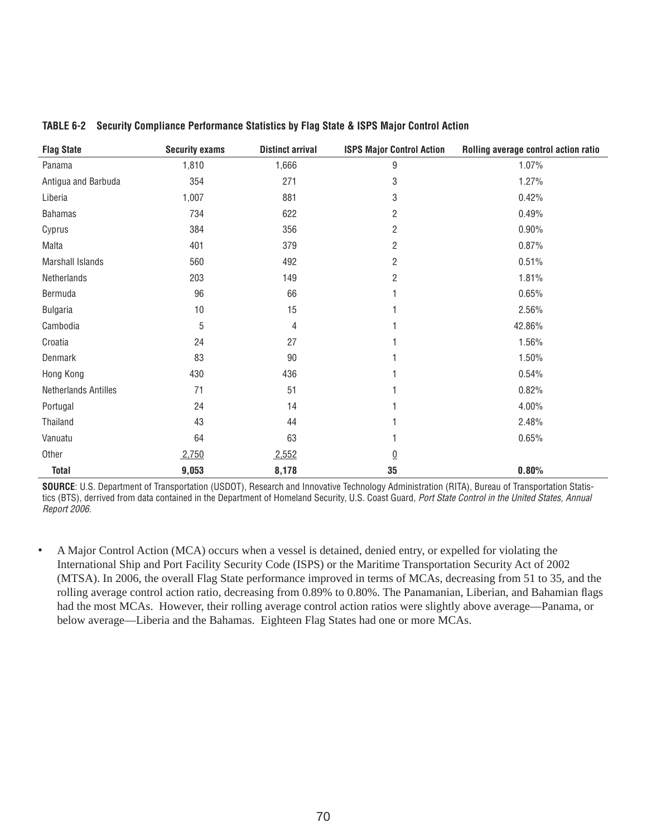| <b>Flag State</b>           | <b>Security exams</b> | <b>Distinct arrival</b> | <b>ISPS Major Control Action</b> | Rolling average control action ratio |
|-----------------------------|-----------------------|-------------------------|----------------------------------|--------------------------------------|
| Panama                      | 1,810                 | 1,666                   | 9                                | 1.07%                                |
| Antigua and Barbuda         | 354                   | 271                     | 3                                | 1.27%                                |
| Liberia                     | 1,007                 | 881                     | 3                                | 0.42%                                |
| <b>Bahamas</b>              | 734                   | 622                     | 2                                | 0.49%                                |
| Cyprus                      | 384                   | 356                     | $\overline{c}$                   | 0.90%                                |
| Malta                       | 401                   | 379                     | 2                                | 0.87%                                |
| Marshall Islands            | 560                   | 492                     | $\overline{2}$                   | 0.51%                                |
| Netherlands                 | 203                   | 149                     | $\overline{c}$                   | 1.81%                                |
| Bermuda                     | 96                    | 66                      |                                  | 0.65%                                |
| <b>Bulgaria</b>             | 10                    | 15                      |                                  | 2.56%                                |
| Cambodia                    | $\sqrt{5}$            | 4                       |                                  | 42.86%                               |
| Croatia                     | 24                    | 27                      |                                  | 1.56%                                |
| Denmark                     | 83                    | 90                      |                                  | 1.50%                                |
| Hong Kong                   | 430                   | 436                     |                                  | 0.54%                                |
| <b>Netherlands Antilles</b> | 71                    | 51                      |                                  | 0.82%                                |
| Portugal                    | 24                    | 14                      |                                  | 4.00%                                |
| Thailand                    | 43                    | 44                      |                                  | 2.48%                                |
| Vanuatu                     | 64                    | 63                      |                                  | 0.65%                                |
| Other                       | 2,750                 | 2,552                   | $\underline{0}$                  |                                      |
| <b>Total</b>                | 9,053                 | 8,178                   | 35                               | 0.80%                                |

**TABLE 6-2 Security Compliance Performance Statistics by Flag State & ISPS Major Control Action**

**SOURCE**: U.S. Department of Transportation (USDOT), Research and Innovative Technology Administration (RITA), Bureau of Transportation Statistics (BTS), derrived from data contained in the Department of Homeland Security, U.S. Coast Guard, *Port State Control in the United States, Annual Report 2006.*

• A Major Control Action (MCA) occurs when a vessel is detained, denied entry, or expelled for violating the International Ship and Port Facility Security Code (ISPS) or the Maritime Transportation Security Act of 2002 (MTSA). In 2006, the overall Flag State performance improved in terms of MCAs, decreasing from 51 to 35, and the rolling average control action ratio, decreasing from 0.89% to 0.80%. The Panamanian, Liberian, and Bahamian flags had the most MCAs. However, their rolling average control action ratios were slightly above average—Panama, or below average—Liberia and the Bahamas. Eighteen Flag States had one or more MCAs.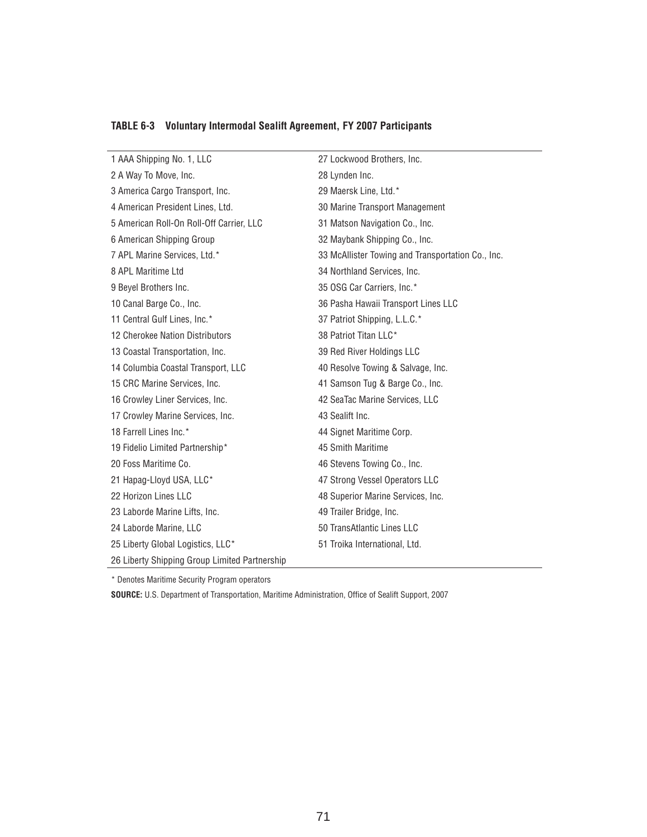| 1 AAA Shipping No. 1, LLC                     | 27 Lockwood Brothers, Inc.                        |
|-----------------------------------------------|---------------------------------------------------|
| 2 A Way To Move, Inc.                         | 28 Lynden Inc.                                    |
| 3 America Cargo Transport, Inc.               | 29 Maersk Line, Ltd.*                             |
| 4 American President Lines, Ltd.              | 30 Marine Transport Management                    |
| 5 American Roll-On Roll-Off Carrier, LLC      | 31 Matson Navigation Co., Inc.                    |
| 6 American Shipping Group                     | 32 Maybank Shipping Co., Inc.                     |
| 7 APL Marine Services, Ltd.*                  | 33 McAllister Towing and Transportation Co., Inc. |
| 8 APL Maritime Ltd                            | 34 Northland Services, Inc.                       |
| 9 Beyel Brothers Inc.                         | 35 OSG Car Carriers, Inc.*                        |
| 10 Canal Barge Co., Inc.                      | 36 Pasha Hawaii Transport Lines LLC               |
| 11 Central Gulf Lines, Inc.*                  | 37 Patriot Shipping, L.L.C.*                      |
| 12 Cherokee Nation Distributors               | 38 Patriot Titan LLC*                             |
| 13 Coastal Transportation, Inc.               | 39 Red River Holdings LLC                         |
| 14 Columbia Coastal Transport, LLC            | 40 Resolve Towing & Salvage, Inc.                 |
| 15 CRC Marine Services, Inc.                  | 41 Samson Tug & Barge Co., Inc.                   |
| 16 Crowley Liner Services, Inc.               | 42 SeaTac Marine Services, LLC                    |
| 17 Crowley Marine Services, Inc.              | 43 Sealift Inc.                                   |
| 18 Farrell Lines Inc.*                        | 44 Signet Maritime Corp.                          |
| 19 Fidelio Limited Partnership*               | 45 Smith Maritime                                 |
| 20 Foss Maritime Co.                          | 46 Stevens Towing Co., Inc.                       |
| 21 Hapag-Lloyd USA, LLC*                      | 47 Strong Vessel Operators LLC                    |
| 22 Horizon Lines LLC                          | 48 Superior Marine Services, Inc.                 |
| 23 Laborde Marine Lifts, Inc.                 | 49 Trailer Bridge, Inc.                           |
| 24 Laborde Marine, LLC                        | 50 TransAtlantic Lines LLC                        |
| 25 Liberty Global Logistics, LLC*             | 51 Troika International, Ltd.                     |
| 26 Liberty Shipping Group Limited Partnership |                                                   |

# **TABLE 6-3 Voluntary Intermodal Sealift Agreement, FY 2007 Participants**

\* Denotes Maritime Security Program operators

**SOURCE:** U.S. Department of Transportation, Maritime Administration, Office of Sealift Support, 2007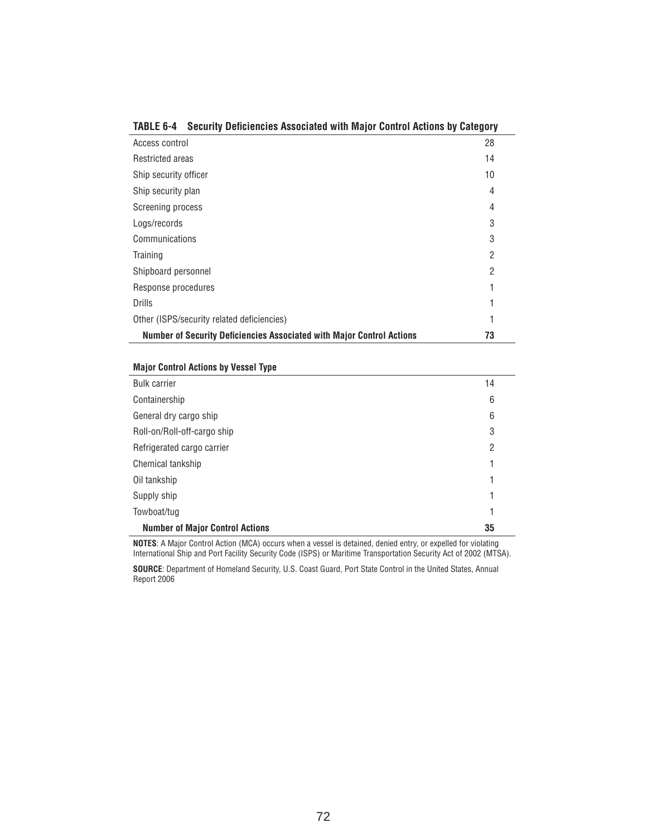| <u>INDEE 0.4 DEPAILIA DEIIPICIIPIES WYSOPIAIGA MIIII MAIDI POIIIIDI WAIINIS NY VAIGNOJY</u> |                |  |
|---------------------------------------------------------------------------------------------|----------------|--|
| Access control                                                                              | 28             |  |
| <b>Restricted areas</b>                                                                     | 14             |  |
| Ship security officer                                                                       | 10             |  |
| Ship security plan                                                                          | 4              |  |
| Screening process                                                                           | 4              |  |
| Logs/records                                                                                | 3              |  |
| Communications                                                                              | 3              |  |
| Training                                                                                    | $\overline{2}$ |  |
| Shipboard personnel                                                                         | $\overline{2}$ |  |
| Response procedures                                                                         |                |  |
| <b>Drills</b>                                                                               | 1              |  |
| Other (ISPS/security related deficiencies)                                                  |                |  |
| <b>Number of Security Deficiencies Associated with Major Control Actions</b>                | 73             |  |

## **TABLE 6-4 Security Deficiencies Associated with Major Control Actions by Category**

## **Major Control Actions by Vessel Type**

| <b>Bulk carrier</b>                    | 14             |  |
|----------------------------------------|----------------|--|
| Containership                          | 6              |  |
| General dry cargo ship                 | 6              |  |
| Roll-on/Roll-off-cargo ship            | 3              |  |
| Refrigerated cargo carrier             | $\overline{2}$ |  |
| Chemical tankship                      | 1              |  |
| Oil tankship                           |                |  |
| Supply ship                            | 1              |  |
| Towboat/tug                            | 1              |  |
| <b>Number of Major Control Actions</b> | 35             |  |

**NOTES**: A Major Control Action (MCA) occurs when a vessel is detained, denied entry, or expelled for violating International Ship and Port Facility Security Code (ISPS) or Maritime Transportation Security Act of 2002 (MTSA).

**SOURCE**: Department of Homeland Security, U.S. Coast Guard, Port State Control in the United States, Annual Report 2006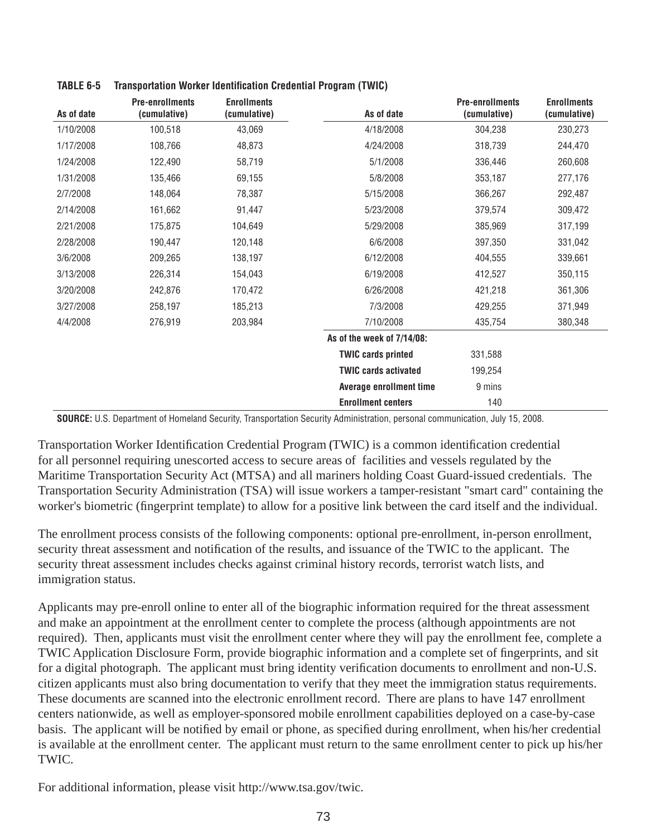| As of date | <b>Pre-enrollments</b><br>(cumulative) | <b>Enrollments</b><br>(cumulative) | As of date                  | <b>Pre-enrollments</b><br>(cumulative) | <b>Enrollments</b><br>(cumulative) |
|------------|----------------------------------------|------------------------------------|-----------------------------|----------------------------------------|------------------------------------|
| 1/10/2008  | 100,518                                | 43,069                             | 4/18/2008                   | 304,238                                | 230,273                            |
| 1/17/2008  | 108,766                                | 48,873                             | 4/24/2008                   | 318,739                                | 244,470                            |
| 1/24/2008  | 122,490                                | 58,719                             | 5/1/2008                    | 336,446                                | 260,608                            |
| 1/31/2008  | 135,466                                | 69,155                             | 5/8/2008                    | 353,187                                | 277,176                            |
| 2/7/2008   | 148,064                                | 78,387                             | 5/15/2008                   | 366,267                                | 292,487                            |
| 2/14/2008  | 161,662                                | 91,447                             | 5/23/2008                   | 379,574                                | 309,472                            |
| 2/21/2008  | 175,875                                | 104,649                            | 5/29/2008                   | 385,969                                | 317,199                            |
| 2/28/2008  | 190,447                                | 120,148                            | 6/6/2008                    | 397,350                                | 331,042                            |
| 3/6/2008   | 209,265                                | 138,197                            | 6/12/2008                   | 404,555                                | 339,661                            |
| 3/13/2008  | 226,314                                | 154,043                            | 6/19/2008                   | 412,527                                | 350,115                            |
| 3/20/2008  | 242,876                                | 170,472                            | 6/26/2008                   | 421,218                                | 361,306                            |
| 3/27/2008  | 258,197                                | 185,213                            | 7/3/2008                    | 429,255                                | 371,949                            |
| 4/4/2008   | 276,919                                | 203,984                            | 7/10/2008                   | 435,754                                | 380,348                            |
|            |                                        |                                    | As of the week of 7/14/08:  |                                        |                                    |
|            |                                        |                                    | <b>TWIC cards printed</b>   | 331,588                                |                                    |
|            |                                        |                                    | <b>TWIC cards activated</b> | 199,254                                |                                    |
|            |                                        |                                    | Average enrollment time     | 9 mins                                 |                                    |
|            |                                        |                                    | <b>Enrollment centers</b>   | 140                                    |                                    |

## **TABLE 6-5 Transportation Worker Identification Credential Program (TWIC)**

**SOURCE:** U.S. Department of Homeland Security, Transportation Security Administration, personal communication, July 15, 2008.

Transportation Worker Identification Credential Program (TWIC) is a common identification credential for all personnel requiring unescorted access to secure areas of facilities and vessels regulated by the Maritime Transportation Security Act (MTSA) and all mariners holding Coast Guard-issued credentials. The Transportation Security Administration (TSA) will issue workers a tamper-resistant "smart card" containing the worker's biometric (fingerprint template) to allow for a positive link between the card itself and the individual.

The enrollment process consists of the following components: optional pre-enrollment, in-person enrollment, security threat assessment and notification of the results, and issuance of the TWIC to the applicant. The security threat assessment includes checks against criminal history records, terrorist watch lists, and immigration status.

Applicants may pre-enroll online to enter all of the biographic information required for the threat assessment and make an appointment at the enrollment center to complete the process (although appointments are not required). Then, applicants must visit the enrollment center where they will pay the enrollment fee, complete a TWIC Application Disclosure Form, provide biographic information and a complete set of fingerprints, and sit for a digital photograph. The applicant must bring identity verification documents to enrollment and non-U.S. citizen applicants must also bring documentation to verify that they meet the immigration status requirements. These documents are scanned into the electronic enrollment record. There are plans to have 147 enrollment centers nationwide, as well as employer-sponsored mobile enrollment capabilities deployed on a case-by-case basis. The applicant will be notified by email or phone, as specified during enrollment, when his/her credential is available at the enrollment center. The applicant must return to the same enrollment center to pick up his/her TWIC.

For additional information, please visit http://www.tsa.gov/twic.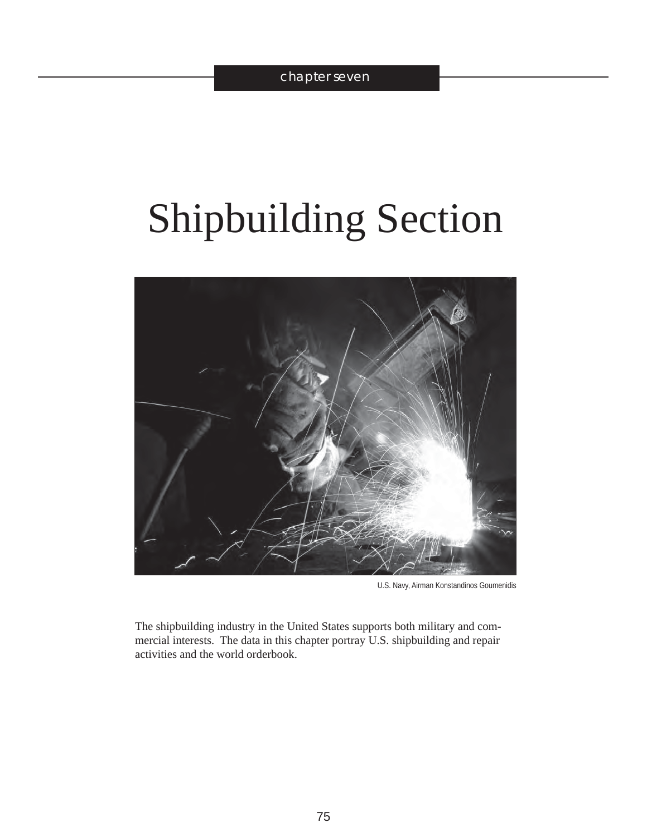# Shipbuilding Section



U.S. Navy, Airman Konstandinos Goumenidis

The shipbuilding industry in the United States supports both military and commercial interests. The data in this chapter portray U.S. shipbuilding and repair activities and the world orderbook.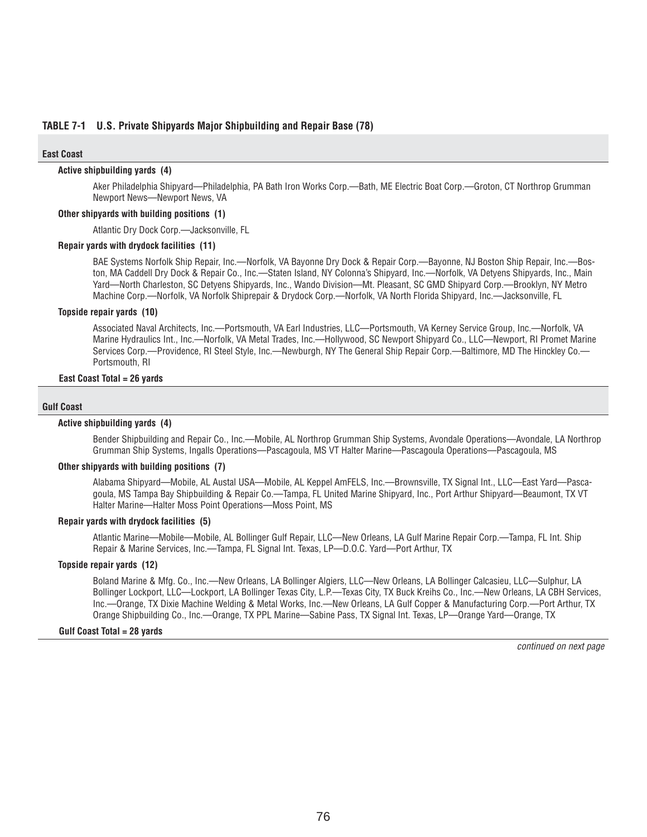### **TABLE 7-1 U.S. Private Shipyards Major Shipbuilding and Repair Base (78)**

#### **East Coast**

#### **Active shipbuilding yards (4)**

Aker Philadelphia Shipyard—Philadelphia, PA Bath Iron Works Corp.—Bath, ME Electric Boat Corp.—Groton, CT Northrop Grumman Newport News—Newport News, VA

## **Other shipyards with building positions (1)**

Atlantic Dry Dock Corp.—Jacksonville, FL

#### **Repair yards with drydock facilities (11)**

BAE Systems Norfolk Ship Repair, Inc.—Norfolk, VA Bayonne Dry Dock & Repair Corp.—Bayonne, NJ Boston Ship Repair, Inc.—Boston, MA Caddell Dry Dock & Repair Co., Inc.—Staten Island, NY Colonna's Shipyard, Inc.—Norfolk, VA Detyens Shipyards, Inc., Main Yard—North Charleston, SC Detyens Shipyards, Inc., Wando Division—Mt. Pleasant, SC GMD Shipyard Corp.—Brooklyn, NY Metro Machine Corp.—Norfolk, VA Norfolk Shiprepair & Drydock Corp.—Norfolk, VA North Florida Shipyard, Inc.—Jacksonville, FL

#### **Topside repair yards (10)**

Associated Naval Architects, Inc.—Portsmouth, VA Earl Industries, LLC—Portsmouth, VA Kerney Service Group, Inc.—Norfolk, VA Marine Hydraulics Int., Inc.—Norfolk, VA Metal Trades, Inc.—Hollywood, SC Newport Shipyard Co., LLC—Newport, RI Promet Marine Services Corp.—Providence, RI Steel Style, Inc.—Newburgh, NY The General Ship Repair Corp.—Baltimore, MD The Hinckley Co.— Portsmouth, RI

#### **East Coast Total = 26 yards**

#### **Gulf Coast**

#### **Active shipbuilding yards (4)**

Bender Shipbuilding and Repair Co., Inc.—Mobile, AL Northrop Grumman Ship Systems, Avondale Operations—Avondale, LA Northrop Grumman Ship Systems, Ingalls Operations—Pascagoula, MS VT Halter Marine—Pascagoula Operations—Pascagoula, MS

#### **Other shipyards with building positions (7)**

Alabama Shipyard—Mobile, AL Austal USA—Mobile, AL Keppel AmFELS, Inc.—Brownsville, TX Signal Int., LLC—East Yard—Pascagoula, MS Tampa Bay Shipbuilding & Repair Co.—Tampa, FL United Marine Shipyard, Inc., Port Arthur Shipyard—Beaumont, TX VT Halter Marine—Halter Moss Point Operations—Moss Point, MS

#### **Repair yards with drydock facilities (5)**

Atlantic Marine—Mobile—Mobile, AL Bollinger Gulf Repair, LLC—New Orleans, LA Gulf Marine Repair Corp.—Tampa, FL Int. Ship Repair & Marine Services, Inc.—Tampa, FL Signal Int. Texas, LP—D.O.C. Yard—Port Arthur, TX

#### **Topside repair yards (12)**

Boland Marine & Mfg. Co., Inc.—New Orleans, LA Bollinger Algiers, LLC—New Orleans, LA Bollinger Calcasieu, LLC—Sulphur, LA Bollinger Lockport, LLC—Lockport, LA Bollinger Texas City, L.P.—Texas City, TX Buck Kreihs Co., Inc.—New Orleans, LA CBH Services, Inc.—Orange, TX Dixie Machine Welding & Metal Works, Inc.—New Orleans, LA Gulf Copper & Manufacturing Corp.—Port Arthur, TX Orange Shipbuilding Co., Inc.—Orange, TX PPL Marine—Sabine Pass, TX Signal Int. Texas, LP—Orange Yard—Orange, TX

## **Gulf Coast Total = 28 yards**

*continued on next page*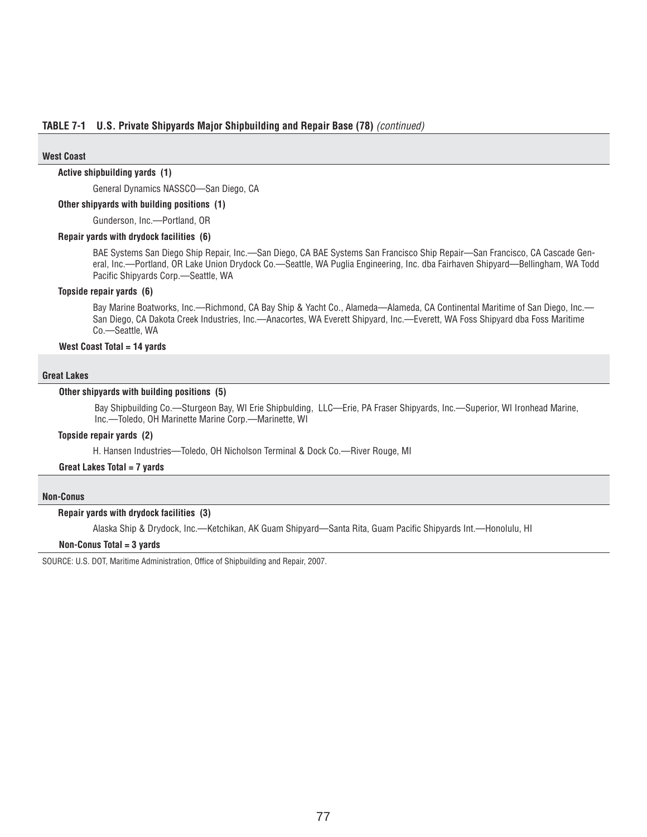### **TABLE 7-1 U.S. Private Shipyards Major Shipbuilding and Repair Base (78)** *(continued)*

#### **West Coast**

## **Active shipbuilding yards (1)**

General Dynamics NASSCO—San Diego, CA

## **Other shipyards with building positions (1)**

Gunderson, Inc.—Portland, OR

## **Repair yards with drydock facilities (6)**

BAE Systems San Diego Ship Repair, Inc.—San Diego, CA BAE Systems San Francisco Ship Repair—San Francisco, CA Cascade General, Inc.—Portland, OR Lake Union Drydock Co.—Seattle, WA Puglia Engineering, Inc. dba Fairhaven Shipyard—Bellingham, WA Todd Pacific Shipyards Corp.-Seattle, WA

#### **Topside repair yards (6)**

Bay Marine Boatworks, Inc.—Richmond, CA Bay Ship & Yacht Co., Alameda—Alameda, CA Continental Maritime of San Diego, Inc.— San Diego, CA Dakota Creek Industries, Inc.—Anacortes, WA Everett Shipyard, Inc.—Everett, WA Foss Shipyard dba Foss Maritime Co.—Seattle, WA

#### **West Coast Total = 14 yards**

#### **Great Lakes**

### **Other shipyards with building positions (5)**

 Bay Shipbuilding Co.—Sturgeon Bay, WI Erie Shipbulding, LLC—Erie, PA Fraser Shipyards, Inc.—Superior, WI Ironhead Marine, Inc.—Toledo, OH Marinette Marine Corp.—Marinette, WI

#### **Topside repair yards (2)**

H. Hansen Industries—Toledo, OH Nicholson Terminal & Dock Co.—River Rouge, MI

## **Great Lakes Total = 7 yards**

#### **Non-Conus**

### **Repair yards with drydock facilities (3)**

Alaska Ship & Drydock, Inc.—Ketchikan, AK Guam Shipyard—Santa Rita, Guam Pacific Shipyards Int.—Honolulu, HI

#### **Non-Conus Total = 3 yards**

SOURCE: U.S. DOT, Maritime Administration, Office of Shipbuilding and Repair, 2007.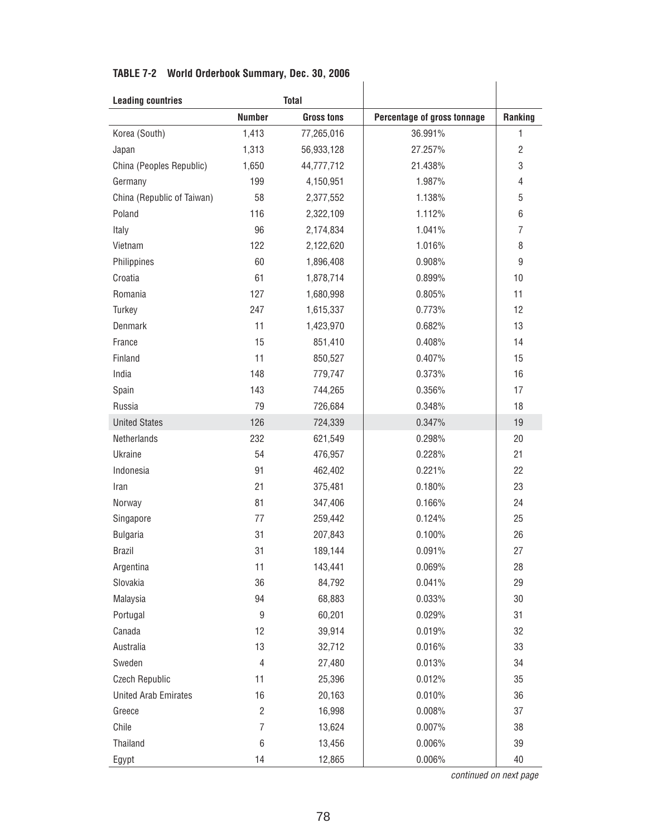| TABLE 7-2 World Orderbook Summary, Dec. 30, 2006 |  |  |  |
|--------------------------------------------------|--|--|--|
|                                                  |  |  |  |

| <b>IADLL 1-2</b> WUTH UNGINUUN SUIIIIIIAI Y, DEL. 30, ZUUU |                  |                   |                             |                |
|------------------------------------------------------------|------------------|-------------------|-----------------------------|----------------|
| <b>Leading countries</b>                                   |                  | <b>Total</b>      |                             |                |
|                                                            | <b>Number</b>    | <b>Gross tons</b> | Percentage of gross tonnage | Ranking        |
| Korea (South)                                              | 1,413            | 77,265,016        | 36.991%                     | 1              |
| Japan                                                      | 1,313            | 56,933,128        | 27.257%                     | $\overline{c}$ |
| China (Peoples Republic)                                   | 1,650            | 44,777,712        | 21.438%                     | 3              |
| Germany                                                    | 199              | 4,150,951         | 1.987%                      | $\overline{4}$ |
| China (Republic of Taiwan)                                 | 58               | 2,377,552         | 1.138%                      | 5              |
| Poland                                                     | 116              | 2,322,109         | 1.112%                      | 6              |
| Italy                                                      | 96               | 2,174,834         | 1.041%                      | $\overline{7}$ |
| Vietnam                                                    | 122              | 2,122,620         | 1.016%                      | 8              |
| Philippines                                                | 60               | 1,896,408         | 0.908%                      | 9              |
| Croatia                                                    | 61               | 1,878,714         | 0.899%                      | 10             |
| Romania                                                    | 127              | 1,680,998         | 0.805%                      | 11             |
| Turkey                                                     | 247              | 1,615,337         | 0.773%                      | 12             |
| Denmark                                                    | 11               | 1,423,970         | 0.682%                      | 13             |
| France                                                     | 15               | 851,410           | 0.408%                      | 14             |
| Finland                                                    | 11               | 850,527           | 0.407%                      | 15             |
| India                                                      | 148              | 779,747           | 0.373%                      | 16             |
| Spain                                                      | 143              | 744,265           | 0.356%                      | 17             |
| Russia                                                     | 79               | 726,684           | 0.348%                      | 18             |
| <b>United States</b>                                       | 126              | 724,339           | 0.347%                      | 19             |
| Netherlands                                                | 232              | 621,549           | 0.298%                      | 20             |
| Ukraine                                                    | 54               | 476,957           | 0.228%                      | 21             |
| Indonesia                                                  | 91               | 462,402           | 0.221%                      | 22             |
| Iran                                                       | 21               | 375,481           | 0.180%                      | 23             |
| Norway                                                     | 81               | 347,406           | 0.166%                      | 24             |
| Singapore                                                  | 77               | 259,442           | 0.124%                      | 25             |
| <b>Bulgaria</b>                                            | 31               | 207,843           | 0.100%                      | 26             |
| <b>Brazil</b>                                              | 31               | 189,144           | 0.091%                      | 27             |
| Argentina                                                  | 11               | 143,441           | 0.069%                      | 28             |
| Slovakia                                                   | 36               | 84,792            | 0.041%                      | 29             |
| Malaysia                                                   | 94               | 68,883            | 0.033%                      | 30             |
| Portugal                                                   | $\boldsymbol{9}$ | 60,201            | 0.029%                      | 31             |
| Canada                                                     | 12               | 39,914            | 0.019%                      | 32             |
| Australia                                                  | 13               | 32,712            | 0.016%                      | 33             |
| Sweden                                                     | $\overline{4}$   | 27,480            | 0.013%                      | 34             |
| <b>Czech Republic</b>                                      | 11               | 25,396            | 0.012%                      | 35             |
| <b>United Arab Emirates</b>                                | 16               | 20,163            | 0.010%                      | 36             |
| Greece                                                     | $\overline{c}$   | 16,998            | 0.008%                      | 37             |
| Chile                                                      | $\overline{7}$   | 13,624            | 0.007%                      | 38             |
| Thailand                                                   | $6\,$            | 13,456            | 0.006%                      | 39             |
| Egypt                                                      | 14               | 12,865            | 0.006%                      | 40             |

*continued on next page*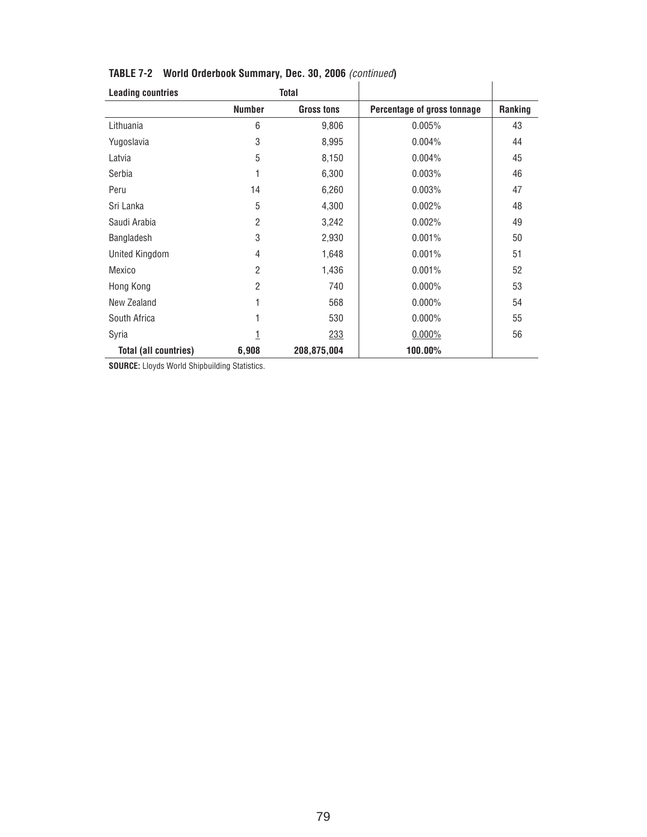| $\frac{1}{1000}$ . The motive of an above outlinearly, boot. Out, Loud (commodal) |                |                   |                             |         |
|-----------------------------------------------------------------------------------|----------------|-------------------|-----------------------------|---------|
| <b>Leading countries</b>                                                          |                | <b>Total</b>      |                             |         |
|                                                                                   | <b>Number</b>  | <b>Gross tons</b> | Percentage of gross tonnage | Ranking |
| Lithuania                                                                         | 6              | 9,806             | 0.005%                      | 43      |
| Yugoslavia                                                                        | 3              | 8,995             | 0.004%                      | 44      |
| Latvia                                                                            | 5              | 8,150             | 0.004%                      | 45      |
| Serbia                                                                            | 1              | 6,300             | 0.003%                      | 46      |
| Peru                                                                              | 14             | 6,260             | 0.003%                      | 47      |
| Sri Lanka                                                                         | 5              | 4,300             | 0.002%                      | 48      |
| Saudi Arabia                                                                      | $\overline{2}$ | 3,242             | 0.002%                      | 49      |
| Bangladesh                                                                        | 3              | 2,930             | 0.001%                      | 50      |
| United Kingdom                                                                    | 4              | 1,648             | 0.001%                      | 51      |
| Mexico                                                                            | $\overline{2}$ | 1,436             | 0.001%                      | 52      |
| Hong Kong                                                                         | $\overline{2}$ | 740               | $0.000\%$                   | 53      |
| New Zealand                                                                       | 1              | 568               | $0.000\%$                   | 54      |
| South Africa                                                                      | 1              | 530               | $0.000\%$                   | 55      |
| Syria                                                                             | 1              | 233               | $0.000\%$                   | 56      |
| <b>Total (all countries)</b>                                                      | 6,908          | 208,875,004       | 100.00%                     |         |

**TABLE 7-2 World Orderbook Summary, Dec. 30, 2006** *(continued***)**

**SOURCE:** Lloyds World Shipbuilding Statistics.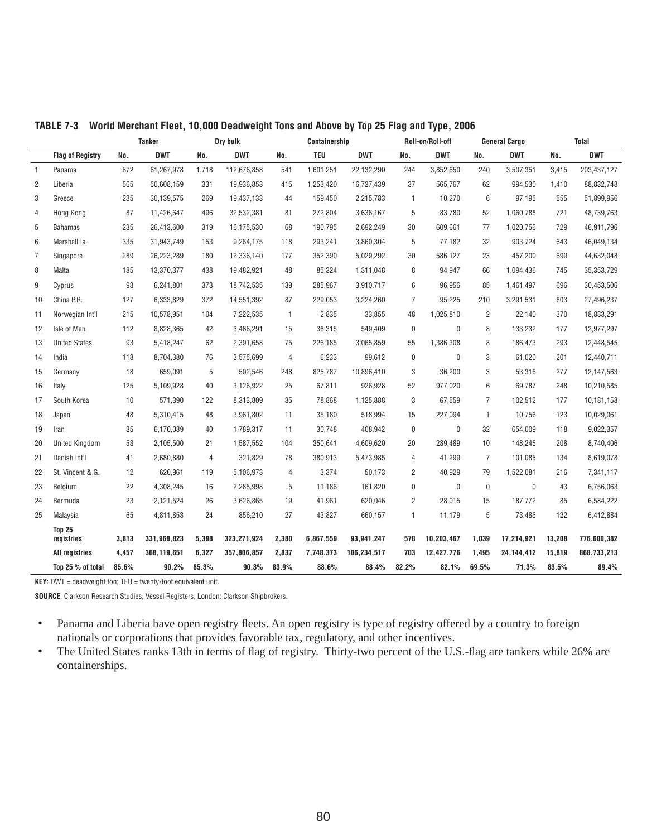|                |                             |       | <b>Tanker</b> |       | Dry bulk    |                | Containership |             |                | Roll-on/Roll-off |                | <b>General Cargo</b> |        | <b>Total</b> |
|----------------|-----------------------------|-------|---------------|-------|-------------|----------------|---------------|-------------|----------------|------------------|----------------|----------------------|--------|--------------|
|                | <b>Flag of Registry</b>     | No.   | <b>DWT</b>    | No.   | <b>DWT</b>  | No.            | <b>TEU</b>    | <b>DWT</b>  | No.            | <b>DWT</b>       | No.            | <b>DWT</b>           | No.    | <b>DWT</b>   |
| $\overline{1}$ | Panama                      | 672   | 61,267,978    | 1,718 | 112,676,858 | 541            | 1,601,251     | 22,132,290  | 244            | 3,852,650        | 240            | 3,507,351            | 3,415  | 203,437,127  |
| $\overline{2}$ | Liberia                     | 565   | 50,608,159    | 331   | 19,936,853  | 415            | 1,253,420     | 16,727,439  | 37             | 565,767          | 62             | 994,530              | 1,410  | 88,832,748   |
| 3              | Greece                      | 235   | 30,139,575    | 269   | 19,437,133  | 44             | 159,450       | 2,215,783   | $\mathbf{1}$   | 10,270           | 6              | 97,195               | 555    | 51,899,956   |
| $\overline{4}$ | Hong Kong                   | 87    | 11,426,647    | 496   | 32,532,381  | 81             | 272,804       | 3,636,167   | 5              | 83,780           | 52             | 1,060,788            | 721    | 48,739,763   |
| 5              | <b>Bahamas</b>              | 235   | 26,413,600    | 319   | 16,175,530  | 68             | 190,795       | 2,692,249   | 30             | 609,661          | 77             | 1,020,756            | 729    | 46,911,796   |
| 6              | Marshall Is.                | 335   | 31,943,749    | 153   | 9,264,175   | 118            | 293,241       | 3,860,304   | 5              | 77,182           | 32             | 903,724              | 643    | 46,049,134   |
| $\overline{7}$ | Singapore                   | 289   | 26,223,289    | 180   | 12,336,140  | 177            | 352,390       | 5,029,292   | 30             | 586,127          | 23             | 457,200              | 699    | 44,632,048   |
| 8              | Malta                       | 185   | 13,370,377    | 438   | 19,482,921  | 48             | 85,324        | 1,311,048   | 8              | 94,947           | 66             | 1,094,436            | 745    | 35,353,729   |
| 9              | Cyprus                      | 93    | 6,241,801     | 373   | 18,742,535  | 139            | 285,967       | 3,910,717   | 6              | 96,956           | 85             | 1,461,497            | 696    | 30,453,506   |
| 10             | China P.R.                  | 127   | 6,333,829     | 372   | 14,551,392  | 87             | 229,053       | 3,224,260   | $\overline{7}$ | 95,225           | 210            | 3,291,531            | 803    | 27,496,237   |
| 11             | Norwegian Int'l             | 215   | 10,578,951    | 104   | 7,222,535   | $\mathbf{1}$   | 2,835         | 33,855      | 48             | 1,025,810        | 2              | 22,140               | 370    | 18,883,291   |
| 12             | Isle of Man                 | 112   | 8,828,365     | 42    | 3,466,291   | 15             | 38,315        | 549,409     | $\pmb{0}$      | $\pmb{0}$        | 8              | 133,232              | 177    | 12,977,297   |
| 13             | <b>United States</b>        | 93    | 5,418,247     | 62    | 2,391,658   | 75             | 226,185       | 3,065,859   | 55             | 1,386,308        | 8              | 186,473              | 293    | 12,448,545   |
| 14             | India                       | 118   | 8,704,380     | 76    | 3,575,699   | $\overline{4}$ | 6,233         | 99,612      | $\mathbf 0$    | $\mathbf{0}$     | 3              | 61,020               | 201    | 12,440,711   |
| 15             | Germany                     | 18    | 659,091       | 5     | 502,546     | 248            | 825,787       | 10,896,410  | 3              | 36,200           | 3              | 53,316               | 277    | 12,147,563   |
| 16             | Italy                       | 125   | 5,109,928     | 40    | 3,126,922   | 25             | 67,811        | 926,928     | 52             | 977,020          | 6              | 69,787               | 248    | 10,210,585   |
| 17             | South Korea                 | 10    | 571,390       | 122   | 8,313,809   | 35             | 78,868        | 1,125,888   | 3              | 67,559           | $\overline{7}$ | 102,512              | 177    | 10,181,158   |
| 18             | Japan                       | 48    | 5,310,415     | 48    | 3,961,802   | 11             | 35,180        | 518,994     | 15             | 227,094          | $\mathbf{1}$   | 10,756               | 123    | 10,029,061   |
| 19             | Iran                        | 35    | 6,170,089     | 40    | 1,789,317   | 11             | 30,748        | 408,942     | $\pmb{0}$      | $\pmb{0}$        | 32             | 654,009              | 118    | 9,022,357    |
| 20             | <b>United Kingdom</b>       | 53    | 2,105,500     | 21    | 1,587,552   | 104            | 350,641       | 4,609,620   | 20             | 289,489          | 10             | 148,245              | 208    | 8,740,406    |
| 21             | Danish Int'l                | 41    | 2,680,880     | 4     | 321,829     | 78             | 380,913       | 5,473,985   | 4              | 41,299           | 7              | 101,085              | 134    | 8,619,078    |
| 22             | St. Vincent & G.            | 12    | 620,961       | 119   | 5,106,973   | 4              | 3,374         | 50,173      | $\overline{2}$ | 40,929           | 79             | 1,522,081            | 216    | 7,341,117    |
| 23             | Belgium                     | 22    | 4,308,245     | 16    | 2,285,998   | 5              | 11,186        | 161,820     | $\pmb{0}$      | $\mathbf{0}$     | $\mathbf{0}$   | $\mathbf 0$          | 43     | 6,756,063    |
| 24             | Bermuda                     | 23    | 2,121,524     | 26    | 3,626,865   | 19             | 41,961        | 620,046     | $\overline{2}$ | 28,015           | 15             | 187,772              | 85     | 6,584,222    |
| 25             | Malaysia                    | 65    | 4,811,853     | 24    | 856,210     | 27             | 43,827        | 660,157     | 1              | 11,179           | 5              | 73,485               | 122    | 6,412,884    |
|                | <b>Top 25</b><br>registries | 3,813 | 331,968,823   | 5,398 | 323,271,924 | 2,380          | 6,867,559     | 93,941,247  | 578            | 10,203,467       | 1,039          | 17,214,921           | 13,208 | 776,600,382  |
|                | <b>All registries</b>       | 4,457 | 368,119,651   | 6,327 | 357,806,857 | 2,837          | 7,748,373     | 106,234,517 | 703            | 12,427,776       | 1,495          | 24, 144, 412         | 15,819 | 868,733,213  |
|                | Top 25 % of total           | 85.6% | 90.2%         | 85.3% | 90.3%       | 83.9%          | 88.6%         | 88.4%       | 82.2%          | 82.1%            | 69.5%          | 71.3%                | 83.5%  | 89.4%        |

**TABLE 7-3 World Merchant Fleet, 10,000 Deadweight Tons and Above by Top 25 Flag and Type, 2006**

**KEY**: DWT = deadweight ton; TEU = twenty-foot equivalent unit.

**SOURCE**: Clarkson Research Studies, Vessel Registers, London: Clarkson Shipbrokers.

- Panama and Liberia have open registry fleets. An open registry is type of registry offered by a country to foreign nationals or corporations that provides favorable tax, regulatory, and other incentives.
- The United States ranks 13th in terms of flag of registry. Thirty-two percent of the U.S.-flag are tankers while 26% are containerships.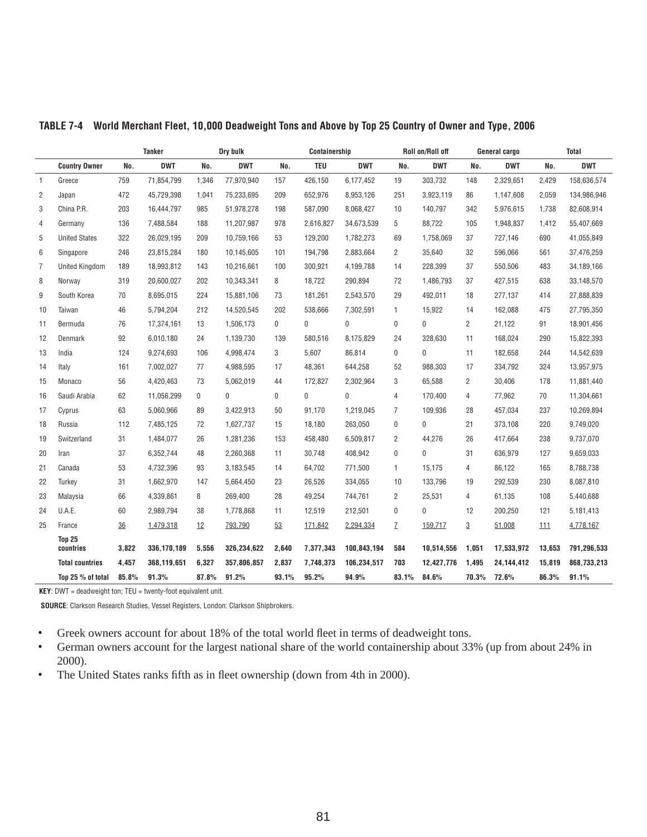|                |                            |       | <b>Tanker</b> |       | Dry bulk    |       | Containership |             |                | Roll on/Roll off |                | General cargo |        | <b>Total</b> |
|----------------|----------------------------|-------|---------------|-------|-------------|-------|---------------|-------------|----------------|------------------|----------------|---------------|--------|--------------|
|                | <b>Country Owner</b>       | No.   | <b>DWT</b>    | No.   | <b>DWT</b>  | No.   | <b>TEU</b>    | <b>DWT</b>  | No.            | <b>DWT</b>       | No.            | <b>DWT</b>    | No.    | <b>DWT</b>   |
| $\mathbf{1}$   | Greece                     | 759   | 71,854,799    | 1,346 | 77,970,940  | 157   | 426,150       | 6,177,452   | 19             | 303,732          | 148            | 2,329,651     | 2,429  | 158,636,574  |
| $\overline{2}$ | Japan                      | 472   | 45,729,398    | 1,041 | 75,233,695  | 209   | 652,976       | 8,953,126   | 251            | 3,923,119        | 86             | 1,147,608     | 2,059  | 134,986,946  |
| 3              | China P.R.                 | 203   | 16,444,797    | 985   | 51,978,278  | 198   | 587,090       | 8,068,427   | 10             | 140.797          | 342            | 5,976,615     | 1,738  | 82,608,914   |
| 4              | Germany                    | 136   | 7,488,584     | 188   | 11,207,987  | 978   | 2,616,827     | 34,673,539  | 5              | 88,722           | 105            | 1,948,837     | 1,412  | 55,407,669   |
| 5              | <b>United States</b>       | 322   | 26,029,195    | 209   | 10,759,166  | 53    | 129,200       | 1,782,273   | 69             | 1,758,069        | 37             | 727,146       | 690    | 41,055,849   |
| 6              | Singapore                  | 246   | 23,815,284    | 180   | 10,145,605  | 101   | 194,798       | 2,883,664   | $\overline{2}$ | 35,640           | 32             | 596,066       | 561    | 37,476,259   |
| $\overline{7}$ | <b>United Kingdom</b>      | 189   | 18,993,812    | 143   | 10,216,661  | 100   | 300,921       | 4,199,788   | 14             | 228,399          | 37             | 550,506       | 483    | 34,189,166   |
| 8              | Norway                     | 319   | 20,600,027    | 202   | 10,343,341  | 8     | 18,722        | 290,894     | 72             | 1.486.793        | 37             | 427,515       | 638    | 33,148,570   |
| 9              | South Korea                | 70    | 8,695,015     | 224   | 15,881,106  | 73    | 181,261       | 2,543,570   | 29             | 492,011          | 18             | 277,137       | 414    | 27,888,839   |
| 10             | Taiwan                     | 46    | 5,794,204     | 212   | 14,520,545  | 202   | 538,666       | 7,302,591   | $\mathbf{1}$   | 15,922           | 14             | 162,088       | 475    | 27,795,350   |
| 11             | Bermuda                    | 76    | 17,374,161    | 13    | 1,506,173   | 0     | 0             | 0           | 0              | 0                | $\overline{2}$ | 21,122        | 91     | 18,901,456   |
| 12             | Denmark                    | 92    | 6,010,180     | 24    | 1,139,730   | 139   | 580,516       | 8,175,829   | 24             | 328,630          | 11             | 168,024       | 290    | 15,822,393   |
| 13             | India                      | 124   | 9,274,693     | 106   | 4,998,474   | 3     | 5,607         | 86,814      | $\mathbf 0$    | $\mathbf 0$      | 11             | 182,658       | 244    | 14,542,639   |
| 14             | Italy                      | 161   | 7,002,027     | 77    | 4,988,595   | 17    | 48,361        | 644,258     | 52             | 988,303          | 17             | 334,792       | 324    | 13,957,975   |
| 15             | Monaco                     | 56    | 4,420,463     | 73    | 5,062,019   | 44    | 172,827       | 2,302,964   | 3              | 65,588           | $\overline{2}$ | 30,406        | 178    | 11,881,440   |
| 16             | Saudi Arabia               | 62    | 11,056,299    | 0     | 0           | 0     | 0             | 0           | 4              | 170,400          | 4              | 77,962        | 70     | 11,304,661   |
| 17             | Cyprus                     | 63    | 5,060,966     | 89    | 3,422,913   | 50    | 91,170        | 1,219,045   | 7              | 109,936          | 28             | 457,034       | 237    | 10,269,894   |
| 18             | Russia                     | 112   | 7,485,125     | 72    | 1,627,737   | 15    | 18,180        | 263,050     | 0              | $\mathbf 0$      | 21             | 373,108       | 220    | 9,749,020    |
| 19             | Switzerland                | 31    | 1,484,077     | 26    | 1,281,236   | 153   | 458,480       | 6,509,817   | $\overline{2}$ | 44,276           | 26             | 417,664       | 238    | 9,737,070    |
| 20             | Iran                       | 37    | 6,352,744     | 48    | 2,260,368   | 11    | 30,748        | 408,942     | $\mathbf 0$    | 0                | 31             | 636,979       | 127    | 9,659,033    |
| 21             | Canada                     | 53    | 4,732,396     | 93    | 3,183,545   | 14    | 64.702        | 771.500     | $\mathbf{1}$   | 15.175           | 4              | 86,122        | 165    | 8,788,738    |
| 22             | Turkey                     | 31    | 1,662,970     | 147   | 5,664,450   | 23    | 26,526        | 334,055     | 10             | 133,796          | 19             | 292,539       | 230    | 8,087,810    |
| 23             | Malaysia                   | 66    | 4,339,861     | 8     | 269,400     | 28    | 49,254        | 744,761     | 2              | 25,531           | 4              | 61,135        | 108    | 5,440,688    |
| 24             | U.A.E.                     | 60    | 2,989,794     | 38    | 1,778,868   | 11    | 12,519        | 212,501     | $\pmb{0}$      | $\mathbf 0$      | 12             | 200,250       | 121    | 5,181,413    |
| 25             | France                     | 36    | 1,479,318     | 12    | 793,790     | 53    | 171,842       | 2,294,334   | $\overline{I}$ | 159,717          | $\overline{3}$ | 51,008        | 111    | 4,778,167    |
|                | <b>Top 25</b><br>countries | 3,822 | 336,170,189   | 5,556 | 326,234,622 | 2,640 | 7,377,343     | 100,843,194 | 584            | 10,514,556       | 1,051          | 17,533,972    | 13,653 | 791,296,533  |
|                | <b>Total countries</b>     | 4,457 | 368,119,651   | 6,327 | 357,806,857 | 2,837 | 7,748,373     | 106,234,517 | 703            | 12,427,776       | 1,495          | 24, 144, 412  | 15,819 | 868,733,213  |
|                | Top 25 % of total          | 85.8% | 91.3%         | 87.8% | 91.2%       | 93.1% | 95.2%         | 94.9%       | 83.1%          | 84.6%            | 70.3%          | 72.6%         | 86.3%  | 91.1%        |
|                |                            |       |               |       |             |       |               |             |                |                  |                |               |        |              |

**TABLE 7-4 World Merchant Fleet, 10,000 Deadweight Tons and Above by Top 25 Country of Owner and Type, 2006**

**KEY**: DWT = deadweight ton; TEU = twenty-foot equivalent unit.

**SOURCE**: Clarkson Research Studies, Vessel Registers, London: Clarkson Shipbrokers.

• Greek owners account for about 18% of the total world fleet in terms of deadweight tons.

• German owners account for the largest national share of the world containership about 33% (up from about 24% in 2000).

• The United States ranks fifth as in fleet ownership (down from 4th in 2000).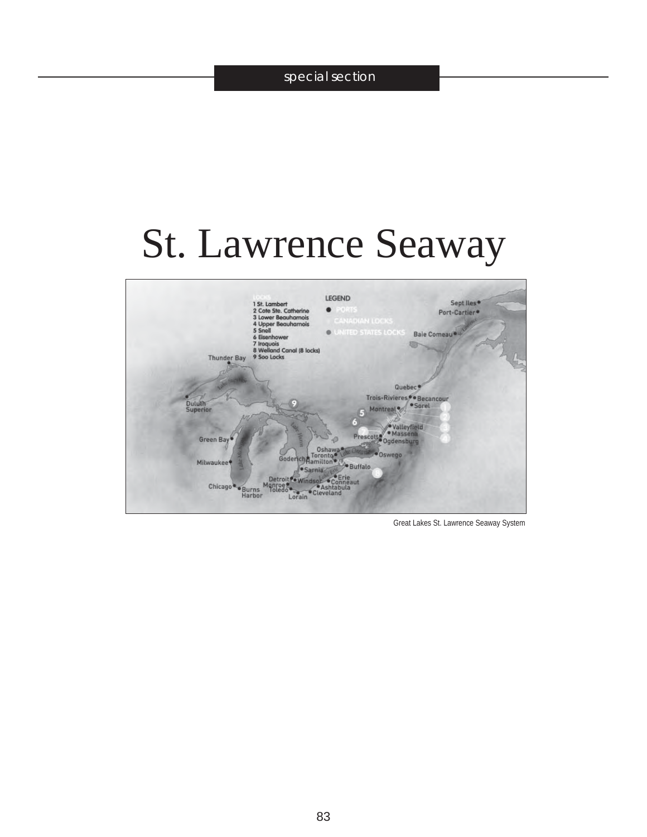# special section

# St. Lawrence Seaway



Great Lakes St. Lawrence Seaway System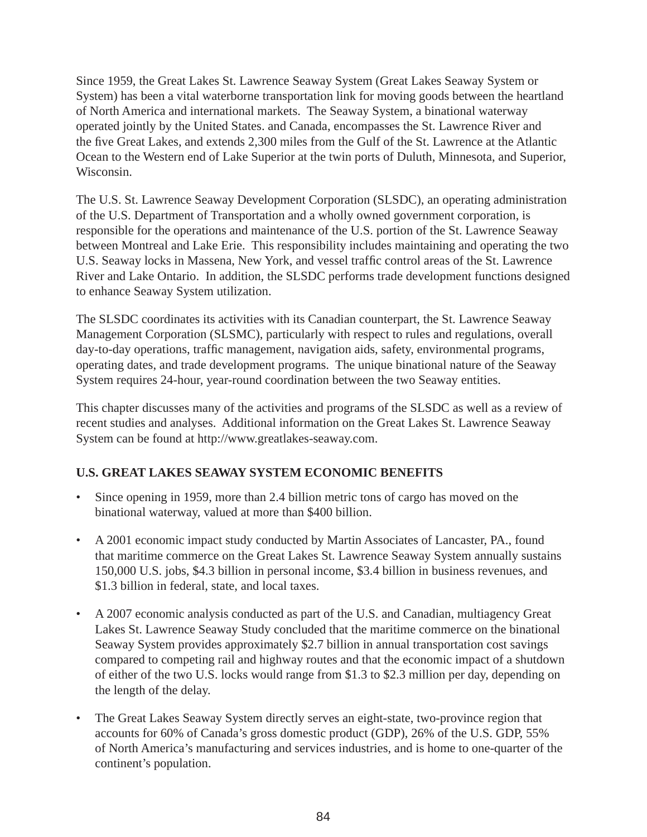Since 1959, the Great Lakes St. Lawrence Seaway System (Great Lakes Seaway System or System) has been a vital waterborne transportation link for moving goods between the heartland of North America and international markets. The Seaway System, a binational waterway operated jointly by the United States. and Canada, encompasses the St. Lawrence River and the five Great Lakes, and extends 2,300 miles from the Gulf of the St. Lawrence at the Atlantic Ocean to the Western end of Lake Superior at the twin ports of Duluth, Minnesota, and Superior, Wisconsin.

The U.S. St. Lawrence Seaway Development Corporation (SLSDC), an operating administration of the U.S. Department of Transportation and a wholly owned government corporation, is responsible for the operations and maintenance of the U.S. portion of the St. Lawrence Seaway between Montreal and Lake Erie. This responsibility includes maintaining and operating the two U.S. Seaway locks in Massena, New York, and vessel traffic control areas of the St. Lawrence River and Lake Ontario. In addition, the SLSDC performs trade development functions designed to enhance Seaway System utilization.

The SLSDC coordinates its activities with its Canadian counterpart, the St. Lawrence Seaway Management Corporation (SLSMC), particularly with respect to rules and regulations, overall day-to-day operations, traffic management, navigation aids, safety, environmental programs, operating dates, and trade development programs. The unique binational nature of the Seaway System requires 24-hour, year-round coordination between the two Seaway entities.

This chapter discusses many of the activities and programs of the SLSDC as well as a review of recent studies and analyses. Additional information on the Great Lakes St. Lawrence Seaway System can be found at http://www.greatlakes-seaway.com.

# **U.S. GREAT LAKES SEAWAY SYSTEM ECONOMIC BENEFITS**

- Since opening in 1959, more than 2.4 billion metric tons of cargo has moved on the binational waterway, valued at more than \$400 billion.
- A 2001 economic impact study conducted by Martin Associates of Lancaster, PA., found that maritime commerce on the Great Lakes St. Lawrence Seaway System annually sustains 150,000 U.S. jobs, \$4.3 billion in personal income, \$3.4 billion in business revenues, and \$1.3 billion in federal, state, and local taxes.
- A 2007 economic analysis conducted as part of the U.S. and Canadian, multiagency Great Lakes St. Lawrence Seaway Study concluded that the maritime commerce on the binational Seaway System provides approximately \$2.7 billion in annual transportation cost savings compared to competing rail and highway routes and that the economic impact of a shutdown of either of the two U.S. locks would range from \$1.3 to \$2.3 million per day, depending on the length of the delay.
- The Great Lakes Seaway System directly serves an eight-state, two-province region that accounts for 60% of Canada's gross domestic product (GDP), 26% of the U.S. GDP, 55% of North America's manufacturing and services industries, and is home to one-quarter of the continent's population.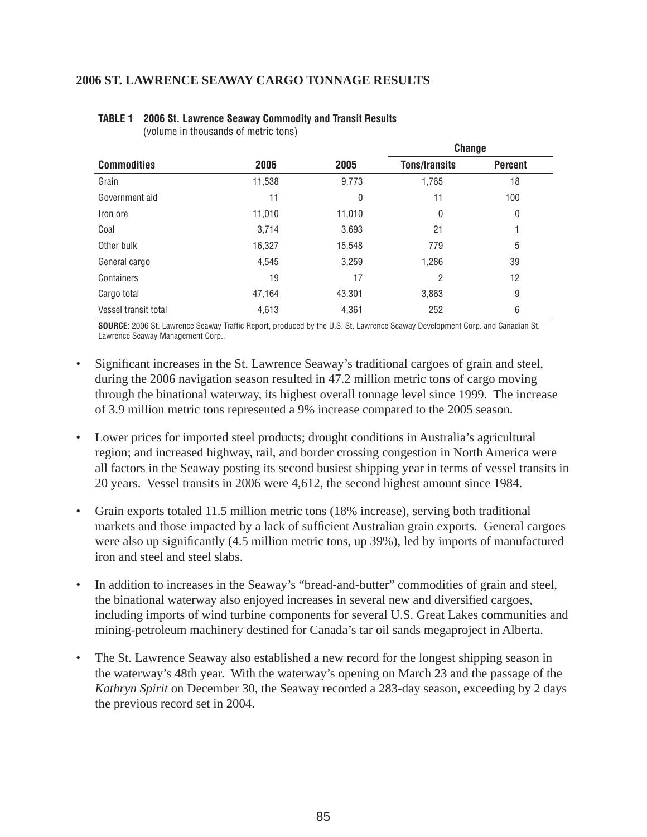# **2006 ST. LAWRENCE SEAWAY CARGO TONNAGE RESULTS**

|                      |        |        | Change               |                |
|----------------------|--------|--------|----------------------|----------------|
| <b>Commodities</b>   | 2006   | 2005   | <b>Tons/transits</b> | <b>Percent</b> |
| Grain                | 11,538 | 9,773  | 1,765                | 18             |
| Government aid       | 11     | 0      | 11                   | 100            |
| Iron ore             | 11,010 | 11,010 | 0                    | 0              |
| Coal                 | 3,714  | 3,693  | 21                   |                |
| Other bulk           | 16,327 | 15,548 | 779                  | 5              |
| General cargo        | 4,545  | 3,259  | 1,286                | 39             |
| Containers           | 19     | 17     | 2                    | 12             |
| Cargo total          | 47.164 | 43,301 | 3,863                | 9              |
| Vessel transit total | 4,613  | 4,361  | 252                  | 6              |

## **TABLE 1 2006 St. Lawrence Seaway Commodity and Transit Results**

(volume in thousands of metric tons)

SOURCE: 2006 St. Lawrence Seaway Traffic Report, produced by the U.S. St. Lawrence Seaway Development Corp. and Canadian St. Lawrence Seaway Management Corp..

- Significant increases in the St. Lawrence Seaway's traditional cargoes of grain and steel, during the 2006 navigation season resulted in 47.2 million metric tons of cargo moving through the binational waterway, its highest overall tonnage level since 1999. The increase of 3.9 million metric tons represented a 9% increase compared to the 2005 season.
- Lower prices for imported steel products; drought conditions in Australia's agricultural region; and increased highway, rail, and border crossing congestion in North America were all factors in the Seaway posting its second busiest shipping year in terms of vessel transits in 20 years. Vessel transits in 2006 were 4,612, the second highest amount since 1984.
- Grain exports totaled 11.5 million metric tons (18% increase), serving both traditional markets and those impacted by a lack of sufficient Australian grain exports. General cargoes were also up significantly (4.5 million metric tons, up 39%), led by imports of manufactured iron and steel and steel slabs.
- In addition to increases in the Seaway's "bread-and-butter" commodities of grain and steel, the binational waterway also enjoyed increases in several new and diversified cargoes, including imports of wind turbine components for several U.S. Great Lakes communities and mining-petroleum machinery destined for Canada's tar oil sands megaproject in Alberta.
- The St. Lawrence Seaway also established a new record for the longest shipping season in the waterway's 48th year. With the waterway's opening on March 23 and the passage of the *Kathryn Spirit* on December 30, the Seaway recorded a 283-day season, exceeding by 2 days the previous record set in 2004.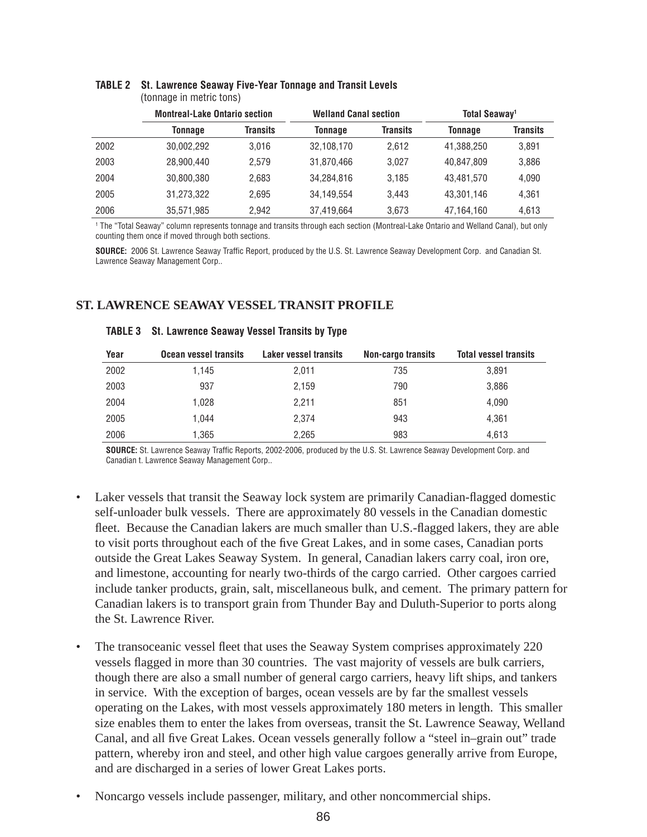|      | <b>Montreal-Lake Ontario section</b> |                 | <b>Welland Canal section</b> |          | <b>Total Seaway<sup>1</sup></b> |                 |  |
|------|--------------------------------------|-----------------|------------------------------|----------|---------------------------------|-----------------|--|
|      | Tonnage                              | <b>Transits</b> | Tonnage                      | Transits | <b>Tonnage</b>                  | <b>Transits</b> |  |
| 2002 | 30,002,292                           | 3.016           | 32.108.170                   | 2.612    | 41.388.250                      | 3,891           |  |
| 2003 | 28.900.440                           | 2.579           | 31.870.466                   | 3.027    | 40.847.809                      | 3,886           |  |
| 2004 | 30.800.380                           | 2.683           | 34.284.816                   | 3.185    | 43.481.570                      | 4,090           |  |
| 2005 | 31.273.322                           | 2.695           | 34.149.554                   | 3.443    | 43.301.146                      | 4.361           |  |
| 2006 | 35,571,985                           | 2.942           | 37.419.664                   | 3.673    | 47.164.160                      | 4,613           |  |

## **TABLE 2 St. Lawrence Seaway Five-Year Tonnage and Transit Levels** (tonnage in metric tons)

1 The "Total Seaway" column represents tonnage and transits through each section (Montreal-Lake Ontario and Welland Canal), but only counting them once if moved through both sections.

**SOURCE:** 2006 St. Lawrence Seaway Traffic Report, produced by the U.S. St. Lawrence Seaway Development Corp. and Canadian St. Lawrence Seaway Management Corp..

# **ST. LAWRENCE SEAWAY VESSEL TRANSIT PROFILE**

| Year | Ocean vessel transits | Laker vessel transits | Non-cargo transits | <b>Total vessel transits</b> |
|------|-----------------------|-----------------------|--------------------|------------------------------|
| 2002 | 1.145                 | 2,011                 | 735                | 3,891                        |
| 2003 | 937                   | 2,159                 | 790                | 3,886                        |
| 2004 | 1.028                 | 2,211                 | 851                | 4.090                        |
| 2005 | 1.044                 | 2.374                 | 943                | 4.361                        |
| 2006 | 365. ا                | 2,265                 | 983                | 4,613                        |

## **TABLE 3 St. Lawrence Seaway Vessel Transits by Type**

**SOURCE:** St. Lawrence Seaway Traffic Reports, 2002-2006, produced by the U.S. St. Lawrence Seaway Development Corp. and Canadian t. Lawrence Seaway Management Corp..

- Laker vessels that transit the Seaway lock system are primarily Canadian-flagged domestic self-unloader bulk vessels. There are approximately 80 vessels in the Canadian domestic fleet. Because the Canadian lakers are much smaller than U.S.-flagged lakers, they are able to visit ports throughout each of the five Great Lakes, and in some cases, Canadian ports outside the Great Lakes Seaway System. In general, Canadian lakers carry coal, iron ore, and limestone, accounting for nearly two-thirds of the cargo carried. Other cargoes carried include tanker products, grain, salt, miscellaneous bulk, and cement. The primary pattern for Canadian lakers is to transport grain from Thunder Bay and Duluth-Superior to ports along the St. Lawrence River.
- The transoceanic vessel fleet that uses the Seaway System comprises approximately 220 vessels flagged in more than 30 countries. The vast majority of vessels are bulk carriers, though there are also a small number of general cargo carriers, heavy lift ships, and tankers in service. With the exception of barges, ocean vessels are by far the smallest vessels operating on the Lakes, with most vessels approximately 180 meters in length. This smaller size enables them to enter the lakes from overseas, transit the St. Lawrence Seaway, Welland Canal, and all five Great Lakes. Ocean vessels generally follow a "steel in–grain out" trade pattern, whereby iron and steel, and other high value cargoes generally arrive from Europe, and are discharged in a series of lower Great Lakes ports.
- Noncargo vessels include passenger, military, and other noncommercial ships.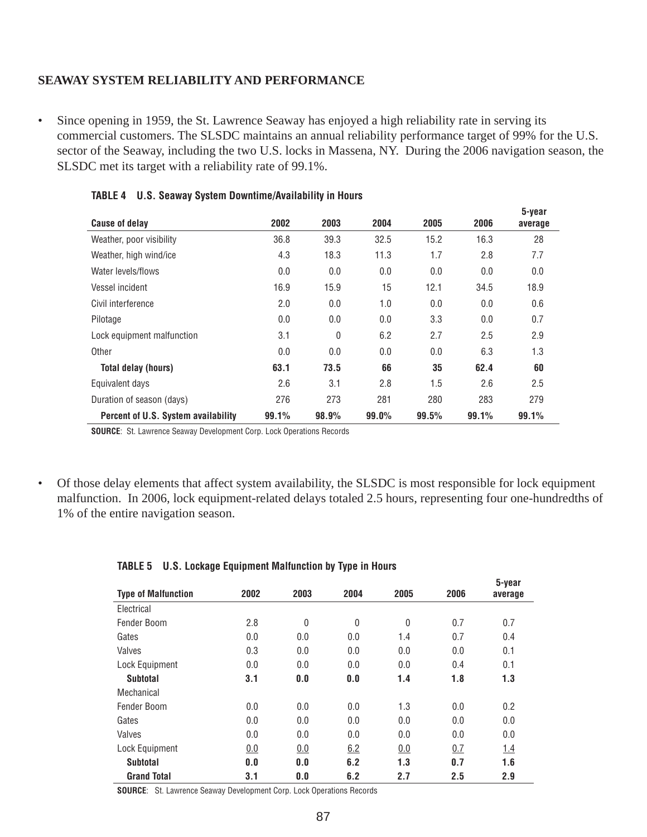# **SEAWAY SYSTEM RELIABILITY AND PERFORMANCE**

• Since opening in 1959, the St. Lawrence Seaway has enjoyed a high reliability rate in serving its commercial customers. The SLSDC maintains an annual reliability performance target of 99% for the U.S. sector of the Seaway, including the two U.S. locks in Massena, NY. During the 2006 navigation season, the SLSDC met its target with a reliability rate of 99.1%.

| <b>Cause of delay</b>               | 2002  | 2003  | 2004  | 2005  | 2006  | 5-year<br>average |
|-------------------------------------|-------|-------|-------|-------|-------|-------------------|
| Weather, poor visibility            | 36.8  | 39.3  | 32.5  | 15.2  | 16.3  | 28                |
| Weather, high wind/ice              | 4.3   | 18.3  | 11.3  | 1.7   | 2.8   | 7.7               |
| Water levels/flows                  | 0.0   | 0.0   | 0.0   | 0.0   | 0.0   | 0.0               |
| Vessel incident                     | 16.9  | 15.9  | 15    | 12.1  | 34.5  | 18.9              |
| Civil interference                  | 2.0   | 0.0   | 1.0   | 0.0   | 0.0   | 0.6               |
| Pilotage                            | 0.0   | 0.0   | 0.0   | 3.3   | 0.0   | 0.7               |
| Lock equipment malfunction          | 3.1   | 0     | 6.2   | 2.7   | 2.5   | 2.9               |
| Other                               | 0.0   | 0.0   | 0.0   | 0.0   | 6.3   | 1.3               |
| Total delay (hours)                 | 63.1  | 73.5  | 66    | 35    | 62.4  | 60                |
| Equivalent days                     | 2.6   | 3.1   | 2.8   | 1.5   | 2.6   | 2.5               |
| Duration of season (days)           | 276   | 273   | 281   | 280   | 283   | 279               |
| Percent of U.S. System availability | 99.1% | 98.9% | 99.0% | 99.5% | 99.1% | 99.1%             |

## **TABLE 4 U.S. Seaway System Downtime/Availability in Hours**

**SOURCE**: St. Lawrence Seaway Development Corp. Lock Operations Records

• Of those delay elements that affect system availability, the SLSDC is most responsible for lock equipment malfunction. In 2006, lock equipment-related delays totaled 2.5 hours, representing four one-hundredths of 1% of the entire navigation season.

## **TABLE 5 U.S. Lockage Equipment Malfunction by Type in Hours**

|                            |      |      |      |             |      | 5-year     |
|----------------------------|------|------|------|-------------|------|------------|
| <b>Type of Malfunction</b> | 2002 | 2003 | 2004 | 2005        | 2006 | average    |
| Electrical                 |      |      |      |             |      |            |
| Fender Boom                | 2.8  | 0    | 0    | $\mathbf 0$ | 0.7  | 0.7        |
| Gates                      | 0.0  | 0.0  | 0.0  | 1.4         | 0.7  | 0.4        |
| Valves                     | 0.3  | 0.0  | 0.0  | 0.0         | 0.0  | 0.1        |
| Lock Equipment             | 0.0  | 0.0  | 0.0  | 0.0         | 0.4  | 0.1        |
| <b>Subtotal</b>            | 3.1  | 0.0  | 0.0  | 1.4         | 1.8  | 1.3        |
| Mechanical                 |      |      |      |             |      |            |
| Fender Boom                | 0.0  | 0.0  | 0.0  | 1.3         | 0.0  | 0.2        |
| Gates                      | 0.0  | 0.0  | 0.0  | 0.0         | 0.0  | 0.0        |
| Valves                     | 0.0  | 0.0  | 0.0  | 0.0         | 0.0  | 0.0        |
| Lock Equipment             | 0.0  | 0.0  | 6.2  | 0.0         | 0.7  | <u>1.4</u> |
| <b>Subtotal</b>            | 0.0  | 0.0  | 6.2  | 1.3         | 0.7  | 1.6        |
| <b>Grand Total</b>         | 3.1  | 0.0  | 6.2  | 2.7         | 2.5  | 2.9        |

**SOURCE**: St. Lawrence Seaway Development Corp. Lock Operations Records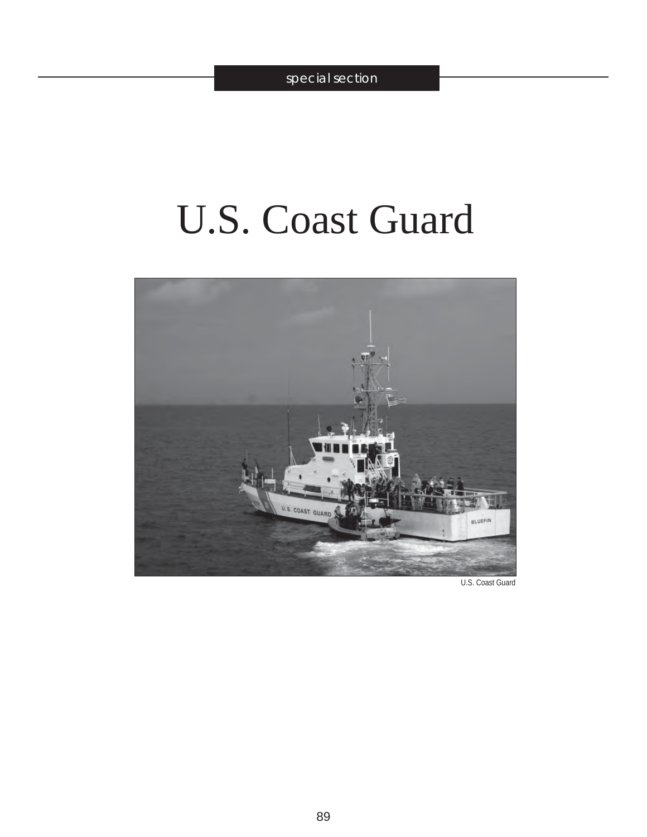# U.S. Coast Guard



U.S. Coast Guard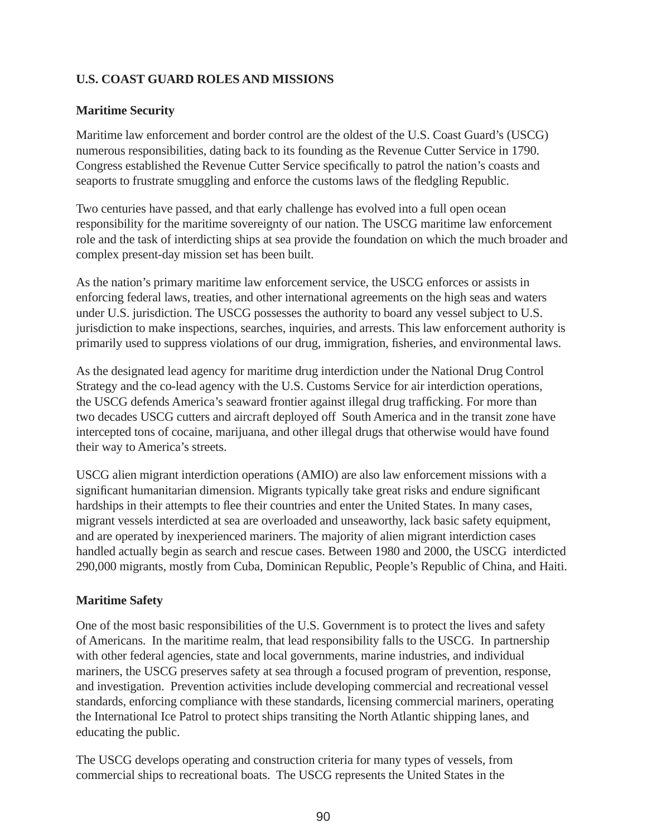# **U.S. COAST GUARD ROLES AND MISSIONS**

# **Maritime Security**

Maritime law enforcement and border control are the oldest of the U.S. Coast Guard's (USCG) numerous responsibilities, dating back to its founding as the Revenue Cutter Service in 1790. Congress established the Revenue Cutter Service specifically to patrol the nation's coasts and seaports to frustrate smuggling and enforce the customs laws of the fledgling Republic.

Two centuries have passed, and that early challenge has evolved into a full open ocean responsibility for the maritime sovereignty of our nation. The USCG maritime law enforcement role and the task of interdicting ships at sea provide the foundation on which the much broader and complex present-day mission set has been built.

As the nation's primary maritime law enforcement service, the USCG enforces or assists in enforcing federal laws, treaties, and other international agreements on the high seas and waters under U.S. jurisdiction. The USCG possesses the authority to board any vessel subject to U.S. jurisdiction to make inspections, searches, inquiries, and arrests. This law enforcement authority is primarily used to suppress violations of our drug, immigration, fisheries, and environmental laws.

As the designated lead agency for maritime drug interdiction under the National Drug Control Strategy and the co-lead agency with the U.S. Customs Service for air interdiction operations, the USCG defends America's seaward frontier against illegal drug trafficking. For more than two decades USCG cutters and aircraft deployed off South America and in the transit zone have intercepted tons of cocaine, marijuana, and other illegal drugs that otherwise would have found their way to America's streets.

USCG alien migrant interdiction operations (AMIO) are also law enforcement missions with a significant humanitarian dimension. Migrants typically take great risks and endure significant hardships in their attempts to flee their countries and enter the United States. In many cases, migrant vessels interdicted at sea are overloaded and unseaworthy, lack basic safety equipment, and are operated by inexperienced mariners. The majority of alien migrant interdiction cases handled actually begin as search and rescue cases. Between 1980 and 2000, the USCG interdicted 290,000 migrants, mostly from Cuba, Dominican Republic, People's Republic of China, and Haiti.

## **Maritime Safety**

One of the most basic responsibilities of the U.S. Government is to protect the lives and safety of Americans. In the maritime realm, that lead responsibility falls to the USCG. In partnership with other federal agencies, state and local governments, marine industries, and individual mariners, the USCG preserves safety at sea through a focused program of prevention, response, and investigation. Prevention activities include developing commercial and recreational vessel standards, enforcing compliance with these standards, licensing commercial mariners, operating the International Ice Patrol to protect ships transiting the North Atlantic shipping lanes, and educating the public.

The USCG develops operating and construction criteria for many types of vessels, from commercial ships to recreational boats. The USCG represents the United States in the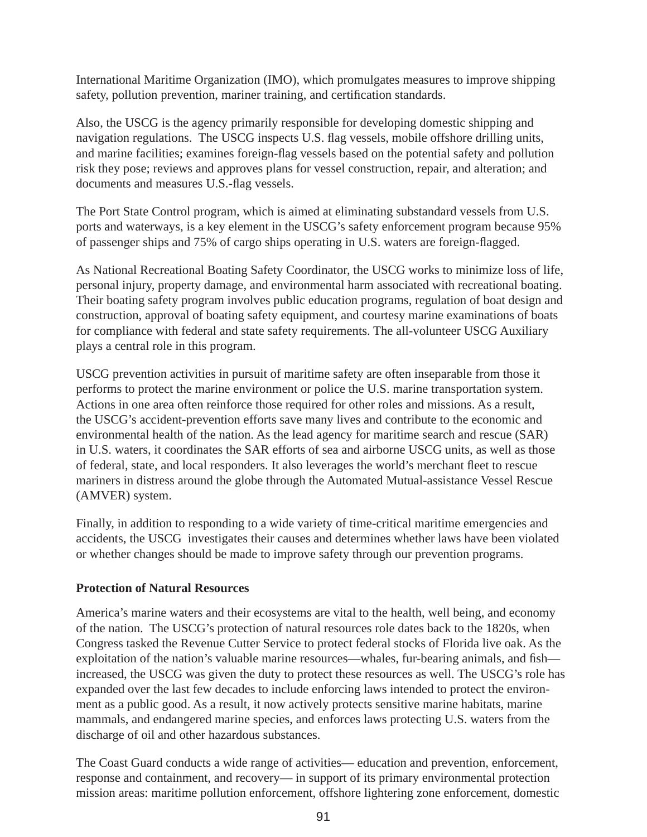International Maritime Organization (IMO), which promulgates measures to improve shipping safety, pollution prevention, mariner training, and certification standards.

Also, the USCG is the agency primarily responsible for developing domestic shipping and navigation regulations. The USCG inspects U.S. flag vessels, mobile offshore drilling units, and marine facilities; examines foreign-flag vessels based on the potential safety and pollution risk they pose; reviews and approves plans for vessel construction, repair, and alteration; and documents and measures U.S.-flag vessels.

The Port State Control program, which is aimed at eliminating substandard vessels from U.S. ports and waterways, is a key element in the USCG's safety enforcement program because 95% of passenger ships and 75% of cargo ships operating in U.S. waters are foreign-flagged.

As National Recreational Boating Safety Coordinator, the USCG works to minimize loss of life, personal injury, property damage, and environmental harm associated with recreational boating. Their boating safety program involves public education programs, regulation of boat design and construction, approval of boating safety equipment, and courtesy marine examinations of boats for compliance with federal and state safety requirements. The all-volunteer USCG Auxiliary plays a central role in this program.

USCG prevention activities in pursuit of maritime safety are often inseparable from those it performs to protect the marine environment or police the U.S. marine transportation system. Actions in one area often reinforce those required for other roles and missions. As a result, the USCG's accident-prevention efforts save many lives and contribute to the economic and environmental health of the nation. As the lead agency for maritime search and rescue (SAR) in U.S. waters, it coordinates the SAR efforts of sea and airborne USCG units, as well as those of federal, state, and local responders. It also leverages the world's merchant fleet to rescue mariners in distress around the globe through the Automated Mutual-assistance Vessel Rescue (AMVER) system.

Finally, in addition to responding to a wide variety of time-critical maritime emergencies and accidents, the USCG investigates their causes and determines whether laws have been violated or whether changes should be made to improve safety through our prevention programs.

# **Protection of Natural Resources**

America's marine waters and their ecosystems are vital to the health, well being, and economy of the nation. The USCG's protection of natural resources role dates back to the 1820s, when Congress tasked the Revenue Cutter Service to protect federal stocks of Florida live oak. As the exploitation of the nation's valuable marine resources—whales, fur-bearing animals, and fish increased, the USCG was given the duty to protect these resources as well. The USCG's role has expanded over the last few decades to include enforcing laws intended to protect the environment as a public good. As a result, it now actively protects sensitive marine habitats, marine mammals, and endangered marine species, and enforces laws protecting U.S. waters from the discharge of oil and other hazardous substances.

The Coast Guard conducts a wide range of activities— education and prevention, enforcement, response and containment, and recovery— in support of its primary environmental protection mission areas: maritime pollution enforcement, offshore lightering zone enforcement, domestic